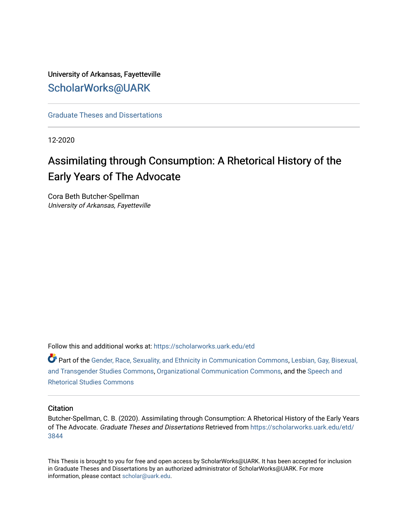# University of Arkansas, Fayetteville [ScholarWorks@UARK](https://scholarworks.uark.edu/)

[Graduate Theses and Dissertations](https://scholarworks.uark.edu/etd) 

12-2020

# Assimilating through Consumption: A Rhetorical History of the Early Years of The Advocate

Cora Beth Butcher-Spellman University of Arkansas, Fayetteville

Follow this and additional works at: [https://scholarworks.uark.edu/etd](https://scholarworks.uark.edu/etd?utm_source=scholarworks.uark.edu%2Fetd%2F3844&utm_medium=PDF&utm_campaign=PDFCoverPages)

Part of the [Gender, Race, Sexuality, and Ethnicity in Communication Commons,](http://network.bepress.com/hgg/discipline/329?utm_source=scholarworks.uark.edu%2Fetd%2F3844&utm_medium=PDF&utm_campaign=PDFCoverPages) [Lesbian, Gay, Bisexual,](http://network.bepress.com/hgg/discipline/560?utm_source=scholarworks.uark.edu%2Fetd%2F3844&utm_medium=PDF&utm_campaign=PDFCoverPages)  [and Transgender Studies Commons](http://network.bepress.com/hgg/discipline/560?utm_source=scholarworks.uark.edu%2Fetd%2F3844&utm_medium=PDF&utm_campaign=PDFCoverPages), [Organizational Communication Commons,](http://network.bepress.com/hgg/discipline/335?utm_source=scholarworks.uark.edu%2Fetd%2F3844&utm_medium=PDF&utm_campaign=PDFCoverPages) and the [Speech and](http://network.bepress.com/hgg/discipline/338?utm_source=scholarworks.uark.edu%2Fetd%2F3844&utm_medium=PDF&utm_campaign=PDFCoverPages)  [Rhetorical Studies Commons](http://network.bepress.com/hgg/discipline/338?utm_source=scholarworks.uark.edu%2Fetd%2F3844&utm_medium=PDF&utm_campaign=PDFCoverPages) 

#### **Citation**

Butcher-Spellman, C. B. (2020). Assimilating through Consumption: A Rhetorical History of the Early Years of The Advocate. Graduate Theses and Dissertations Retrieved from [https://scholarworks.uark.edu/etd/](https://scholarworks.uark.edu/etd/3844?utm_source=scholarworks.uark.edu%2Fetd%2F3844&utm_medium=PDF&utm_campaign=PDFCoverPages) [3844](https://scholarworks.uark.edu/etd/3844?utm_source=scholarworks.uark.edu%2Fetd%2F3844&utm_medium=PDF&utm_campaign=PDFCoverPages)

This Thesis is brought to you for free and open access by ScholarWorks@UARK. It has been accepted for inclusion in Graduate Theses and Dissertations by an authorized administrator of ScholarWorks@UARK. For more information, please contact [scholar@uark.edu.](mailto:scholar@uark.edu)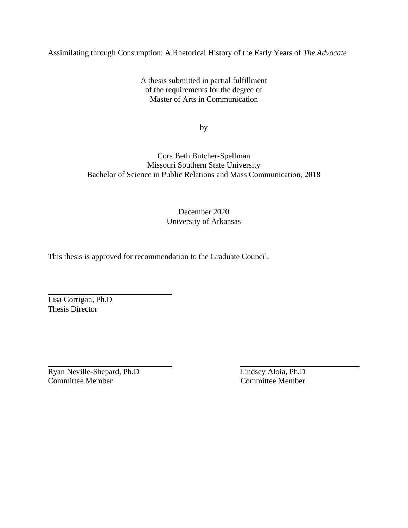## Assimilating through Consumption: A Rhetorical History of the Early Years of *The Advocate*

A thesis submitted in partial fulfillment of the requirements for the degree of Master of Arts in Communication

by

## Cora Beth Butcher-Spellman Missouri Southern State University Bachelor of Science in Public Relations and Mass Communication, 2018

## December 2020 University of Arkansas

This thesis is approved for recommendation to the Graduate Council.

Lisa Corrigan, Ph.D Thesis Director

Ryan Neville-Shepard, Ph.D Lindsey Aloia, Ph.D Committee Member Committee Member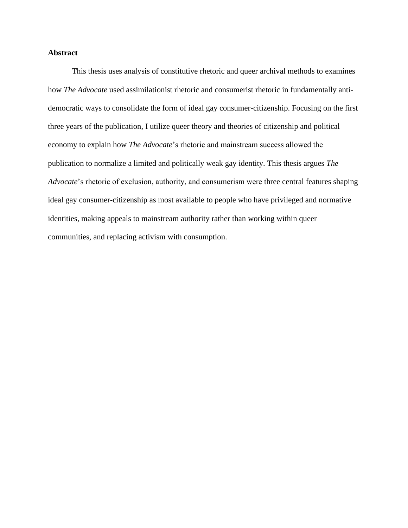### **Abstract**

This thesis uses analysis of constitutive rhetoric and queer archival methods to examines how *The Advocate* used assimilationist rhetoric and consumerist rhetoric in fundamentally antidemocratic ways to consolidate the form of ideal gay consumer-citizenship. Focusing on the first three years of the publication, I utilize queer theory and theories of citizenship and political economy to explain how *The Advocate*'s rhetoric and mainstream success allowed the publication to normalize a limited and politically weak gay identity. This thesis argues *The Advocate*'s rhetoric of exclusion, authority, and consumerism were three central features shaping ideal gay consumer-citizenship as most available to people who have privileged and normative identities, making appeals to mainstream authority rather than working within queer communities, and replacing activism with consumption.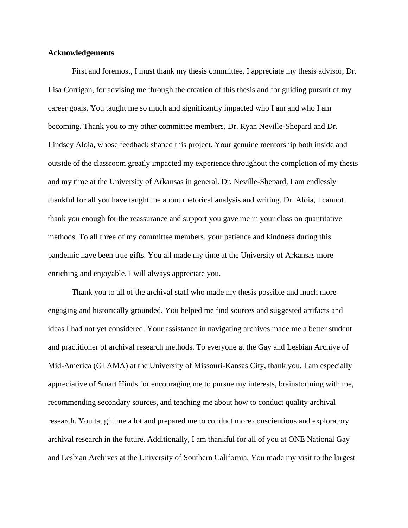#### **Acknowledgements**

First and foremost, I must thank my thesis committee. I appreciate my thesis advisor, Dr. Lisa Corrigan, for advising me through the creation of this thesis and for guiding pursuit of my career goals. You taught me so much and significantly impacted who I am and who I am becoming. Thank you to my other committee members, Dr. Ryan Neville-Shepard and Dr. Lindsey Aloia, whose feedback shaped this project. Your genuine mentorship both inside and outside of the classroom greatly impacted my experience throughout the completion of my thesis and my time at the University of Arkansas in general. Dr. Neville-Shepard, I am endlessly thankful for all you have taught me about rhetorical analysis and writing. Dr. Aloia, I cannot thank you enough for the reassurance and support you gave me in your class on quantitative methods. To all three of my committee members, your patience and kindness during this pandemic have been true gifts. You all made my time at the University of Arkansas more enriching and enjoyable. I will always appreciate you.

Thank you to all of the archival staff who made my thesis possible and much more engaging and historically grounded. You helped me find sources and suggested artifacts and ideas I had not yet considered. Your assistance in navigating archives made me a better student and practitioner of archival research methods. To everyone at the Gay and Lesbian Archive of Mid-America (GLAMA) at the University of Missouri-Kansas City, thank you. I am especially appreciative of Stuart Hinds for encouraging me to pursue my interests, brainstorming with me, recommending secondary sources, and teaching me about how to conduct quality archival research. You taught me a lot and prepared me to conduct more conscientious and exploratory archival research in the future. Additionally, I am thankful for all of you at ONE National Gay and Lesbian Archives at the University of Southern California. You made my visit to the largest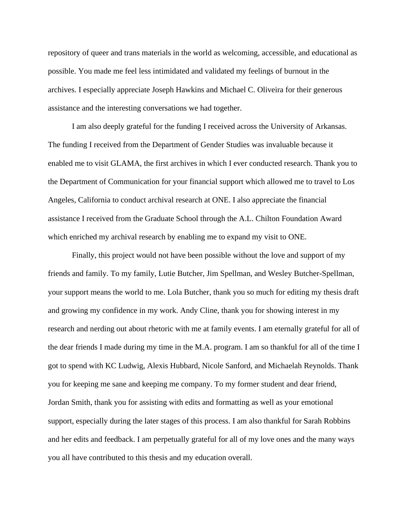repository of queer and trans materials in the world as welcoming, accessible, and educational as possible. You made me feel less intimidated and validated my feelings of burnout in the archives. I especially appreciate Joseph Hawkins and Michael C. Oliveira for their generous assistance and the interesting conversations we had together.

I am also deeply grateful for the funding I received across the University of Arkansas. The funding I received from the Department of Gender Studies was invaluable because it enabled me to visit GLAMA, the first archives in which I ever conducted research. Thank you to the Department of Communication for your financial support which allowed me to travel to Los Angeles, California to conduct archival research at ONE. I also appreciate the financial assistance I received from the Graduate School through the A.L. Chilton Foundation Award which enriched my archival research by enabling me to expand my visit to ONE.

Finally, this project would not have been possible without the love and support of my friends and family. To my family, Lutie Butcher, Jim Spellman, and Wesley Butcher-Spellman, your support means the world to me. Lola Butcher, thank you so much for editing my thesis draft and growing my confidence in my work. Andy Cline, thank you for showing interest in my research and nerding out about rhetoric with me at family events. I am eternally grateful for all of the dear friends I made during my time in the M.A. program. I am so thankful for all of the time I got to spend with KC Ludwig, Alexis Hubbard, Nicole Sanford, and Michaelah Reynolds. Thank you for keeping me sane and keeping me company. To my former student and dear friend, Jordan Smith, thank you for assisting with edits and formatting as well as your emotional support, especially during the later stages of this process. I am also thankful for Sarah Robbins and her edits and feedback. I am perpetually grateful for all of my love ones and the many ways you all have contributed to this thesis and my education overall.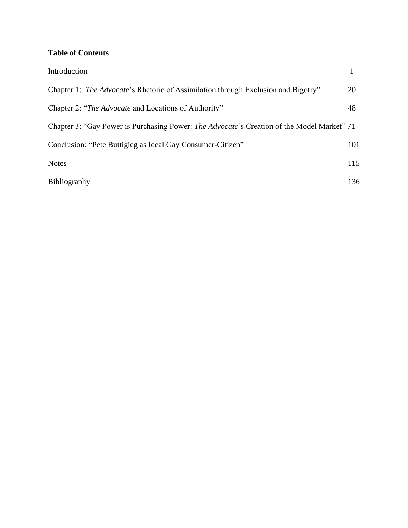## **Table of Contents**

| Introduction                                                                                       |     |
|----------------------------------------------------------------------------------------------------|-----|
| Chapter 1: <i>The Advocate's</i> Rhetoric of Assimilation through Exclusion and Bigotry"           | 20  |
| Chapter 2: "The Advocate and Locations of Authority"                                               | 48  |
| Chapter 3: "Gay Power is Purchasing Power: <i>The Advocate</i> 's Creation of the Model Market" 71 |     |
| Conclusion: "Pete Buttigieg as Ideal Gay Consumer-Citizen"                                         | 101 |
| <b>Notes</b>                                                                                       | 115 |
| <b>Bibliography</b>                                                                                | 136 |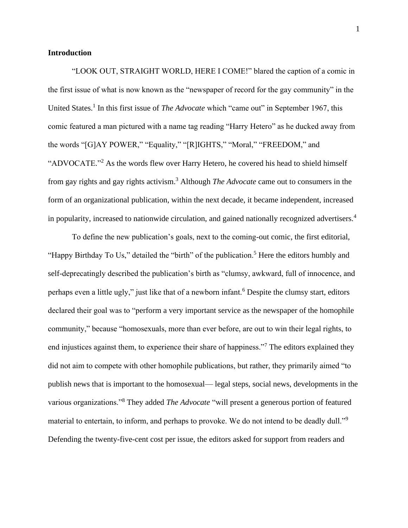#### **Introduction**

"LOOK OUT, STRAIGHT WORLD, HERE I COME!" blared the caption of a comic in the first issue of what is now known as the "newspaper of record for the gay community" in the United States.<sup>1</sup> In this first issue of *The Advocate* which "came out" in September 1967, this comic featured a man pictured with a name tag reading "Harry Hetero" as he ducked away from the words "[G]AY POWER," "Equality," "[R]IGHTS," "Moral," "FREEDOM," and "ADVOCATE."<sup>2</sup> As the words flew over Harry Hetero, he covered his head to shield himself from gay rights and gay rights activism.<sup>3</sup> Although *The Advocate* came out to consumers in the form of an organizational publication, within the next decade, it became independent, increased in popularity, increased to nationwide circulation, and gained nationally recognized advertisers.<sup>4</sup>

To define the new publication's goals, next to the coming-out comic, the first editorial, "Happy Birthday To Us," detailed the "birth" of the publication.<sup>5</sup> Here the editors humbly and self-deprecatingly described the publication's birth as "clumsy, awkward, full of innocence, and perhaps even a little ugly," just like that of a newborn infant.<sup>6</sup> Despite the clumsy start, editors declared their goal was to "perform a very important service as the newspaper of the homophile community," because "homosexuals, more than ever before, are out to win their legal rights, to end injustices against them, to experience their share of happiness."<sup>7</sup> The editors explained they did not aim to compete with other homophile publications, but rather, they primarily aimed "to publish news that is important to the homosexual— legal steps, social news, developments in the various organizations."<sup>8</sup> They added *The Advocate* "will present a generous portion of featured material to entertain, to inform, and perhaps to provoke. We do not intend to be deadly dull."<sup>9</sup> Defending the twenty-five-cent cost per issue, the editors asked for support from readers and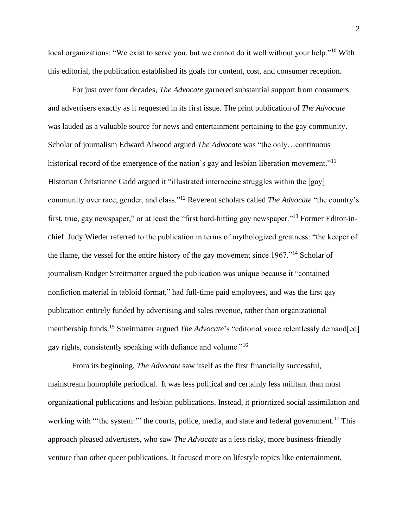local organizations: "We exist to serve you, but we cannot do it well without your help."<sup>10</sup> With this editorial, the publication established its goals for content, cost, and consumer reception.

For just over four decades, *The Advocate* garnered substantial support from consumers and advertisers exactly as it requested in its first issue. The print publication of *The Advocate* was lauded as a valuable source for news and entertainment pertaining to the gay community. Scholar of journalism Edward Alwood argued *The Advocate* was "the only…continuous historical record of the emergence of the nation's gay and lesbian liberation movement."<sup>11</sup> Historian Christianne Gadd argued it "illustrated internecine struggles within the [gay] community over race, gender, and class."<sup>12</sup> Reverent scholars called *The Advocate* "the country's first, true, gay newspaper," or at least the "first hard-hitting gay newspaper."<sup>13</sup> Former Editor-inchief Judy Wieder referred to the publication in terms of mythologized greatness: "the keeper of the flame, the vessel for the entire history of the gay movement since 1967."<sup>14</sup> Scholar of journalism Rodger Streitmatter argued the publication was unique because it "contained nonfiction material in tabloid format," had full-time paid employees, and was the first gay publication entirely funded by advertising and sales revenue, rather than organizational membership funds.<sup>15</sup> Streitmatter argued *The Advocate'*s "editorial voice relentlessly demand[ed] gay rights, consistently speaking with defiance and volume."<sup>16</sup>

From its beginning, *The Advocate* saw itself as the first financially successful, mainstream homophile periodical. It was less political and certainly less militant than most organizational publications and lesbian publications. Instead, it prioritized social assimilation and working with "'the system:'" the courts, police, media, and state and federal government.<sup>17</sup> This approach pleased advertisers, who saw *The Advocate* as a less risky, more business-friendly venture than other queer publications. It focused more on lifestyle topics like entertainment,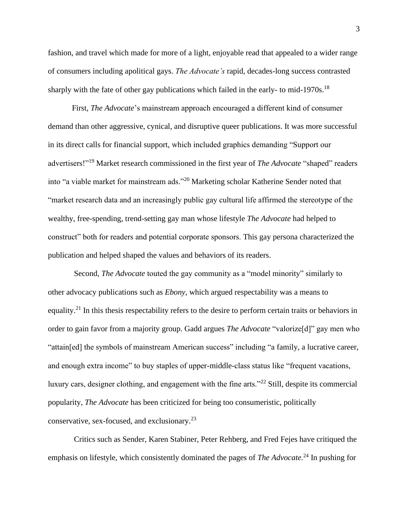fashion, and travel which made for more of a light, enjoyable read that appealed to a wider range of consumers including apolitical gays. *The Advocate's* rapid, decades-long success contrasted sharply with the fate of other gay publications which failed in the early- to mid-1970s.<sup>18</sup>

First, *The Advocate*'s mainstream approach encouraged a different kind of consumer demand than other aggressive, cynical, and disruptive queer publications. It was more successful in its direct calls for financial support, which included graphics demanding "Support our advertisers!"<sup>19</sup> Market research commissioned in the first year of *The Advocate* "shaped" readers into "a viable market for mainstream ads."<sup>20</sup> Marketing scholar Katherine Sender noted that "market research data and an increasingly public gay cultural life affirmed the stereotype of the wealthy, free-spending, trend-setting gay man whose lifestyle *The Advocate* had helped to construct" both for readers and potential corporate sponsors. This gay persona characterized the publication and helped shaped the values and behaviors of its readers.

Second, *The Advocate* touted the gay community as a "model minority" similarly to other advocacy publications such as *Ebony,* which argued respectability was a means to equality.<sup>21</sup> In this thesis respectability refers to the desire to perform certain traits or behaviors in order to gain favor from a majority group. Gadd argues *The Advocate* "valorize[d]" gay men who "attain[ed] the symbols of mainstream American success" including "a family, a lucrative career, and enough extra income" to buy staples of upper-middle-class status like "frequent vacations, luxury cars, designer clothing, and engagement with the fine arts."<sup>22</sup> Still, despite its commercial popularity, *The Advocate* has been criticized for being too consumeristic, politically conservative, sex-focused, and exclusionary.<sup>23</sup>

Critics such as Sender, Karen Stabiner, Peter Rehberg, and Fred Fejes have critiqued the emphasis on lifestyle, which consistently dominated the pages of *The Advocate.* <sup>24</sup> In pushing for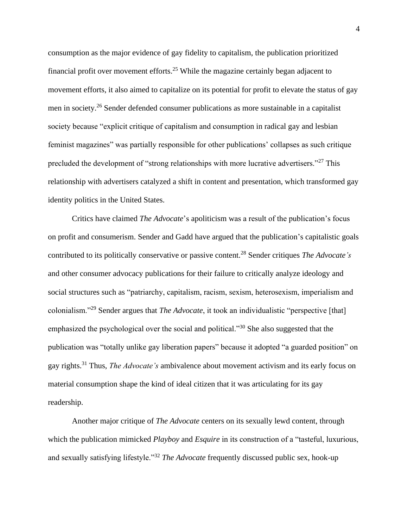consumption as the major evidence of gay fidelity to capitalism, the publication prioritized financial profit over movement efforts.<sup>25</sup> While the magazine certainly began adjacent to movement efforts, it also aimed to capitalize on its potential for profit to elevate the status of gay men in society.<sup>26</sup> Sender defended consumer publications as more sustainable in a capitalist society because "explicit critique of capitalism and consumption in radical gay and lesbian feminist magazines" was partially responsible for other publications' collapses as such critique precluded the development of "strong relationships with more lucrative advertisers."<sup>27</sup> This relationship with advertisers catalyzed a shift in content and presentation, which transformed gay identity politics in the United States.

Critics have claimed *The Advocate*'s apoliticism was a result of the publication's focus on profit and consumerism. Sender and Gadd have argued that the publication's capitalistic goals contributed to its politically conservative or passive content.<sup>28</sup> Sender critiques *The Advocate's* and other consumer advocacy publications for their failure to critically analyze ideology and social structures such as "patriarchy, capitalism, racism, sexism, heterosexism, imperialism and colonialism."<sup>29</sup> Sender argues that *The Advocate*, it took an individualistic "perspective [that] emphasized the psychological over the social and political."<sup>30</sup> She also suggested that the publication was "totally unlike gay liberation papers" because it adopted "a guarded position" on gay rights.<sup>31</sup> Thus, *The Advocate's* ambivalence about movement activism and its early focus on material consumption shape the kind of ideal citizen that it was articulating for its gay readership.

Another major critique of *The Advocate* centers on its sexually lewd content, through which the publication mimicked *Playboy* and *Esquire* in its construction of a "tasteful, luxurious, and sexually satisfying lifestyle."<sup>32</sup> *The Advocate* frequently discussed public sex, hook-up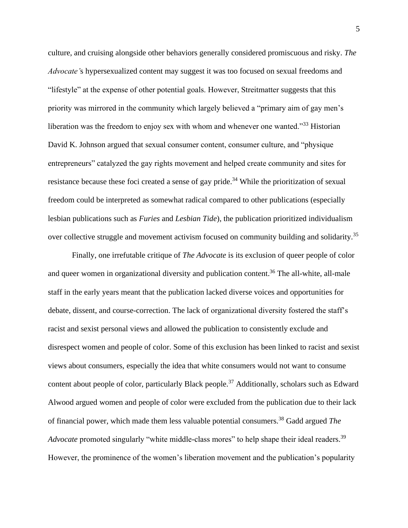culture, and cruising alongside other behaviors generally considered promiscuous and risky. *The Advocate'*s hypersexualized content may suggest it was too focused on sexual freedoms and "lifestyle" at the expense of other potential goals. However, Streitmatter suggests that this priority was mirrored in the community which largely believed a "primary aim of gay men's liberation was the freedom to enjoy sex with whom and whenever one wanted."<sup>33</sup> Historian David K. Johnson argued that sexual consumer content, consumer culture, and "physique entrepreneurs" catalyzed the gay rights movement and helped create community and sites for resistance because these foci created a sense of gay pride.<sup>34</sup> While the prioritization of sexual freedom could be interpreted as somewhat radical compared to other publications (especially lesbian publications such as *Furies* and *Lesbian Tide*), the publication prioritized individualism over collective struggle and movement activism focused on community building and solidarity.<sup>35</sup>

Finally, one irrefutable critique of *The Advocate* is its exclusion of queer people of color and queer women in organizational diversity and publication content.<sup>36</sup> The all-white, all-male staff in the early years meant that the publication lacked diverse voices and opportunities for debate, dissent, and course-correction. The lack of organizational diversity fostered the staff's racist and sexist personal views and allowed the publication to consistently exclude and disrespect women and people of color. Some of this exclusion has been linked to racist and sexist views about consumers, especially the idea that white consumers would not want to consume content about people of color, particularly Black people.<sup>37</sup> Additionally, scholars such as Edward Alwood argued women and people of color were excluded from the publication due to their lack of financial power, which made them less valuable potential consumers.<sup>38</sup> Gadd argued *The Advocate* promoted singularly "white middle-class mores" to help shape their ideal readers.<sup>39</sup> However, the prominence of the women's liberation movement and the publication's popularity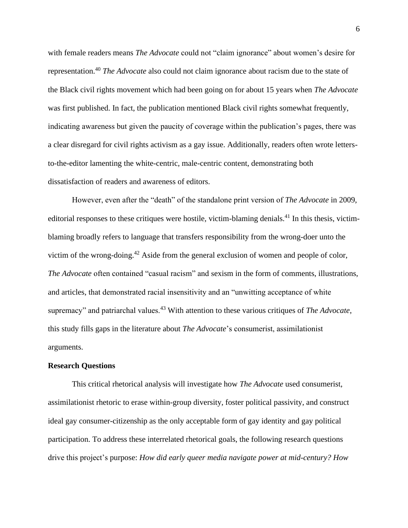with female readers means *The Advocate* could not "claim ignorance" about women's desire for representation.<sup>40</sup> *The Advocate* also could not claim ignorance about racism due to the state of the Black civil rights movement which had been going on for about 15 years when *The Advocate* was first published. In fact, the publication mentioned Black civil rights somewhat frequently, indicating awareness but given the paucity of coverage within the publication's pages, there was a clear disregard for civil rights activism as a gay issue. Additionally, readers often wrote lettersto-the-editor lamenting the white-centric, male-centric content, demonstrating both dissatisfaction of readers and awareness of editors.

However, even after the "death" of the standalone print version of *The Advocate* in 2009, editorial responses to these critiques were hostile, victim-blaming denials.<sup>41</sup> In this thesis, victimblaming broadly refers to language that transfers responsibility from the wrong-doer unto the victim of the wrong-doing.<sup>42</sup> Aside from the general exclusion of women and people of color, *The Advocate* often contained "casual racism" and sexism in the form of comments, illustrations, and articles, that demonstrated racial insensitivity and an "unwitting acceptance of white supremacy" and patriarchal values.<sup>43</sup> With attention to these various critiques of *The Advocate*, this study fills gaps in the literature about *The Advocate*'s consumerist, assimilationist arguments.

#### **Research Questions**

This critical rhetorical analysis will investigate how *The Advocate* used consumerist, assimilationist rhetoric to erase within-group diversity, foster political passivity, and construct ideal gay consumer-citizenship as the only acceptable form of gay identity and gay political participation. To address these interrelated rhetorical goals, the following research questions drive this project's purpose: *How did early queer media navigate power at mid-century? How*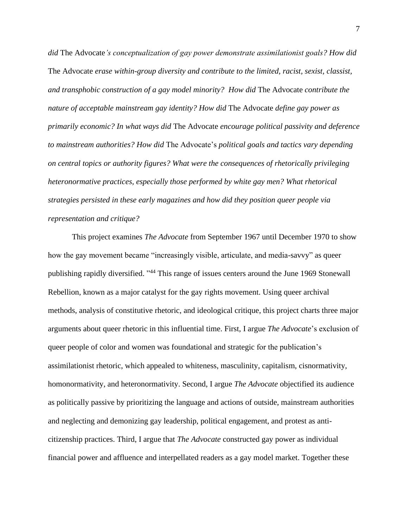*did* The Advocate*'s conceptualization of gay power demonstrate assimilationist goals? How did*  The Advocate *erase within-group diversity and contribute to the limited, racist, sexist, classist, and transphobic construction of a gay model minority? How did* The Advocate *contribute the nature of acceptable mainstream gay identity? How did* The Advocate *define gay power as primarily economic? In what ways did* The Advocate *encourage political passivity and deference to mainstream authorities? How did* The Advocate's *political goals and tactics vary depending on central topics or authority figures? What were the consequences of rhetorically privileging heteronormative practices, especially those performed by white gay men? What rhetorical strategies persisted in these early magazines and how did they position queer people via representation and critique?*

This project examines *The Advocate* from September 1967 until December 1970 to show how the gay movement became "increasingly visible, articulate, and media-savvy" as queer publishing rapidly diversified. "<sup>44</sup> This range of issues centers around the June 1969 Stonewall Rebellion, known as a major catalyst for the gay rights movement. Using queer archival methods, analysis of constitutive rhetoric, and ideological critique, this project charts three major arguments about queer rhetoric in this influential time. First, I argue *The Advocate*'s exclusion of queer people of color and women was foundational and strategic for the publication's assimilationist rhetoric, which appealed to whiteness, masculinity, capitalism, cisnormativity, homonormativity, and heteronormativity. Second, I argue *The Advocate* objectified its audience as politically passive by prioritizing the language and actions of outside, mainstream authorities and neglecting and demonizing gay leadership, political engagement, and protest as anticitizenship practices. Third, I argue that *The Advocate* constructed gay power as individual financial power and affluence and interpellated readers as a gay model market. Together these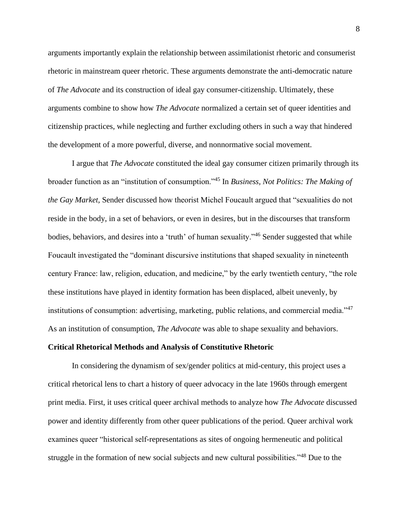arguments importantly explain the relationship between assimilationist rhetoric and consumerist rhetoric in mainstream queer rhetoric. These arguments demonstrate the anti-democratic nature of *The Advocate* and its construction of ideal gay consumer-citizenship. Ultimately, these arguments combine to show how *The Advocate* normalized a certain set of queer identities and citizenship practices, while neglecting and further excluding others in such a way that hindered the development of a more powerful, diverse, and nonnormative social movement.

I argue that *The Advocate* constituted the ideal gay consumer citizen primarily through its broader function as an "institution of consumption."<sup>45</sup> In *Business, Not Politics: The Making of the Gay Market,* Sender discussed how theorist Michel Foucault argued that "sexualities do not reside in the body, in a set of behaviors, or even in desires, but in the discourses that transform bodies, behaviors, and desires into a 'truth' of human sexuality."<sup>46</sup> Sender suggested that while Foucault investigated the "dominant discursive institutions that shaped sexuality in nineteenth century France: law, religion, education, and medicine," by the early twentieth century, "the role these institutions have played in identity formation has been displaced, albeit unevenly, by institutions of consumption: advertising, marketing, public relations, and commercial media."<sup>47</sup> As an institution of consumption, *The Advocate* was able to shape sexuality and behaviors.

#### **Critical Rhetorical Methods and Analysis of Constitutive Rhetoric**

In considering the dynamism of sex/gender politics at mid-century, this project uses a critical rhetorical lens to chart a history of queer advocacy in the late 1960s through emergent print media. First, it uses critical queer archival methods to analyze how *The Advocate* discussed power and identity differently from other queer publications of the period*.* Queer archival work examines queer "historical self-representations as sites of ongoing hermeneutic and political struggle in the formation of new social subjects and new cultural possibilities."<sup>48</sup> Due to the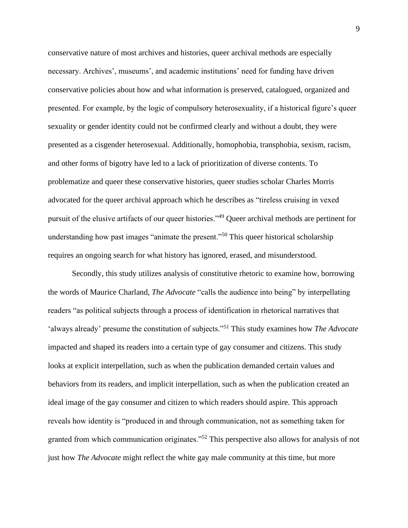conservative nature of most archives and histories, queer archival methods are especially necessary. Archives', museums', and academic institutions' need for funding have driven conservative policies about how and what information is preserved, catalogued, organized and presented. For example, by the logic of compulsory heterosexuality, if a historical figure's queer sexuality or gender identity could not be confirmed clearly and without a doubt, they were presented as a cisgender heterosexual. Additionally, homophobia, transphobia, sexism, racism, and other forms of bigotry have led to a lack of prioritization of diverse contents. To problematize and queer these conservative histories, queer studies scholar Charles Morris advocated for the queer archival approach which he describes as "tireless cruising in vexed pursuit of the elusive artifacts of our queer histories."<sup>49</sup> Queer archival methods are pertinent for understanding how past images "animate the present."<sup>50</sup> This queer historical scholarship requires an ongoing search for what history has ignored, erased, and misunderstood.

Secondly, this study utilizes analysis of constitutive rhetoric to examine how, borrowing the words of Maurice Charland, *The Advocate* "calls the audience into being" by interpellating readers "as political subjects through a process of identification in rhetorical narratives that 'always already' presume the constitution of subjects."<sup>51</sup> This study examines how *The Advocate* impacted and shaped its readers into a certain type of gay consumer and citizens. This study looks at explicit interpellation, such as when the publication demanded certain values and behaviors from its readers, and implicit interpellation, such as when the publication created an ideal image of the gay consumer and citizen to which readers should aspire. This approach reveals how identity is "produced in and through communication, not as something taken for granted from which communication originates."<sup>52</sup> This perspective also allows for analysis of not just how *The Advocate* might reflect the white gay male community at this time, but more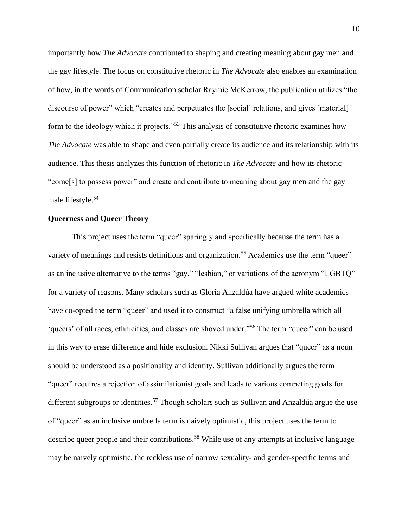importantly how *The Advocate* contributed to shaping and creating meaning about gay men and the gay lifestyle. The focus on constitutive rhetoric in *The Advocate* also enables an examination of how, in the words of Communication scholar Raymie McKerrow, the publication utilizes "the discourse of power" which "creates and perpetuates the [social] relations, and gives [material] form to the ideology which it projects."<sup>53</sup> This analysis of constitutive rhetoric examines how *The Advocate* was able to shape and even partially create its audience and its relationship with its audience. This thesis analyzes this function of rhetoric in *The Advocate* and how its rhetoric "come[s] to possess power" and create and contribute to meaning about gay men and the gay male lifestyle.<sup>54</sup>

#### **Queerness and Queer Theory**

This project uses the term "queer" sparingly and specifically because the term has a variety of meanings and resists definitions and organization.<sup>55</sup> Academics use the term "queer" as an inclusive alternative to the terms "gay," "lesbian," or variations of the acronym "LGBTQ" for a variety of reasons. Many scholars such as Gloria Anzaldúa have argued white academics have co-opted the term "queer" and used it to construct "a false unifying umbrella which all 'queers' of all races, ethnicities, and classes are shoved under."<sup>56</sup> The term "queer" can be used in this way to erase difference and hide exclusion. Nikki Sullivan argues that "queer" as a noun should be understood as a positionality and identity. Sullivan additionally argues the term "queer" requires a rejection of assimilationist goals and leads to various competing goals for different subgroups or identities.<sup>57</sup> Though scholars such as Sullivan and Anzaldúa argue the use of "queer" as an inclusive umbrella term is naively optimistic, this project uses the term to describe queer people and their contributions.<sup>58</sup> While use of any attempts at inclusive language may be naively optimistic, the reckless use of narrow sexuality- and gender-specific terms and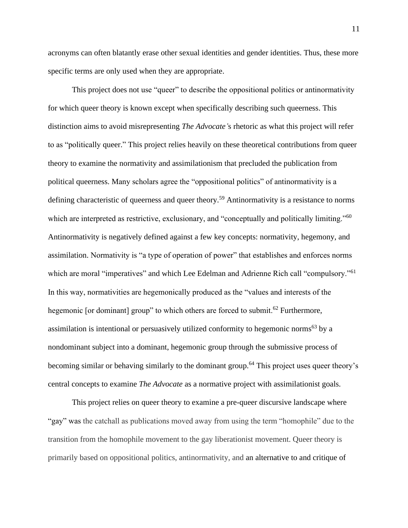acronyms can often blatantly erase other sexual identities and gender identities. Thus, these more specific terms are only used when they are appropriate.

This project does not use "queer" to describe the oppositional politics or antinormativity for which queer theory is known except when specifically describing such queerness. This distinction aims to avoid misrepresenting *The Advocate'*s rhetoric as what this project will refer to as "politically queer." This project relies heavily on these theoretical contributions from queer theory to examine the normativity and assimilationism that precluded the publication from political queerness. Many scholars agree the "oppositional politics" of antinormativity is a defining characteristic of queerness and queer theory.<sup>59</sup> Antinormativity is a resistance to norms which are interpreted as restrictive, exclusionary, and "conceptually and politically limiting."<sup>60</sup> Antinormativity is negatively defined against a few key concepts: normativity, hegemony, and assimilation. Normativity is "a type of operation of power" that establishes and enforces norms which are moral "imperatives" and which Lee Edelman and Adrienne Rich call "compulsory."<sup>61</sup> In this way, normativities are hegemonically produced as the "values and interests of the hegemonic [or dominant] group" to which others are forced to submit.<sup>62</sup> Furthermore, assimilation is intentional or persuasively utilized conformity to hegemonic norms<sup>63</sup> by a nondominant subject into a dominant, hegemonic group through the submissive process of becoming similar or behaving similarly to the dominant group.<sup>64</sup> This project uses queer theory's central concepts to examine *The Advocate* as a normative project with assimilationist goals.

This project relies on queer theory to examine a pre-queer discursive landscape where "gay" was the catchall as publications moved away from using the term "homophile" due to the transition from the homophile movement to the gay liberationist movement. Queer theory is primarily based on oppositional politics, antinormativity, and an alternative to and critique of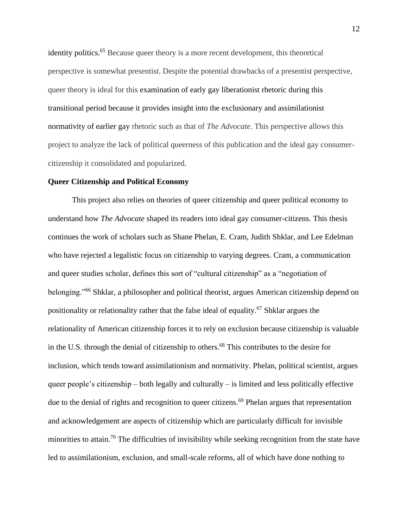identity politics.<sup>65</sup> Because queer theory is a more recent development, this theoretical perspective is somewhat presentist. Despite the potential drawbacks of a presentist perspective, queer theory is ideal for this examination of early gay liberationist rhetoric during this transitional period because it provides insight into the exclusionary and assimilationist normativity of earlier gay rhetoric such as that of *The Advocate*. This perspective allows this project to analyze the lack of political queerness of this publication and the ideal gay consumercitizenship it consolidated and popularized.

#### **Queer Citizenship and Political Economy**

This project also relies on theories of queer citizenship and queer political economy to understand how *The Advocate* shaped its readers into ideal gay consumer-citizens. This thesis continues the work of scholars such as Shane Phelan, E. Cram, Judith Shklar, and Lee Edelman who have rejected a legalistic focus on citizenship to varying degrees. Cram, a communication and queer studies scholar, defines this sort of "cultural citizenship" as a "negotiation of belonging."<sup>66</sup> Shklar, a philosopher and political theorist, argues American citizenship depend on positionality or relationality rather that the false ideal of equality.<sup>67</sup> Shklar argues the relationality of American citizenship forces it to rely on exclusion because citizenship is valuable in the U.S. through the denial of citizenship to others.<sup>68</sup> This contributes to the desire for inclusion, which tends toward assimilationism and normativity. Phelan, political scientist, argues queer people's citizenship – both legally and culturally – is limited and less politically effective due to the denial of rights and recognition to queer citizens.<sup>69</sup> Phelan argues that representation and acknowledgement are aspects of citizenship which are particularly difficult for invisible minorities to attain.<sup>70</sup> The difficulties of invisibility while seeking recognition from the state have led to assimilationism, exclusion, and small-scale reforms, all of which have done nothing to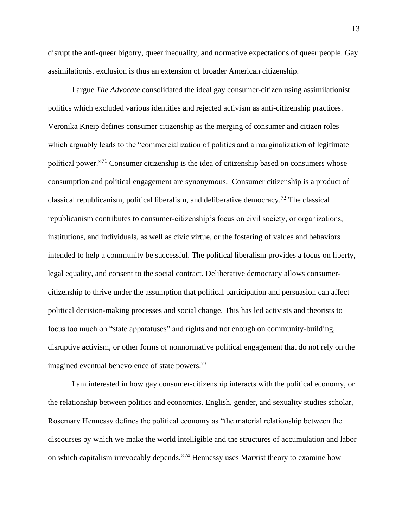disrupt the anti-queer bigotry, queer inequality, and normative expectations of queer people. Gay assimilationist exclusion is thus an extension of broader American citizenship.

I argue *The Advocate* consolidated the ideal gay consumer-citizen using assimilationist politics which excluded various identities and rejected activism as anti-citizenship practices. Veronika Kneip defines consumer citizenship as the merging of consumer and citizen roles which arguably leads to the "commercialization of politics and a marginalization of legitimate political power."<sup>71</sup> Consumer citizenship is the idea of citizenship based on consumers whose consumption and political engagement are synonymous. Consumer citizenship is a product of classical republicanism, political liberalism, and deliberative democracy.<sup>72</sup> The classical republicanism contributes to consumer-citizenship's focus on civil society, or organizations, institutions, and individuals, as well as civic virtue, or the fostering of values and behaviors intended to help a community be successful. The political liberalism provides a focus on liberty, legal equality, and consent to the social contract. Deliberative democracy allows consumercitizenship to thrive under the assumption that political participation and persuasion can affect political decision-making processes and social change. This has led activists and theorists to focus too much on "state apparatuses" and rights and not enough on community-building, disruptive activism, or other forms of nonnormative political engagement that do not rely on the imagined eventual benevolence of state powers.<sup>73</sup>

I am interested in how gay consumer-citizenship interacts with the political economy, or the relationship between politics and economics. English, gender, and sexuality studies scholar, Rosemary Hennessy defines the political economy as "the material relationship between the discourses by which we make the world intelligible and the structures of accumulation and labor on which capitalism irrevocably depends."<sup>74</sup> Hennessy uses Marxist theory to examine how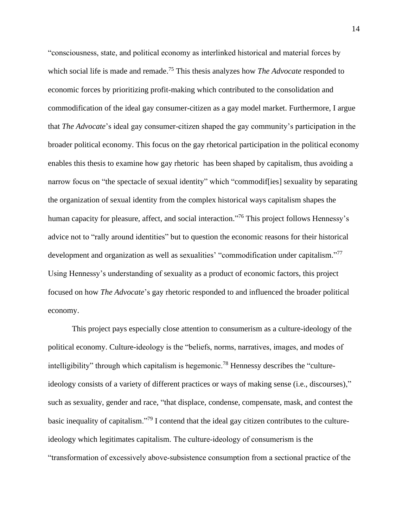"consciousness, state, and political economy as interlinked historical and material forces by which social life is made and remade. <sup>75</sup> This thesis analyzes how *The Advocate* responded to economic forces by prioritizing profit-making which contributed to the consolidation and commodification of the ideal gay consumer-citizen as a gay model market. Furthermore, I argue that *The Advocate*'s ideal gay consumer-citizen shaped the gay community's participation in the broader political economy. This focus on the gay rhetorical participation in the political economy enables this thesis to examine how gay rhetoric has been shaped by capitalism, thus avoiding a narrow focus on "the spectacle of sexual identity" which "commodif[ies] sexuality by separating the organization of sexual identity from the complex historical ways capitalism shapes the human capacity for pleasure, affect, and social interaction."<sup>76</sup> This project follows Hennessy's advice not to "rally around identities" but to question the economic reasons for their historical development and organization as well as sexualities' "commodification under capitalism."<sup>77</sup> Using Hennessy's understanding of sexuality as a product of economic factors, this project focused on how *The Advocate*'s gay rhetoric responded to and influenced the broader political economy.

This project pays especially close attention to consumerism as a culture-ideology of the political economy. Culture-ideology is the "beliefs, norms, narratives, images, and modes of intelligibility" through which capitalism is hegemonic.<sup>78</sup> Hennessy describes the "cultureideology consists of a variety of different practices or ways of making sense (i.e., discourses)," such as sexuality, gender and race, "that displace, condense, compensate, mask, and contest the basic inequality of capitalism."<sup>79</sup> I contend that the ideal gay citizen contributes to the cultureideology which legitimates capitalism. The culture‐ideology of consumerism is the "transformation of excessively above‐subsistence consumption from a sectional practice of the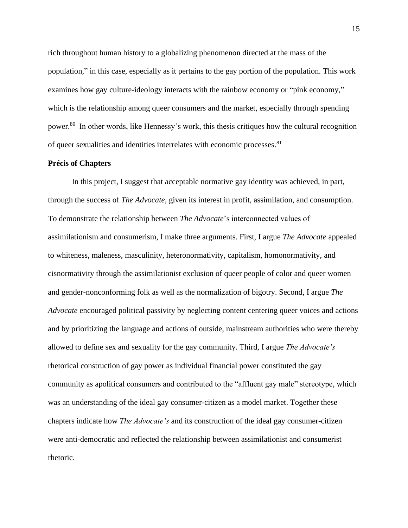rich throughout human history to a globalizing phenomenon directed at the mass of the population," in this case, especially as it pertains to the gay portion of the population. This work examines how gay culture-ideology interacts with the rainbow economy or "pink economy," which is the relationship among queer consumers and the market, especially through spending power.<sup>80</sup> In other words, like Hennessy's work, this thesis critiques how the cultural recognition of queer sexualities and identities interrelates with economic processes.<sup>81</sup>

#### **Précis of Chapters**

In this project, I suggest that acceptable normative gay identity was achieved, in part, through the success of *The Advocate*, given its interest in profit, assimilation, and consumption. To demonstrate the relationship between *The Advocate*'s interconnected values of assimilationism and consumerism, I make three arguments. First, I argue *The Advocate* appealed to whiteness, maleness, masculinity, heteronormativity, capitalism, homonormativity, and cisnormativity through the assimilationist exclusion of queer people of color and queer women and gender-nonconforming folk as well as the normalization of bigotry. Second, I argue *The Advocate* encouraged political passivity by neglecting content centering queer voices and actions and by prioritizing the language and actions of outside, mainstream authorities who were thereby allowed to define sex and sexuality for the gay community. Third, I argue *The Advocate's* rhetorical construction of gay power as individual financial power constituted the gay community as apolitical consumers and contributed to the "affluent gay male" stereotype, which was an understanding of the ideal gay consumer-citizen as a model market. Together these chapters indicate how *The Advocate's* and its construction of the ideal gay consumer-citizen were anti-democratic and reflected the relationship between assimilationist and consumerist rhetoric.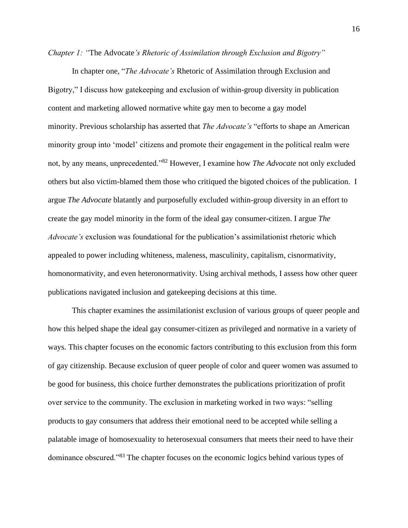*Chapter 1: "*The Advocate*'s Rhetoric of Assimilation through Exclusion and Bigotry"*

In chapter one, "*The Advocate's* Rhetoric of Assimilation through Exclusion and Bigotry," I discuss how gatekeeping and exclusion of within-group diversity in publication content and marketing allowed normative white gay men to become a gay model minority. Previous scholarship has asserted that *The Advocate's* "efforts to shape an American minority group into 'model' citizens and promote their engagement in the political realm were not, by any means, unprecedented."<sup>82</sup> However, I examine how *The Advocate* not only excluded others but also victim-blamed them those who critiqued the bigoted choices of the publication. I argue *The Advocate* blatantly and purposefully excluded within-group diversity in an effort to create the gay model minority in the form of the ideal gay consumer-citizen. I argue *The Advocate's* exclusion was foundational for the publication's assimilationist rhetoric which appealed to power including whiteness, maleness, masculinity, capitalism, cisnormativity, homonormativity, and even heteronormativity. Using archival methods, I assess how other queer publications navigated inclusion and gatekeeping decisions at this time.

This chapter examines the assimilationist exclusion of various groups of queer people and how this helped shape the ideal gay consumer-citizen as privileged and normative in a variety of ways. This chapter focuses on the economic factors contributing to this exclusion from this form of gay citizenship. Because exclusion of queer people of color and queer women was assumed to be good for business, this choice further demonstrates the publications prioritization of profit over service to the community. The exclusion in marketing worked in two ways: "selling products to gay consumers that address their emotional need to be accepted while selling a palatable image of homosexuality to heterosexual consumers that meets their need to have their dominance obscured."<sup>83</sup> The chapter focuses on the economic logics behind various types of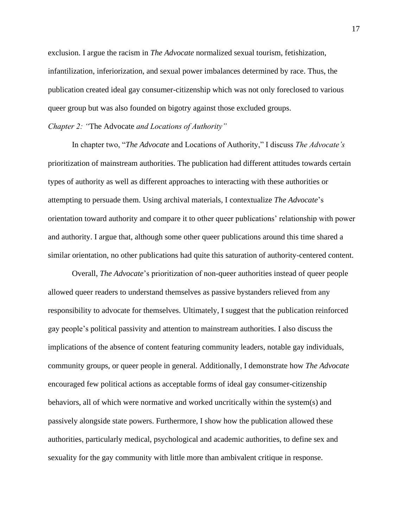exclusion. I argue the racism in *The Advocate* normalized sexual tourism, fetishization, infantilization, inferiorization, and sexual power imbalances determined by race. Thus, the publication created ideal gay consumer-citizenship which was not only foreclosed to various queer group but was also founded on bigotry against those excluded groups.

#### *Chapter 2: "*The Advocate *and Locations of Authority"*

In chapter two, "*The Advocate* and Locations of Authority," I discuss *The Advocate's* prioritization of mainstream authorities. The publication had different attitudes towards certain types of authority as well as different approaches to interacting with these authorities or attempting to persuade them. Using archival materials, I contextualize *The Advocate*'s orientation toward authority and compare it to other queer publications' relationship with power and authority. I argue that, although some other queer publications around this time shared a similar orientation, no other publications had quite this saturation of authority-centered content.

Overall, *The Advocate*'s prioritization of non-queer authorities instead of queer people allowed queer readers to understand themselves as passive bystanders relieved from any responsibility to advocate for themselves. Ultimately, I suggest that the publication reinforced gay people's political passivity and attention to mainstream authorities. I also discuss the implications of the absence of content featuring community leaders, notable gay individuals, community groups, or queer people in general. Additionally, I demonstrate how *The Advocate* encouraged few political actions as acceptable forms of ideal gay consumer-citizenship behaviors, all of which were normative and worked uncritically within the system(s) and passively alongside state powers. Furthermore, I show how the publication allowed these authorities, particularly medical, psychological and academic authorities, to define sex and sexuality for the gay community with little more than ambivalent critique in response.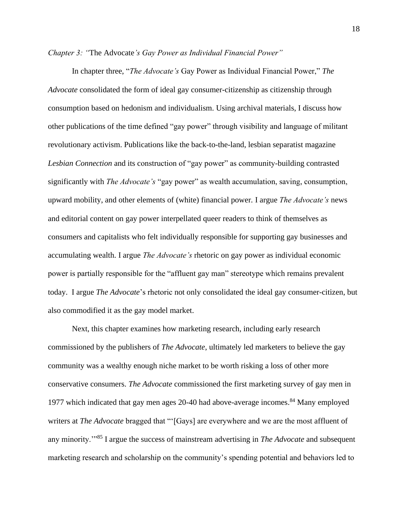*Chapter 3: "*The Advocate*'s Gay Power as Individual Financial Power"*

In chapter three, "*The Advocate's* Gay Power as Individual Financial Power," *The Advocate* consolidated the form of ideal gay consumer-citizenship as citizenship through consumption based on hedonism and individualism. Using archival materials, I discuss how other publications of the time defined "gay power" through visibility and language of militant revolutionary activism. Publications like the back-to-the-land, lesbian separatist magazine *Lesbian Connection* and its construction of "gay power" as community-building contrasted significantly with *The Advocate's* "gay power" as wealth accumulation, saving, consumption, upward mobility, and other elements of (white) financial power*.* I argue *The Advocate's* news and editorial content on gay power interpellated queer readers to think of themselves as consumers and capitalists who felt individually responsible for supporting gay businesses and accumulating wealth. I argue *The Advocate's* rhetoric on gay power as individual economic power is partially responsible for the "affluent gay man" stereotype which remains prevalent today. I argue *The Advocate*'s rhetoric not only consolidated the ideal gay consumer-citizen, but also commodified it as the gay model market.

Next, this chapter examines how marketing research, including early research commissioned by the publishers of *The Advocate*, ultimately led marketers to believe the gay community was a wealthy enough niche market to be worth risking a loss of other more conservative consumers. *The Advocate* commissioned the first marketing survey of gay men in 1977 which indicated that gay men ages 20-40 had above-average incomes.<sup>84</sup> Many employed writers at *The Advocate* bragged that "'[Gays] are everywhere and we are the most affluent of any minority.<sup>"85</sup> I argue the success of mainstream advertising in *The Advocate* and subsequent marketing research and scholarship on the community's spending potential and behaviors led to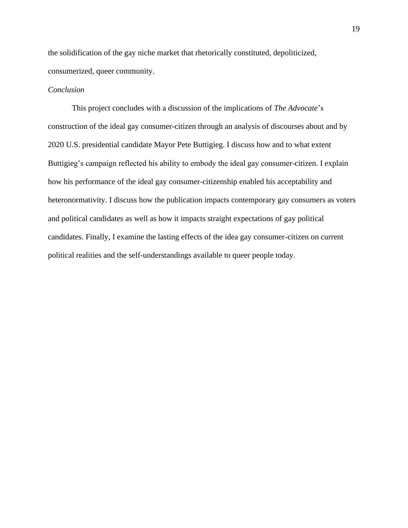the solidification of the gay niche market that rhetorically constituted, depoliticized, consumerized, queer community.

#### *Conclusion*

This project concludes with a discussion of the implications of *The Advocate*'s construction of the ideal gay consumer-citizen through an analysis of discourses about and by 2020 U.S. presidential candidate Mayor Pete Buttigieg. I discuss how and to what extent Buttigieg's campaign reflected his ability to embody the ideal gay consumer-citizen. I explain how his performance of the ideal gay consumer-citizenship enabled his acceptability and heteronormativity. I discuss how the publication impacts contemporary gay consumers as voters and political candidates as well as how it impacts straight expectations of gay political candidates. Finally, I examine the lasting effects of the idea gay consumer-citizen on current political realities and the self-understandings available to queer people today.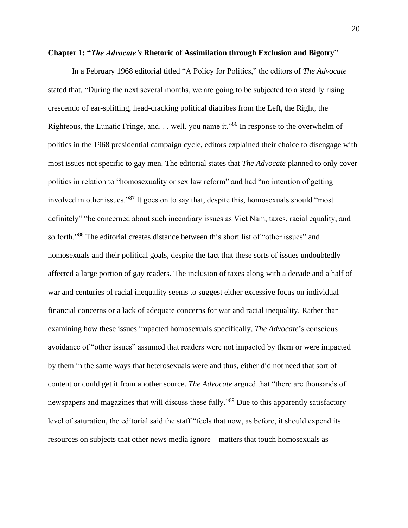#### **Chapter 1: "***The Advocate's* **Rhetoric of Assimilation through Exclusion and Bigotry"**

In a February 1968 editorial titled "A Policy for Politics," the editors of *The Advocate*  stated that, "During the next several months, we are going to be subjected to a steadily rising crescendo of ear-splitting, head-cracking political diatribes from the Left, the Right, the Righteous, the Lunatic Fringe, and. . . well, you name it."<sup>86</sup> In response to the overwhelm of politics in the 1968 presidential campaign cycle, editors explained their choice to disengage with most issues not specific to gay men. The editorial states that *The Advocate* planned to only cover politics in relation to "homosexuality or sex law reform" and had "no intention of getting involved in other issues."<sup>87</sup> It goes on to say that, despite this, homosexuals should "most definitely" "be concerned about such incendiary issues as Viet Nam, taxes, racial equality, and so forth."<sup>88</sup> The editorial creates distance between this short list of "other issues" and homosexuals and their political goals, despite the fact that these sorts of issues undoubtedly affected a large portion of gay readers. The inclusion of taxes along with a decade and a half of war and centuries of racial inequality seems to suggest either excessive focus on individual financial concerns or a lack of adequate concerns for war and racial inequality. Rather than examining how these issues impacted homosexuals specifically, *The Advocate*'s conscious avoidance of "other issues" assumed that readers were not impacted by them or were impacted by them in the same ways that heterosexuals were and thus, either did not need that sort of content or could get it from another source. *The Advocate* argued that "there are thousands of newspapers and magazines that will discuss these fully."<sup>89</sup> Due to this apparently satisfactory level of saturation, the editorial said the staff "feels that now, as before, it should expend its resources on subjects that other news media ignore—matters that touch homosexuals as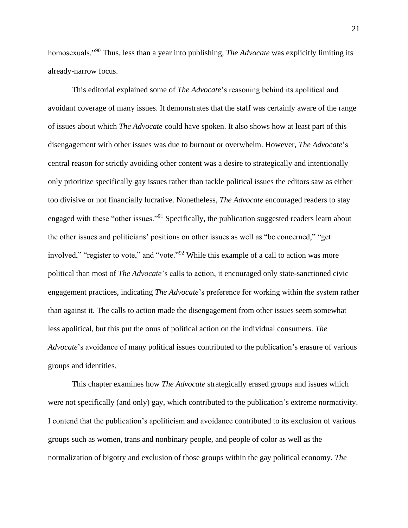homosexuals."<sup>90</sup> Thus, less than a year into publishing, *The Advocate* was explicitly limiting its already-narrow focus.

This editorial explained some of *The Advocate*'s reasoning behind its apolitical and avoidant coverage of many issues. It demonstrates that the staff was certainly aware of the range of issues about which *The Advocate* could have spoken. It also shows how at least part of this disengagement with other issues was due to burnout or overwhelm. However, *The Advocate*'s central reason for strictly avoiding other content was a desire to strategically and intentionally only prioritize specifically gay issues rather than tackle political issues the editors saw as either too divisive or not financially lucrative. Nonetheless, *The Advocate* encouraged readers to stay engaged with these "other issues."<sup>91</sup> Specifically, the publication suggested readers learn about the other issues and politicians' positions on other issues as well as "be concerned," "get involved," "register to vote," and "vote."<sup>92</sup> While this example of a call to action was more political than most of *The Advocate*'s calls to action, it encouraged only state-sanctioned civic engagement practices, indicating *The Advocate*'s preference for working within the system rather than against it. The calls to action made the disengagement from other issues seem somewhat less apolitical, but this put the onus of political action on the individual consumers. *The Advocate*'s avoidance of many political issues contributed to the publication's erasure of various groups and identities.

This chapter examines how *The Advocate* strategically erased groups and issues which were not specifically (and only) gay, which contributed to the publication's extreme normativity. I contend that the publication's apoliticism and avoidance contributed to its exclusion of various groups such as women, trans and nonbinary people, and people of color as well as the normalization of bigotry and exclusion of those groups within the gay political economy. *The*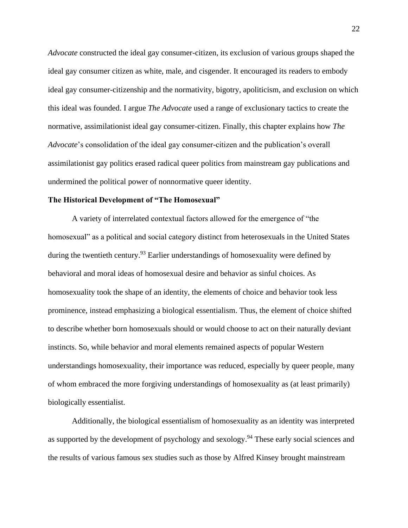*Advocate* constructed the ideal gay consumer-citizen, its exclusion of various groups shaped the ideal gay consumer citizen as white, male, and cisgender. It encouraged its readers to embody ideal gay consumer-citizenship and the normativity, bigotry, apoliticism, and exclusion on which this ideal was founded. I argue *The Advocate* used a range of exclusionary tactics to create the normative, assimilationist ideal gay consumer-citizen. Finally, this chapter explains how *The Advocate*'s consolidation of the ideal gay consumer-citizen and the publication's overall assimilationist gay politics erased radical queer politics from mainstream gay publications and undermined the political power of nonnormative queer identity.

#### **The Historical Development of "The Homosexual"**

A variety of interrelated contextual factors allowed for the emergence of "the homosexual" as a political and social category distinct from heterosexuals in the United States during the twentieth century.<sup>93</sup> Earlier understandings of homosexuality were defined by behavioral and moral ideas of homosexual desire and behavior as sinful choices. As homosexuality took the shape of an identity, the elements of choice and behavior took less prominence, instead emphasizing a biological essentialism. Thus, the element of choice shifted to describe whether born homosexuals should or would choose to act on their naturally deviant instincts. So, while behavior and moral elements remained aspects of popular Western understandings homosexuality, their importance was reduced, especially by queer people, many of whom embraced the more forgiving understandings of homosexuality as (at least primarily) biologically essentialist.

Additionally, the biological essentialism of homosexuality as an identity was interpreted as supported by the development of psychology and sexology.<sup>94</sup> These early social sciences and the results of various famous sex studies such as those by Alfred Kinsey brought mainstream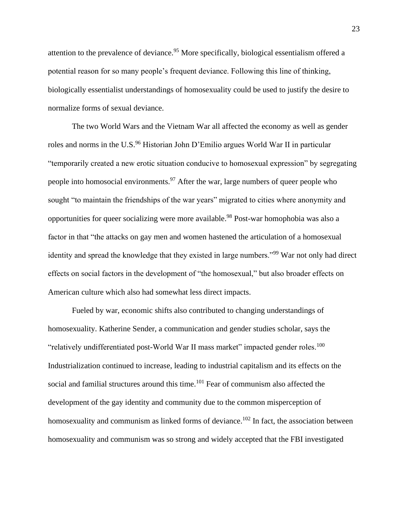attention to the prevalence of deviance.<sup>95</sup> More specifically, biological essentialism offered a potential reason for so many people's frequent deviance. Following this line of thinking, biologically essentialist understandings of homosexuality could be used to justify the desire to normalize forms of sexual deviance.

The two World Wars and the Vietnam War all affected the economy as well as gender roles and norms in the U.S.<sup>96</sup> Historian John D'Emilio argues World War II in particular "temporarily created a new erotic situation conducive to homosexual expression" by segregating people into homosocial environments.<sup>97</sup> After the war, large numbers of queer people who sought "to maintain the friendships of the war years" migrated to cities where anonymity and opportunities for queer socializing were more available.<sup>98</sup> Post-war homophobia was also a factor in that "the attacks on gay men and women hastened the articulation of a homosexual identity and spread the knowledge that they existed in large numbers."<sup>99</sup> War not only had direct effects on social factors in the development of "the homosexual," but also broader effects on American culture which also had somewhat less direct impacts.

Fueled by war, economic shifts also contributed to changing understandings of homosexuality. Katherine Sender, a communication and gender studies scholar, says the "relatively undifferentiated post-World War II mass market" impacted gender roles.<sup>100</sup> Industrialization continued to increase, leading to industrial capitalism and its effects on the social and familial structures around this time.<sup>101</sup> Fear of communism also affected the development of the gay identity and community due to the common misperception of homosexuality and communism as linked forms of deviance.<sup>102</sup> In fact, the association between homosexuality and communism was so strong and widely accepted that the FBI investigated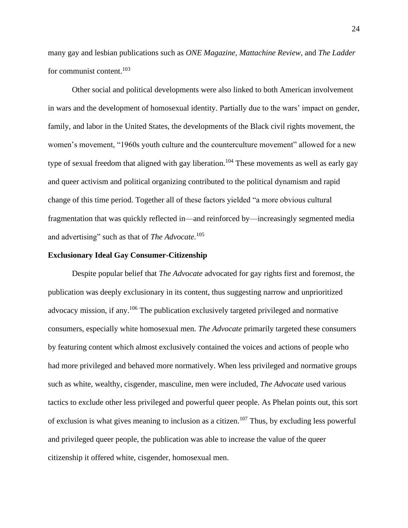many gay and lesbian publications such as *ONE Magazine, Mattachine Review,* and *The Ladder* for communist content.<sup>103</sup>

Other social and political developments were also linked to both American involvement in wars and the development of homosexual identity. Partially due to the wars' impact on gender, family, and labor in the United States, the developments of the Black civil rights movement, the women's movement, "1960s youth culture and the counterculture movement" allowed for a new type of sexual freedom that aligned with gay liberation.<sup>104</sup> These movements as well as early gay and queer activism and political organizing contributed to the political dynamism and rapid change of this time period. Together all of these factors yielded "a more obvious cultural fragmentation that was quickly reflected in—and reinforced by—increasingly segmented media and advertising" such as that of *The Advocate.*<sup>105</sup>

#### **Exclusionary Ideal Gay Consumer-Citizenship**

Despite popular belief that *The Advocate* advocated for gay rights first and foremost, the publication was deeply exclusionary in its content, thus suggesting narrow and unprioritized advocacy mission, if any.<sup>106</sup> The publication exclusively targeted privileged and normative consumers, especially white homosexual men. *The Advocate* primarily targeted these consumers by featuring content which almost exclusively contained the voices and actions of people who had more privileged and behaved more normatively. When less privileged and normative groups such as white, wealthy, cisgender, masculine, men were included, *The Advocate* used various tactics to exclude other less privileged and powerful queer people. As Phelan points out, this sort of exclusion is what gives meaning to inclusion as a citizen.<sup>107</sup> Thus, by excluding less powerful and privileged queer people, the publication was able to increase the value of the queer citizenship it offered white, cisgender, homosexual men.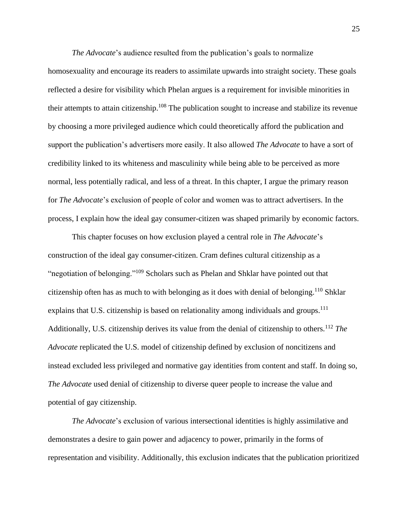*The Advocate*'s audience resulted from the publication's goals to normalize homosexuality and encourage its readers to assimilate upwards into straight society. These goals reflected a desire for visibility which Phelan argues is a requirement for invisible minorities in their attempts to attain citizenship.<sup>108</sup> The publication sought to increase and stabilize its revenue by choosing a more privileged audience which could theoretically afford the publication and support the publication's advertisers more easily. It also allowed *The Advocate* to have a sort of credibility linked to its whiteness and masculinity while being able to be perceived as more normal, less potentially radical, and less of a threat. In this chapter, I argue the primary reason for *The Advocate*'s exclusion of people of color and women was to attract advertisers. In the process, I explain how the ideal gay consumer-citizen was shaped primarily by economic factors.

This chapter focuses on how exclusion played a central role in *The Advocate*'s construction of the ideal gay consumer-citizen. Cram defines cultural citizenship as a "negotiation of belonging."<sup>109</sup> Scholars such as Phelan and Shklar have pointed out that citizenship often has as much to with belonging as it does with denial of belonging.<sup>110</sup> Shklar explains that U.S. citizenship is based on relationality among individuals and groups.<sup>111</sup> Additionally, U.S. citizenship derives its value from the denial of citizenship to others.<sup>112</sup> *The Advocate* replicated the U.S. model of citizenship defined by exclusion of noncitizens and instead excluded less privileged and normative gay identities from content and staff. In doing so, *The Advocate* used denial of citizenship to diverse queer people to increase the value and potential of gay citizenship.

*The Advocate*'s exclusion of various intersectional identities is highly assimilative and demonstrates a desire to gain power and adjacency to power, primarily in the forms of representation and visibility. Additionally, this exclusion indicates that the publication prioritized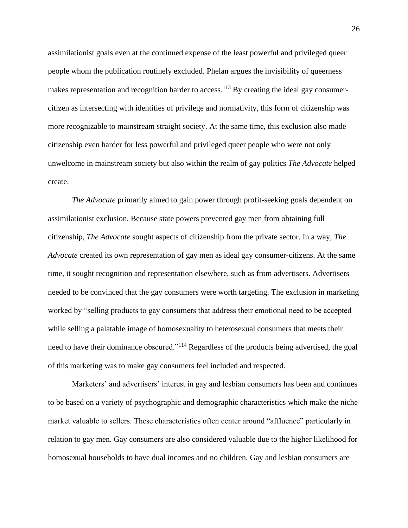assimilationist goals even at the continued expense of the least powerful and privileged queer people whom the publication routinely excluded. Phelan argues the invisibility of queerness makes representation and recognition harder to access.<sup>113</sup> By creating the ideal gay consumercitizen as intersecting with identities of privilege and normativity, this form of citizenship was more recognizable to mainstream straight society. At the same time, this exclusion also made citizenship even harder for less powerful and privileged queer people who were not only unwelcome in mainstream society but also within the realm of gay politics *The Advocate* helped create.

*The Advocate* primarily aimed to gain power through profit-seeking goals dependent on assimilationist exclusion. Because state powers prevented gay men from obtaining full citizenship, *The Advocate* sought aspects of citizenship from the private sector. In a way, *The Advocate* created its own representation of gay men as ideal gay consumer-citizens. At the same time, it sought recognition and representation elsewhere, such as from advertisers. Advertisers needed to be convinced that the gay consumers were worth targeting. The exclusion in marketing worked by "selling products to gay consumers that address their emotional need to be accepted while selling a palatable image of homosexuality to heterosexual consumers that meets their need to have their dominance obscured."<sup>114</sup> Regardless of the products being advertised, the goal of this marketing was to make gay consumers feel included and respected.

Marketers' and advertisers' interest in gay and lesbian consumers has been and continues to be based on a variety of psychographic and demographic characteristics which make the niche market valuable to sellers. These characteristics often center around "affluence" particularly in relation to gay men. Gay consumers are also considered valuable due to the higher likelihood for homosexual households to have dual incomes and no children. Gay and lesbian consumers are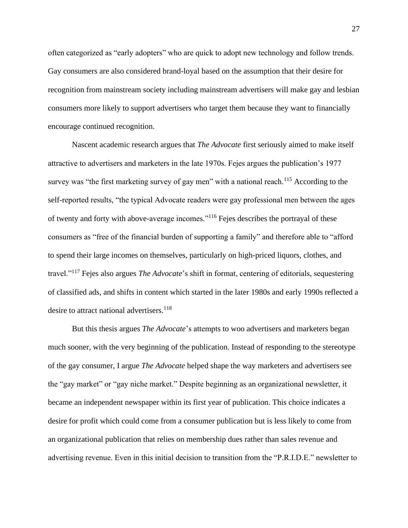often categorized as "early adopters" who are quick to adopt new technology and follow trends. Gay consumers are also considered brand-loyal based on the assumption that their desire for recognition from mainstream society including mainstream advertisers will make gay and lesbian consumers more likely to support advertisers who target them because they want to financially encourage continued recognition.

Nascent academic research argues that *The Advocate* first seriously aimed to make itself attractive to advertisers and marketers in the late 1970s. Fejes argues the publication's 1977 survey was "the first marketing survey of gay men" with a national reach.<sup>115</sup> According to the self-reported results, "the typical Advocate readers were gay professional men between the ages of twenty and forty with above-average incomes."<sup>116</sup> Fejes describes the portrayal of these consumers as "free of the financial burden of supporting a family" and therefore able to "afford to spend their large incomes on themselves, particularly on high-priced liquors, clothes, and travel."<sup>117</sup> Fejes also argues *The Advocate*'s shift in format, centering of editorials, sequestering of classified ads, and shifts in content which started in the later 1980s and early 1990s reflected a desire to attract national advertisers.<sup>118</sup>

But this thesis argues *The Advocate*'s attempts to woo advertisers and marketers began much sooner, with the very beginning of the publication. Instead of responding to the stereotype of the gay consumer, I argue *The Advocate* helped shape the way marketers and advertisers see the "gay market" or "gay niche market." Despite beginning as an organizational newsletter, it became an independent newspaper within its first year of publication. This choice indicates a desire for profit which could come from a consumer publication but is less likely to come from an organizational publication that relies on membership dues rather than sales revenue and advertising revenue. Even in this initial decision to transition from the "P.R.I.D.E." newsletter to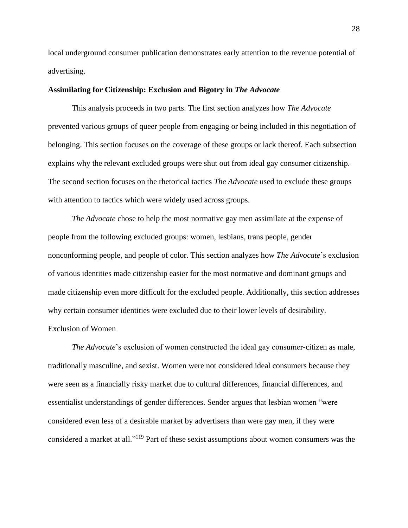local underground consumer publication demonstrates early attention to the revenue potential of advertising.

#### **Assimilating for Citizenship: Exclusion and Bigotry in** *The Advocate*

This analysis proceeds in two parts. The first section analyzes how *The Advocate* prevented various groups of queer people from engaging or being included in this negotiation of belonging. This section focuses on the coverage of these groups or lack thereof. Each subsection explains why the relevant excluded groups were shut out from ideal gay consumer citizenship. The second section focuses on the rhetorical tactics *The Advocate* used to exclude these groups with attention to tactics which were widely used across groups.

*The Advocate* chose to help the most normative gay men assimilate at the expense of people from the following excluded groups: women, lesbians, trans people, gender nonconforming people, and people of color. This section analyzes how *The Advocate*'s exclusion of various identities made citizenship easier for the most normative and dominant groups and made citizenship even more difficult for the excluded people. Additionally, this section addresses why certain consumer identities were excluded due to their lower levels of desirability. Exclusion of Women

*The Advocate*'s exclusion of women constructed the ideal gay consumer-citizen as male, traditionally masculine, and sexist. Women were not considered ideal consumers because they were seen as a financially risky market due to cultural differences, financial differences, and essentialist understandings of gender differences. Sender argues that lesbian women "were considered even less of a desirable market by advertisers than were gay men, if they were considered a market at all."<sup>119</sup> Part of these sexist assumptions about women consumers was the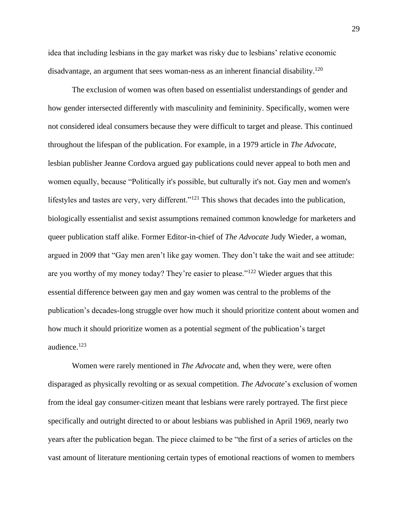idea that including lesbians in the gay market was risky due to lesbians' relative economic disadvantage, an argument that sees woman-ness as an inherent financial disability.<sup>120</sup>

The exclusion of women was often based on essentialist understandings of gender and how gender intersected differently with masculinity and femininity. Specifically, women were not considered ideal consumers because they were difficult to target and please. This continued throughout the lifespan of the publication. For example, in a 1979 article in *The Advocate*, lesbian publisher Jeanne Cordova argued gay publications could never appeal to both men and women equally, because "Politically it's possible, but culturally it's not. Gay men and women's lifestyles and tastes are very, very different."<sup>121</sup> This shows that decades into the publication, biologically essentialist and sexist assumptions remained common knowledge for marketers and queer publication staff alike. Former Editor-in-chief of *The Advocate* Judy Wieder, a woman, argued in 2009 that "Gay men aren't like gay women. They don't take the wait and see attitude: are you worthy of my money today? They're easier to please."<sup>122</sup> Wieder argues that this essential difference between gay men and gay women was central to the problems of the publication's decades-long struggle over how much it should prioritize content about women and how much it should prioritize women as a potential segment of the publication's target audience.<sup>123</sup>

Women were rarely mentioned in *The Advocate* and, when they were, were often disparaged as physically revolting or as sexual competition. *The Advocate*'s exclusion of women from the ideal gay consumer-citizen meant that lesbians were rarely portrayed. The first piece specifically and outright directed to or about lesbians was published in April 1969, nearly two years after the publication began. The piece claimed to be "the first of a series of articles on the vast amount of literature mentioning certain types of emotional reactions of women to members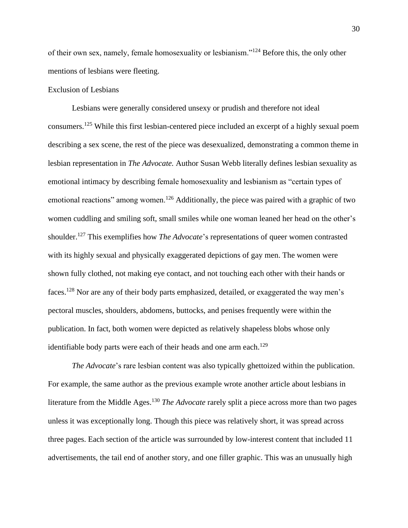of their own sex, namely, female homosexuality or lesbianism."<sup>124</sup> Before this, the only other mentions of lesbians were fleeting.

#### Exclusion of Lesbians

Lesbians were generally considered unsexy or prudish and therefore not ideal consumers.<sup>125</sup> While this first lesbian-centered piece included an excerpt of a highly sexual poem describing a sex scene, the rest of the piece was desexualized, demonstrating a common theme in lesbian representation in *The Advocate.* Author Susan Webb literally defines lesbian sexuality as emotional intimacy by describing female homosexuality and lesbianism as "certain types of emotional reactions" among women.<sup>126</sup> Additionally, the piece was paired with a graphic of two women cuddling and smiling soft, small smiles while one woman leaned her head on the other's shoulder.<sup>127</sup> This exemplifies how *The Advocate*'s representations of queer women contrasted with its highly sexual and physically exaggerated depictions of gay men. The women were shown fully clothed, not making eye contact, and not touching each other with their hands or faces.<sup>128</sup> Nor are any of their body parts emphasized, detailed, or exaggerated the way men's pectoral muscles, shoulders, abdomens, buttocks, and penises frequently were within the publication. In fact, both women were depicted as relatively shapeless blobs whose only identifiable body parts were each of their heads and one arm each.<sup>129</sup>

*The Advocate*'s rare lesbian content was also typically ghettoized within the publication. For example, the same author as the previous example wrote another article about lesbians in literature from the Middle Ages. <sup>130</sup> *The Advocate* rarely split a piece across more than two pages unless it was exceptionally long. Though this piece was relatively short, it was spread across three pages. Each section of the article was surrounded by low-interest content that included 11 advertisements, the tail end of another story, and one filler graphic. This was an unusually high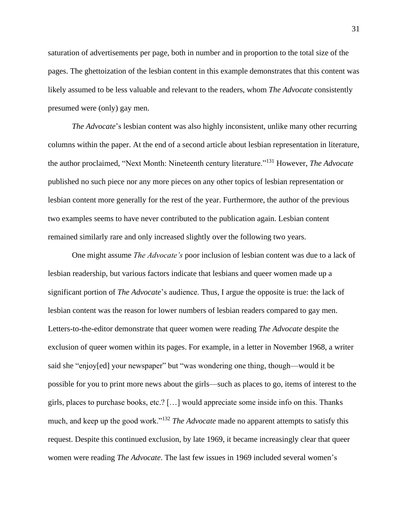saturation of advertisements per page, both in number and in proportion to the total size of the pages. The ghettoization of the lesbian content in this example demonstrates that this content was likely assumed to be less valuable and relevant to the readers, whom *The Advocate* consistently presumed were (only) gay men.

*The Advocate*'s lesbian content was also highly inconsistent, unlike many other recurring columns within the paper. At the end of a second article about lesbian representation in literature, the author proclaimed, "Next Month: Nineteenth century literature."<sup>131</sup> However, *The Advocate* published no such piece nor any more pieces on any other topics of lesbian representation or lesbian content more generally for the rest of the year. Furthermore, the author of the previous two examples seems to have never contributed to the publication again. Lesbian content remained similarly rare and only increased slightly over the following two years.

One might assume *The Advocate's* poor inclusion of lesbian content was due to a lack of lesbian readership, but various factors indicate that lesbians and queer women made up a significant portion of *The Advocate*'s audience. Thus, I argue the opposite is true: the lack of lesbian content was the reason for lower numbers of lesbian readers compared to gay men. Letters-to-the-editor demonstrate that queer women were reading *The Advocate* despite the exclusion of queer women within its pages. For example, in a letter in November 1968, a writer said she "enjoy[ed] your newspaper" but "was wondering one thing, though—would it be possible for you to print more news about the girls—such as places to go, items of interest to the girls, places to purchase books, etc.? […] would appreciate some inside info on this. Thanks much, and keep up the good work."<sup>132</sup> *The Advocate* made no apparent attempts to satisfy this request. Despite this continued exclusion, by late 1969, it became increasingly clear that queer women were reading *The Advocate*. The last few issues in 1969 included several women's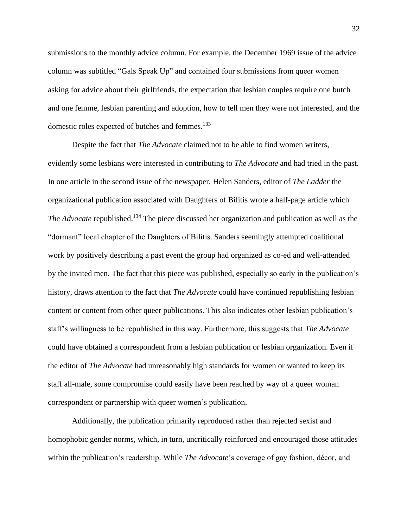submissions to the monthly advice column. For example, the December 1969 issue of the advice column was subtitled "Gals Speak Up" and contained four submissions from queer women asking for advice about their girlfriends, the expectation that lesbian couples require one butch and one femme, lesbian parenting and adoption, how to tell men they were not interested, and the domestic roles expected of butches and femmes.<sup>133</sup>

Despite the fact that *The Advocate* claimed not to be able to find women writers, evidently some lesbians were interested in contributing to *The Advocate* and had tried in the past. In one article in the second issue of the newspaper, Helen Sanders, editor of *The Ladder* the organizational publication associated with Daughters of Bilitis wrote a half-page article which *The Advocate* republished. <sup>134</sup> The piece discussed her organization and publication as well as the "dormant" local chapter of the Daughters of Bilitis. Sanders seemingly attempted coalitional work by positively describing a past event the group had organized as co-ed and well-attended by the invited men. The fact that this piece was published, especially so early in the publication's history, draws attention to the fact that *The Advocate* could have continued republishing lesbian content or content from other queer publications. This also indicates other lesbian publication's staff's willingness to be republished in this way. Furthermore, this suggests that *The Advocate* could have obtained a correspondent from a lesbian publication or lesbian organization. Even if the editor of *The Advocate* had unreasonably high standards for women or wanted to keep its staff all-male, some compromise could easily have been reached by way of a queer woman correspondent or partnership with queer women's publication.

Additionally, the publication primarily reproduced rather than rejected sexist and homophobic gender norms, which, in turn, uncritically reinforced and encouraged those attitudes within the publication's readership. While *The Advocate*'s coverage of gay fashion, décor, and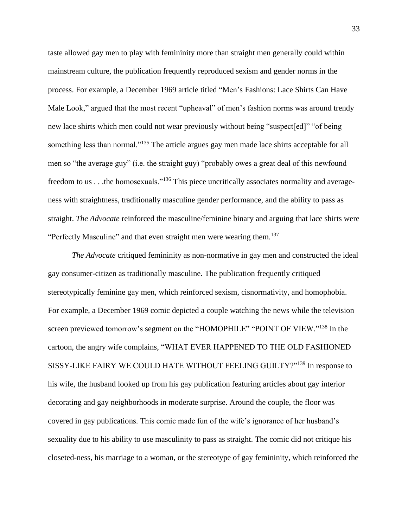taste allowed gay men to play with femininity more than straight men generally could within mainstream culture, the publication frequently reproduced sexism and gender norms in the process. For example, a December 1969 article titled "Men's Fashions: Lace Shirts Can Have Male Look," argued that the most recent "upheaval" of men's fashion norms was around trendy new lace shirts which men could not wear previously without being "suspect[ed]" "of being something less than normal."<sup>135</sup> The article argues gay men made lace shirts acceptable for all men so "the average guy" (i.e. the straight guy) "probably owes a great deal of this newfound freedom to us . . .the homosexuals."<sup>136</sup> This piece uncritically associates normality and averageness with straightness, traditionally masculine gender performance, and the ability to pass as straight. *The Advocate* reinforced the masculine/feminine binary and arguing that lace shirts were "Perfectly Masculine" and that even straight men were wearing them.<sup>137</sup>

*The Advocate* critiqued femininity as non-normative in gay men and constructed the ideal gay consumer-citizen as traditionally masculine. The publication frequently critiqued stereotypically feminine gay men, which reinforced sexism, cisnormativity, and homophobia. For example, a December 1969 comic depicted a couple watching the news while the television screen previewed tomorrow's segment on the "HOMOPHILE" "POINT OF VIEW."<sup>138</sup> In the cartoon, the angry wife complains, "WHAT EVER HAPPENED TO THE OLD FASHIONED SISSY-LIKE FAIRY WE COULD HATE WITHOUT FEELING GUILTY?"<sup>139</sup> In response to his wife, the husband looked up from his gay publication featuring articles about gay interior decorating and gay neighborhoods in moderate surprise. Around the couple, the floor was covered in gay publications. This comic made fun of the wife's ignorance of her husband's sexuality due to his ability to use masculinity to pass as straight. The comic did not critique his closeted-ness, his marriage to a woman, or the stereotype of gay femininity, which reinforced the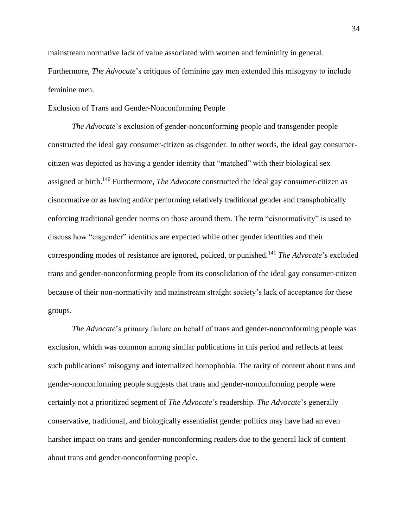mainstream normative lack of value associated with women and femininity in general. Furthermore, *The Advocate*'s critiques of feminine gay men extended this misogyny to include feminine men.

Exclusion of Trans and Gender-Nonconforming People

*The Advocate*'s exclusion of gender-nonconforming people and transgender people constructed the ideal gay consumer-citizen as cisgender. In other words, the ideal gay consumercitizen was depicted as having a gender identity that "matched" with their biological sex assigned at birth.<sup>140</sup> Furthermore, *The Advocate* constructed the ideal gay consumer-citizen as cisnormative or as having and/or performing relatively traditional gender and transphobically enforcing traditional gender norms on those around them. The term "cisnormativity" is used to discuss how "cisgender" identities are expected while other gender identities and their corresponding modes of resistance are ignored, policed, or punished.<sup>141</sup> *The Advocate*'s excluded trans and gender-nonconforming people from its consolidation of the ideal gay consumer-citizen because of their non-normativity and mainstream straight society's lack of acceptance for these groups.

*The Advocate*'s primary failure on behalf of trans and gender-nonconforming people was exclusion, which was common among similar publications in this period and reflects at least such publications' misogyny and internalized homophobia. The rarity of content about trans and gender-nonconforming people suggests that trans and gender-nonconforming people were certainly not a prioritized segment of *The Advocate*'s readership. *The Advocate*'s generally conservative, traditional, and biologically essentialist gender politics may have had an even harsher impact on trans and gender-nonconforming readers due to the general lack of content about trans and gender-nonconforming people.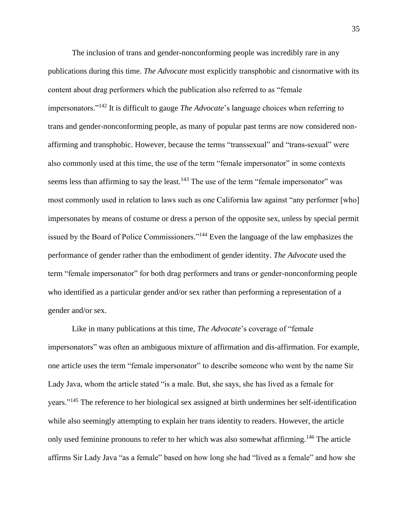The inclusion of trans and gender-nonconforming people was incredibly rare in any publications during this time. *The Advocate* most explicitly transphobic and cisnormative with its content about drag performers which the publication also referred to as "female impersonators."<sup>142</sup> It is difficult to gauge *The Advocate*'s language choices when referring to trans and gender-nonconforming people, as many of popular past terms are now considered nonaffirming and transphobic. However, because the terms "transsexual" and "trans-sexual" were also commonly used at this time, the use of the term "female impersonator" in some contexts seems less than affirming to say the least.<sup>143</sup> The use of the term "female impersonator" was most commonly used in relation to laws such as one California law against "any performer [who] impersonates by means of costume or dress a person of the opposite sex, unless by special permit issued by the Board of Police Commissioners."<sup>144</sup> Even the language of the law emphasizes the performance of gender rather than the embodiment of gender identity. *The Advocate* used the term "female impersonator" for both drag performers and trans or gender-nonconforming people who identified as a particular gender and/or sex rather than performing a representation of a gender and/or sex.

Like in many publications at this time, *The Advocate*'s coverage of "female impersonators" was often an ambiguous mixture of affirmation and dis-affirmation. For example, one article uses the term "female impersonator" to describe someone who went by the name Sir Lady Java, whom the article stated "is a male. But, she says, she has lived as a female for years."<sup>145</sup> The reference to her biological sex assigned at birth undermines her self-identification while also seemingly attempting to explain her trans identity to readers. However, the article only used feminine pronouns to refer to her which was also somewhat affirming.<sup>146</sup> The article affirms Sir Lady Java "as a female" based on how long she had "lived as a female" and how she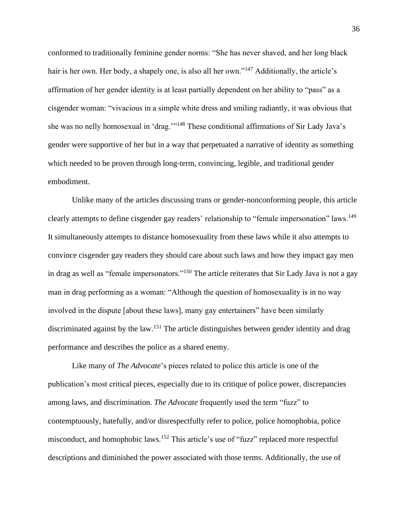conformed to traditionally feminine gender norms: "She has never shaved, and her long black hair is her own. Her body, a shapely one, is also all her own."<sup>147</sup> Additionally, the article's affirmation of her gender identity is at least partially dependent on her ability to "pass" as a cisgender woman: "vivacious in a simple white dress and smiling radiantly, it was obvious that she was no nelly homosexual in 'drag.'"<sup>148</sup> These conditional affirmations of Sir Lady Java's gender were supportive of her but in a way that perpetuated a narrative of identity as something which needed to be proven through long-term, convincing, legible, and traditional gender embodiment.

Unlike many of the articles discussing trans or gender-nonconforming people, this article clearly attempts to define cisgender gay readers' relationship to "female impersonation" laws.<sup>149</sup> It simultaneously attempts to distance homosexuality from these laws while it also attempts to convince cisgender gay readers they should care about such laws and how they impact gay men in drag as well as "female impersonators."<sup>150</sup> The article reiterates that Sir Lady Java is not a gay man in drag performing as a woman: "Although the question of homosexuality is in no way involved in the dispute [about these laws], many gay entertainers" have been similarly discriminated against by the law.<sup>151</sup> The article distinguishes between gender identity and drag performance and describes the police as a shared enemy.

Like many of *The Advocate*'s pieces related to police this article is one of the publication's most critical pieces, especially due to its critique of police power, discrepancies among laws, and discrimination. *The Advocate* frequently used the term "fuzz" to contemptuously, hatefully, and/or disrespectfully refer to police, police homophobia, police misconduct, and homophobic laws.<sup>152</sup> This article's use of "fuzz" replaced more respectful descriptions and diminished the power associated with those terms. Additionally, the use of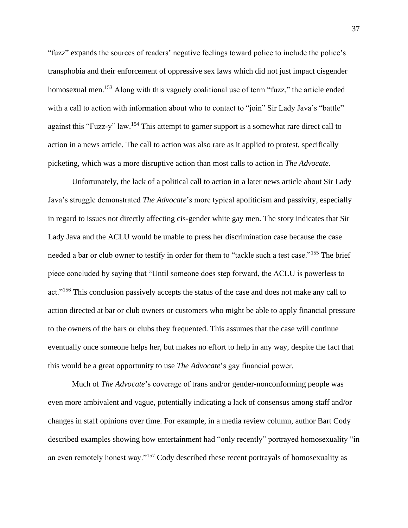"fuzz" expands the sources of readers' negative feelings toward police to include the police's transphobia and their enforcement of oppressive sex laws which did not just impact cisgender homosexual men.<sup>153</sup> Along with this vaguely coalitional use of term "fuzz," the article ended with a call to action with information about who to contact to "join" Sir Lady Java's "battle" against this "Fuzz-y" law.<sup>154</sup> This attempt to garner support is a somewhat rare direct call to action in a news article. The call to action was also rare as it applied to protest, specifically picketing, which was a more disruptive action than most calls to action in *The Advocate*.

Unfortunately, the lack of a political call to action in a later news article about Sir Lady Java's struggle demonstrated *The Advocate*'s more typical apoliticism and passivity, especially in regard to issues not directly affecting cis-gender white gay men. The story indicates that Sir Lady Java and the ACLU would be unable to press her discrimination case because the case needed a bar or club owner to testify in order for them to "tackle such a test case."<sup>155</sup> The brief piece concluded by saying that "Until someone does step forward, the ACLU is powerless to act."<sup>156</sup> This conclusion passively accepts the status of the case and does not make any call to action directed at bar or club owners or customers who might be able to apply financial pressure to the owners of the bars or clubs they frequented. This assumes that the case will continue eventually once someone helps her, but makes no effort to help in any way, despite the fact that this would be a great opportunity to use *The Advocate*'s gay financial power*.*

Much of *The Advocate*'s coverage of trans and/or gender-nonconforming people was even more ambivalent and vague, potentially indicating a lack of consensus among staff and/or changes in staff opinions over time. For example, in a media review column, author Bart Cody described examples showing how entertainment had "only recently" portrayed homosexuality "in an even remotely honest way."<sup>157</sup> Cody described these recent portrayals of homosexuality as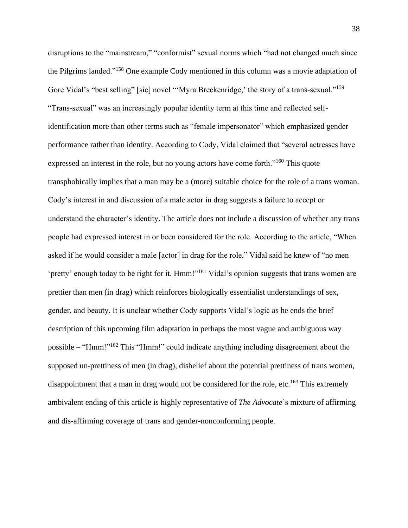disruptions to the "mainstream," "conformist" sexual norms which "had not changed much since the Pilgrims landed."<sup>158</sup> One example Cody mentioned in this column was a movie adaptation of Gore Vidal's "best selling" [sic] novel "'Myra Breckenridge,' the story of a trans-sexual."<sup>159</sup> "Trans-sexual" was an increasingly popular identity term at this time and reflected selfidentification more than other terms such as "female impersonator" which emphasized gender performance rather than identity. According to Cody, Vidal claimed that "several actresses have expressed an interest in the role, but no young actors have come forth."<sup>160</sup> This quote transphobically implies that a man may be a (more) suitable choice for the role of a trans woman. Cody's interest in and discussion of a male actor in drag suggests a failure to accept or understand the character's identity. The article does not include a discussion of whether any trans people had expressed interest in or been considered for the role. According to the article, "When asked if he would consider a male [actor] in drag for the role," Vidal said he knew of "no men 'pretty' enough today to be right for it. Hmm!"<sup>161</sup> Vidal's opinion suggests that trans women are prettier than men (in drag) which reinforces biologically essentialist understandings of sex, gender, and beauty. It is unclear whether Cody supports Vidal's logic as he ends the brief description of this upcoming film adaptation in perhaps the most vague and ambiguous way possible – "Hmm!"<sup>162</sup> This "Hmm!" could indicate anything including disagreement about the supposed un-prettiness of men (in drag), disbelief about the potential prettiness of trans women, disappointment that a man in drag would not be considered for the role, etc.<sup>163</sup> This extremely ambivalent ending of this article is highly representative of *The Advocate*'s mixture of affirming and dis-affirming coverage of trans and gender-nonconforming people.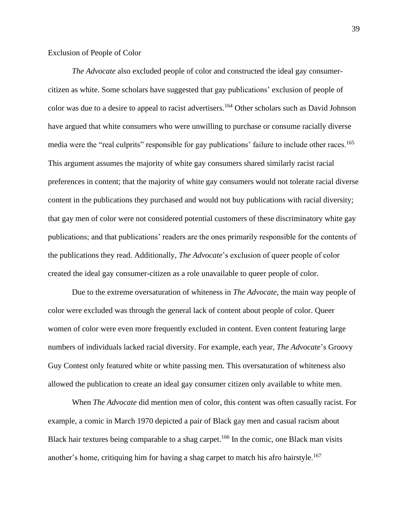#### Exclusion of People of Color

*The Advocate* also excluded people of color and constructed the ideal gay consumercitizen as white. Some scholars have suggested that gay publications' exclusion of people of color was due to a desire to appeal to racist advertisers.<sup>164</sup> Other scholars such as David Johnson have argued that white consumers who were unwilling to purchase or consume racially diverse media were the "real culprits" responsible for gay publications' failure to include other races.<sup>165</sup> This argument assumes the majority of white gay consumers shared similarly racist racial preferences in content; that the majority of white gay consumers would not tolerate racial diverse content in the publications they purchased and would not buy publications with racial diversity; that gay men of color were not considered potential customers of these discriminatory white gay publications; and that publications' readers are the ones primarily responsible for the contents of the publications they read. Additionally, *The Advocate*'s exclusion of queer people of color created the ideal gay consumer-citizen as a role unavailable to queer people of color.

Due to the extreme oversaturation of whiteness in *The Advocate,* the main way people of color were excluded was through the general lack of content about people of color. Queer women of color were even more frequently excluded in content. Even content featuring large numbers of individuals lacked racial diversity. For example, each year, *The Advocate*'s Groovy Guy Contest only featured white or white passing men. This oversaturation of whiteness also allowed the publication to create an ideal gay consumer citizen only available to white men.

When *The Advocate* did mention men of color, this content was often casually racist. For example, a comic in March 1970 depicted a pair of Black gay men and casual racism about Black hair textures being comparable to a shag carpet.<sup>166</sup> In the comic, one Black man visits another's home, critiquing him for having a shag carpet to match his afro hairstyle.<sup>167</sup>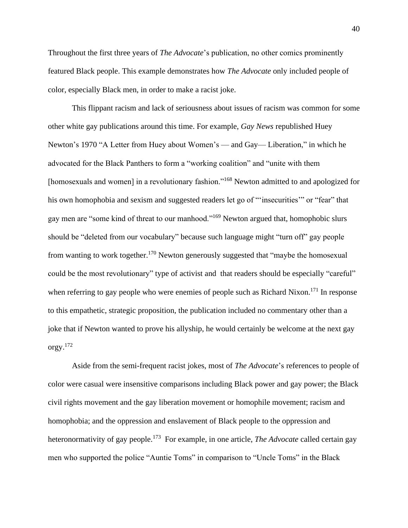Throughout the first three years of *The Advocate*'s publication, no other comics prominently featured Black people. This example demonstrates how *The Advocate* only included people of color, especially Black men, in order to make a racist joke.

This flippant racism and lack of seriousness about issues of racism was common for some other white gay publications around this time. For example, *Gay News* republished Huey Newton's 1970 "A Letter from Huey about Women's — and Gay— Liberation," in which he advocated for the Black Panthers to form a "working coalition" and "unite with them [homosexuals and women] in a revolutionary fashion."<sup>168</sup> Newton admitted to and apologized for his own homophobia and sexism and suggested readers let go of "'insecurities'" or "fear" that gay men are "some kind of threat to our manhood."<sup>169</sup> Newton argued that, homophobic slurs should be "deleted from our vocabulary" because such language might "turn off" gay people from wanting to work together.<sup>170</sup> Newton generously suggested that "maybe the homosexual could be the most revolutionary" type of activist and that readers should be especially "careful" when referring to gay people who were enemies of people such as Richard Nixon.<sup>171</sup> In response to this empathetic, strategic proposition, the publication included no commentary other than a joke that if Newton wanted to prove his allyship, he would certainly be welcome at the next gay orgy. 172

Aside from the semi-frequent racist jokes, most of *The Advocate*'s references to people of color were casual were insensitive comparisons including Black power and gay power; the Black civil rights movement and the gay liberation movement or homophile movement; racism and homophobia; and the oppression and enslavement of Black people to the oppression and heteronormativity of gay people.<sup>173</sup> For example, in one article, *The Advocate* called certain gay men who supported the police "Auntie Toms" in comparison to "Uncle Toms" in the Black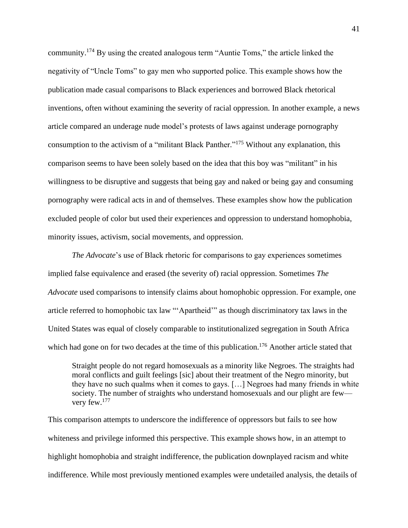community.<sup>174</sup> By using the created analogous term "Auntie Toms," the article linked the negativity of "Uncle Toms" to gay men who supported police. This example shows how the publication made casual comparisons to Black experiences and borrowed Black rhetorical inventions, often without examining the severity of racial oppression. In another example, a news article compared an underage nude model's protests of laws against underage pornography consumption to the activism of a "militant Black Panther."<sup>175</sup> Without any explanation, this comparison seems to have been solely based on the idea that this boy was "militant" in his willingness to be disruptive and suggests that being gay and naked or being gay and consuming pornography were radical acts in and of themselves. These examples show how the publication excluded people of color but used their experiences and oppression to understand homophobia, minority issues, activism, social movements, and oppression.

*The Advocate*'s use of Black rhetoric for comparisons to gay experiences sometimes implied false equivalence and erased (the severity of) racial oppression. Sometimes *The Advocate* used comparisons to intensify claims about homophobic oppression. For example, one article referred to homophobic tax law "'Apartheid'" as though discriminatory tax laws in the United States was equal of closely comparable to institutionalized segregation in South Africa which had gone on for two decades at the time of this publication.<sup>176</sup> Another article stated that

Straight people do not regard homosexuals as a minority like Negroes. The straights had moral conflicts and guilt feelings [sic] about their treatment of the Negro minority, but they have no such qualms when it comes to gays. […] Negroes had many friends in white society. The number of straights who understand homosexuals and our plight are few very few.<sup>177</sup>

This comparison attempts to underscore the indifference of oppressors but fails to see how whiteness and privilege informed this perspective. This example shows how, in an attempt to highlight homophobia and straight indifference, the publication downplayed racism and white indifference. While most previously mentioned examples were undetailed analysis, the details of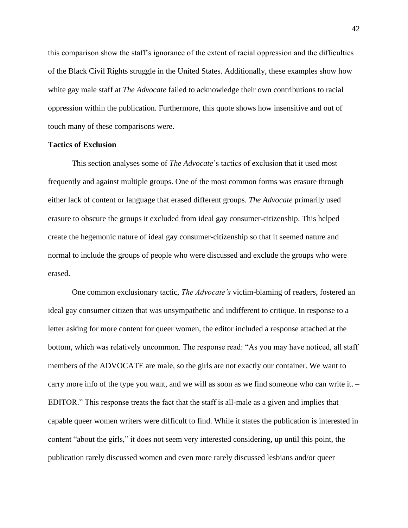this comparison show the staff's ignorance of the extent of racial oppression and the difficulties of the Black Civil Rights struggle in the United States. Additionally, these examples show how white gay male staff at *The Advocate* failed to acknowledge their own contributions to racial oppression within the publication. Furthermore, this quote shows how insensitive and out of touch many of these comparisons were.

## **Tactics of Exclusion**

This section analyses some of *The Advocate*'s tactics of exclusion that it used most frequently and against multiple groups. One of the most common forms was erasure through either lack of content or language that erased different groups. *The Advocate* primarily used erasure to obscure the groups it excluded from ideal gay consumer-citizenship. This helped create the hegemonic nature of ideal gay consumer-citizenship so that it seemed nature and normal to include the groups of people who were discussed and exclude the groups who were erased.

One common exclusionary tactic, *The Advocate's* victim-blaming of readers, fostered an ideal gay consumer citizen that was unsympathetic and indifferent to critique. In response to a letter asking for more content for queer women, the editor included a response attached at the bottom, which was relatively uncommon. The response read: "As you may have noticed, all staff members of the ADVOCATE are male, so the girls are not exactly our container. We want to carry more info of the type you want, and we will as soon as we find someone who can write it. – EDITOR." This response treats the fact that the staff is all-male as a given and implies that capable queer women writers were difficult to find. While it states the publication is interested in content "about the girls," it does not seem very interested considering, up until this point, the publication rarely discussed women and even more rarely discussed lesbians and/or queer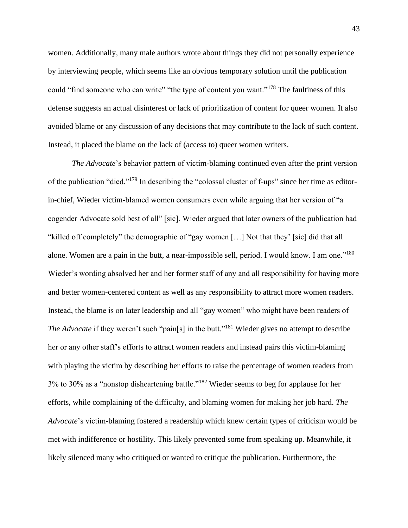women. Additionally, many male authors wrote about things they did not personally experience by interviewing people, which seems like an obvious temporary solution until the publication could "find someone who can write" "the type of content you want."<sup>178</sup> The faultiness of this defense suggests an actual disinterest or lack of prioritization of content for queer women. It also avoided blame or any discussion of any decisions that may contribute to the lack of such content. Instead, it placed the blame on the lack of (access to) queer women writers.

*The Advocate*'s behavior pattern of victim-blaming continued even after the print version of the publication "died."<sup>179</sup> In describing the "colossal cluster of f-ups" since her time as editorin-chief, Wieder victim-blamed women consumers even while arguing that her version of "a cogender Advocate sold best of all" [sic]. Wieder argued that later owners of the publication had "killed off completely" the demographic of "gay women […] Not that they' [sic] did that all alone. Women are a pain in the butt, a near-impossible sell, period. I would know. I am one."<sup>180</sup> Wieder's wording absolved her and her former staff of any and all responsibility for having more and better women-centered content as well as any responsibility to attract more women readers. Instead, the blame is on later leadership and all "gay women" who might have been readers of *The Advocate* if they weren't such "pain[s] in the butt."<sup>181</sup> Wieder gives no attempt to describe her or any other staff's efforts to attract women readers and instead pairs this victim-blaming with playing the victim by describing her efforts to raise the percentage of women readers from 3% to 30% as a "nonstop disheartening battle."<sup>182</sup> Wieder seems to beg for applause for her efforts, while complaining of the difficulty, and blaming women for making her job hard. *The Advocate*'s victim-blaming fostered a readership which knew certain types of criticism would be met with indifference or hostility. This likely prevented some from speaking up. Meanwhile, it likely silenced many who critiqued or wanted to critique the publication. Furthermore, the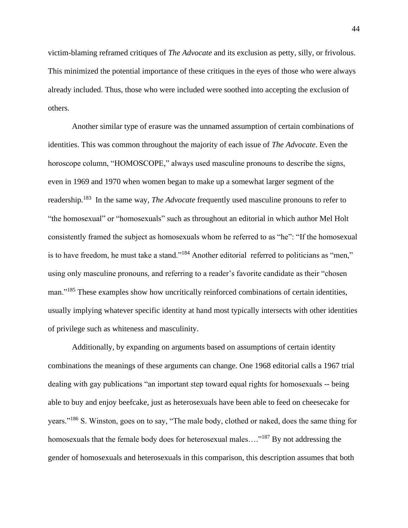victim-blaming reframed critiques of *The Advocate* and its exclusion as petty, silly, or frivolous. This minimized the potential importance of these critiques in the eyes of those who were always already included. Thus, those who were included were soothed into accepting the exclusion of others.

Another similar type of erasure was the unnamed assumption of certain combinations of identities. This was common throughout the majority of each issue of *The Advocate*. Even the horoscope column, "HOMOSCOPE," always used masculine pronouns to describe the signs, even in 1969 and 1970 when women began to make up a somewhat larger segment of the readership.<sup>183</sup> In the same way, *The Advocate* frequently used masculine pronouns to refer to "the homosexual" or "homosexuals" such as throughout an editorial in which author Mel Holt consistently framed the subject as homosexuals whom he referred to as "he": "If the homosexual is to have freedom, he must take a stand."<sup>184</sup> Another editorial referred to politicians as "men," using only masculine pronouns, and referring to a reader's favorite candidate as their "chosen man."<sup>185</sup> These examples show how uncritically reinforced combinations of certain identities, usually implying whatever specific identity at hand most typically intersects with other identities of privilege such as whiteness and masculinity.

Additionally, by expanding on arguments based on assumptions of certain identity combinations the meanings of these arguments can change. One 1968 editorial calls a 1967 trial dealing with gay publications "an important step toward equal rights for homosexuals -- being able to buy and enjoy beefcake, just as heterosexuals have been able to feed on cheesecake for years."<sup>186</sup> S. Winston, goes on to say, "The male body, clothed or naked, does the same thing for homosexuals that the female body does for heterosexual males...."<sup>187</sup> By not addressing the gender of homosexuals and heterosexuals in this comparison, this description assumes that both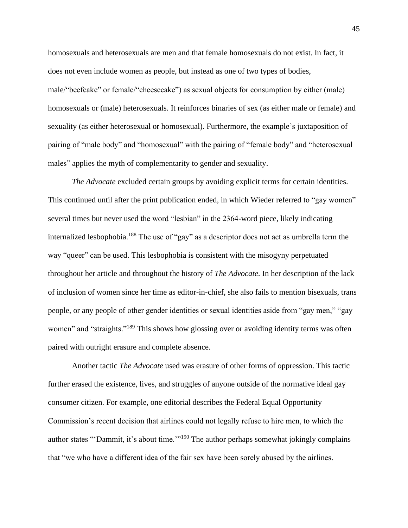homosexuals and heterosexuals are men and that female homosexuals do not exist. In fact, it does not even include women as people, but instead as one of two types of bodies, male/"beefcake" or female/"cheesecake") as sexual objects for consumption by either (male) homosexuals or (male) heterosexuals. It reinforces binaries of sex (as either male or female) and sexuality (as either heterosexual or homosexual). Furthermore, the example's juxtaposition of pairing of "male body" and "homosexual" with the pairing of "female body" and "heterosexual males" applies the myth of complementarity to gender and sexuality.

*The Advocate* excluded certain groups by avoiding explicit terms for certain identities. This continued until after the print publication ended, in which Wieder referred to "gay women" several times but never used the word "lesbian" in the 2364-word piece, likely indicating internalized lesbophobia.<sup>188</sup> The use of "gay" as a descriptor does not act as umbrella term the way "queer" can be used. This lesbophobia is consistent with the misogyny perpetuated throughout her article and throughout the history of *The Advocate*. In her description of the lack of inclusion of women since her time as editor-in-chief, she also fails to mention bisexuals, trans people, or any people of other gender identities or sexual identities aside from "gay men," "gay women" and "straights."<sup>189</sup> This shows how glossing over or avoiding identity terms was often paired with outright erasure and complete absence.

Another tactic *The Advocate* used was erasure of other forms of oppression. This tactic further erased the existence, lives, and struggles of anyone outside of the normative ideal gay consumer citizen. For example, one editorial describes the Federal Equal Opportunity Commission's recent decision that airlines could not legally refuse to hire men, to which the author states "'Dammit, it's about time."<sup>190</sup> The author perhaps somewhat jokingly complains that "we who have a different idea of the fair sex have been sorely abused by the airlines.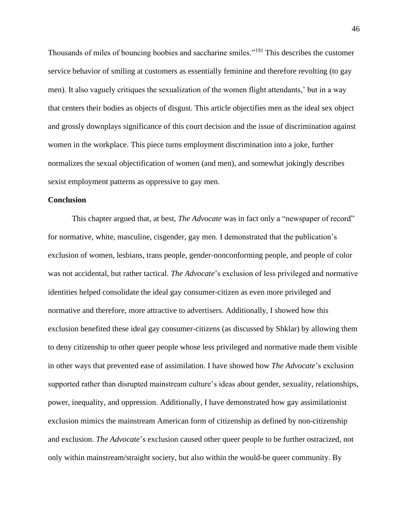Thousands of miles of bouncing boobies and saccharine smiles."<sup>191</sup> This describes the customer service behavior of smiling at customers as essentially feminine and therefore revolting (to gay men). It also vaguely critiques the sexualization of the women flight attendants,' but in a way that centers their bodies as objects of disgust. This article objectifies men as the ideal sex object and grossly downplays significance of this court decision and the issue of discrimination against women in the workplace. This piece turns employment discrimination into a joke, further normalizes the sexual objectification of women (and men), and somewhat jokingly describes sexist employment patterns as oppressive to gay men.

## **Conclusion**

This chapter argued that, at best, *The Advocate* was in fact only a "newspaper of record" for normative, white, masculine, cisgender, gay men. I demonstrated that the publication's exclusion of women, lesbians, trans people, gender-nonconforming people, and people of color was not accidental, but rather tactical. *The Advocate*'s exclusion of less privileged and normative identities helped consolidate the ideal gay consumer-citizen as even more privileged and normative and therefore, more attractive to advertisers. Additionally, I showed how this exclusion benefited these ideal gay consumer-citizens (as discussed by Shklar) by allowing them to deny citizenship to other queer people whose less privileged and normative made them visible in other ways that prevented ease of assimilation. I have showed how *The Advocate*'s exclusion supported rather than disrupted mainstream culture's ideas about gender, sexuality, relationships, power, inequality, and oppression. Additionally, I have demonstrated how gay assimilationist exclusion mimics the mainstream American form of citizenship as defined by non-citizenship and exclusion. *The Advocate*'s exclusion caused other queer people to be further ostracized, not only within mainstream/straight society, but also within the would-be queer community. By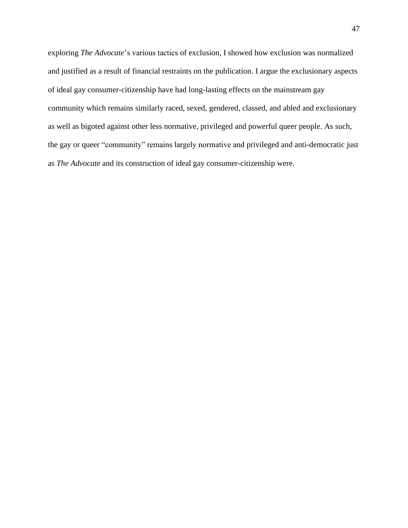exploring *The Advocate*'s various tactics of exclusion, I showed how exclusion was normalized and justified as a result of financial restraints on the publication. I argue the exclusionary aspects of ideal gay consumer-citizenship have had long-lasting effects on the mainstream gay community which remains similarly raced, sexed, gendered, classed, and abled and exclusionary as well as bigoted against other less normative, privileged and powerful queer people. As such, the gay or queer "community" remains largely normative and privileged and anti-democratic just as *The Advocate* and its construction of ideal gay consumer-citizenship were.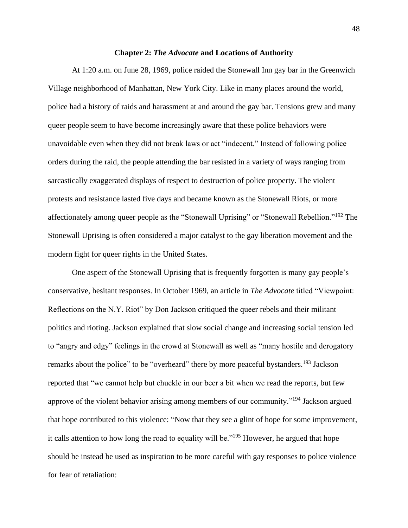#### **Chapter 2:** *The Advocate* **and Locations of Authority**

At 1:20 a.m. on June 28, 1969, police raided the Stonewall Inn gay bar in the Greenwich Village neighborhood of Manhattan, New York City. Like in many places around the world, police had a history of raids and harassment at and around the gay bar. Tensions grew and many queer people seem to have become increasingly aware that these police behaviors were unavoidable even when they did not break laws or act "indecent." Instead of following police orders during the raid, the people attending the bar resisted in a variety of ways ranging from sarcastically exaggerated displays of respect to destruction of police property. The violent protests and resistance lasted five days and became known as the Stonewall Riots, or more affectionately among queer people as the "Stonewall Uprising" or "Stonewall Rebellion."<sup>192</sup> The Stonewall Uprising is often considered a major catalyst to the gay liberation movement and the modern fight for queer rights in the United States.

One aspect of the Stonewall Uprising that is frequently forgotten is many gay people's conservative, hesitant responses. In October 1969, an article in *The Advocate* titled "Viewpoint: Reflections on the N.Y. Riot" by Don Jackson critiqued the queer rebels and their militant politics and rioting. Jackson explained that slow social change and increasing social tension led to "angry and edgy" feelings in the crowd at Stonewall as well as "many hostile and derogatory remarks about the police" to be "overheard" there by more peaceful bystanders.<sup>193</sup> Jackson reported that "we cannot help but chuckle in our beer a bit when we read the reports, but few approve of the violent behavior arising among members of our community."<sup>194</sup> Jackson argued that hope contributed to this violence: "Now that they see a glint of hope for some improvement, it calls attention to how long the road to equality will be."<sup>195</sup> However, he argued that hope should be instead be used as inspiration to be more careful with gay responses to police violence for fear of retaliation: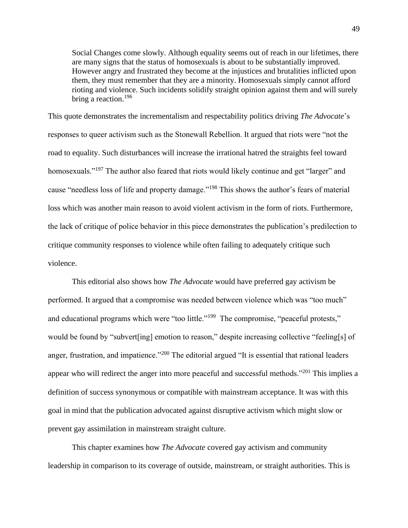Social Changes come slowly. Although equality seems out of reach in our lifetimes, there are many signs that the status of homosexuals is about to be substantially improved. However angry and frustrated they become at the injustices and brutalities inflicted upon them, they must remember that they are a minority. Homosexuals simply cannot afford rioting and violence. Such incidents solidify straight opinion against them and will surely bring a reaction.<sup>196</sup>

This quote demonstrates the incrementalism and respectability politics driving *The Advocate*'s responses to queer activism such as the Stonewall Rebellion. It argued that riots were "not the road to equality. Such disturbances will increase the irrational hatred the straights feel toward homosexuals."<sup>197</sup> The author also feared that riots would likely continue and get "larger" and cause "needless loss of life and property damage."<sup>198</sup> This shows the author's fears of material loss which was another main reason to avoid violent activism in the form of riots. Furthermore, the lack of critique of police behavior in this piece demonstrates the publication's predilection to critique community responses to violence while often failing to adequately critique such violence.

This editorial also shows how *The Advocate* would have preferred gay activism be performed. It argued that a compromise was needed between violence which was "too much" and educational programs which were "too little."<sup>199</sup> The compromise, "peaceful protests," would be found by "subvert[ing] emotion to reason," despite increasing collective "feeling[s] of anger, frustration, and impatience."<sup>200</sup> The editorial argued "It is essential that rational leaders appear who will redirect the anger into more peaceful and successful methods."<sup>201</sup> This implies a definition of success synonymous or compatible with mainstream acceptance. It was with this goal in mind that the publication advocated against disruptive activism which might slow or prevent gay assimilation in mainstream straight culture.

This chapter examines how *The Advocate* covered gay activism and community leadership in comparison to its coverage of outside, mainstream, or straight authorities. This is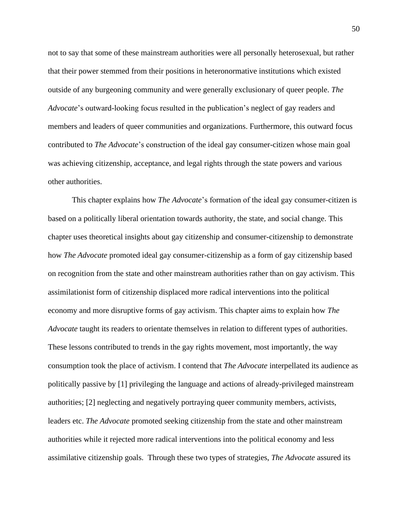not to say that some of these mainstream authorities were all personally heterosexual, but rather that their power stemmed from their positions in heteronormative institutions which existed outside of any burgeoning community and were generally exclusionary of queer people. *The Advocate*'s outward-looking focus resulted in the publication's neglect of gay readers and members and leaders of queer communities and organizations. Furthermore, this outward focus contributed to *The Advocate*'s construction of the ideal gay consumer-citizen whose main goal was achieving citizenship, acceptance, and legal rights through the state powers and various other authorities.

This chapter explains how *The Advocate*'s formation of the ideal gay consumer-citizen is based on a politically liberal orientation towards authority, the state, and social change. This chapter uses theoretical insights about gay citizenship and consumer-citizenship to demonstrate how *The Advocate* promoted ideal gay consumer-citizenship as a form of gay citizenship based on recognition from the state and other mainstream authorities rather than on gay activism. This assimilationist form of citizenship displaced more radical interventions into the political economy and more disruptive forms of gay activism. This chapter aims to explain how *The Advocate* taught its readers to orientate themselves in relation to different types of authorities. These lessons contributed to trends in the gay rights movement, most importantly, the way consumption took the place of activism. I contend that *The Advocate* interpellated its audience as politically passive by [1] privileging the language and actions of already-privileged mainstream authorities; [2] neglecting and negatively portraying queer community members, activists, leaders etc. *The Advocate* promoted seeking citizenship from the state and other mainstream authorities while it rejected more radical interventions into the political economy and less assimilative citizenship goals. Through these two types of strategies, *The Advocate* assured its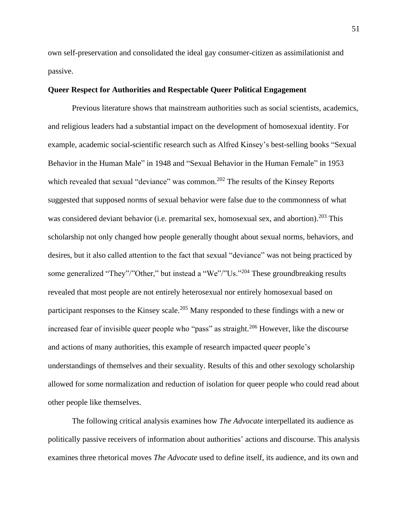own self-preservation and consolidated the ideal gay consumer-citizen as assimilationist and passive.

## **Queer Respect for Authorities and Respectable Queer Political Engagement**

Previous literature shows that mainstream authorities such as social scientists, academics, and religious leaders had a substantial impact on the development of homosexual identity. For example, academic social-scientific research such as Alfred Kinsey's best-selling books "Sexual Behavior in the Human Male" in 1948 and "Sexual Behavior in the Human Female" in 1953 which revealed that sexual "deviance" was common.<sup>202</sup> The results of the Kinsey Reports suggested that supposed norms of sexual behavior were false due to the commonness of what was considered deviant behavior (i.e. premarital sex, homosexual sex, and abortion).<sup>203</sup> This scholarship not only changed how people generally thought about sexual norms, behaviors, and desires, but it also called attention to the fact that sexual "deviance" was not being practiced by some generalized "They"/"Other," but instead a "We"/"Us."<sup>204</sup> These groundbreaking results revealed that most people are not entirely heterosexual nor entirely homosexual based on participant responses to the Kinsey scale.<sup>205</sup> Many responded to these findings with a new or increased fear of invisible queer people who "pass" as straight.<sup>206</sup> However, like the discourse and actions of many authorities, this example of research impacted queer people's understandings of themselves and their sexuality. Results of this and other sexology scholarship allowed for some normalization and reduction of isolation for queer people who could read about other people like themselves.

The following critical analysis examines how *The Advocate* interpellated its audience as politically passive receivers of information about authorities' actions and discourse. This analysis examines three rhetorical moves *The Advocate* used to define itself, its audience, and its own and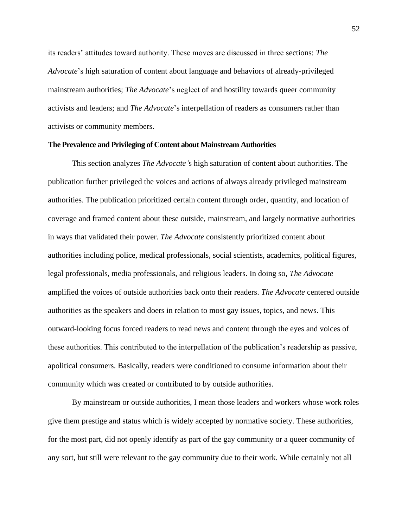its readers' attitudes toward authority. These moves are discussed in three sections: *The Advocate*'s high saturation of content about language and behaviors of already-privileged mainstream authorities; *The Advocate*'s neglect of and hostility towards queer community activists and leaders; and *The Advocate*'s interpellation of readers as consumers rather than activists or community members.

## **The Prevalence and Privileging of Content about Mainstream Authorities**

This section analyzes *The Advocate'*s high saturation of content about authorities. The publication further privileged the voices and actions of always already privileged mainstream authorities. The publication prioritized certain content through order, quantity, and location of coverage and framed content about these outside, mainstream, and largely normative authorities in ways that validated their power. *The Advocate* consistently prioritized content about authorities including police, medical professionals, social scientists, academics, political figures, legal professionals, media professionals, and religious leaders. In doing so, *The Advocate* amplified the voices of outside authorities back onto their readers. *The Advocate* centered outside authorities as the speakers and doers in relation to most gay issues, topics, and news. This outward-looking focus forced readers to read news and content through the eyes and voices of these authorities. This contributed to the interpellation of the publication's readership as passive, apolitical consumers. Basically, readers were conditioned to consume information about their community which was created or contributed to by outside authorities.

By mainstream or outside authorities, I mean those leaders and workers whose work roles give them prestige and status which is widely accepted by normative society. These authorities, for the most part, did not openly identify as part of the gay community or a queer community of any sort, but still were relevant to the gay community due to their work. While certainly not all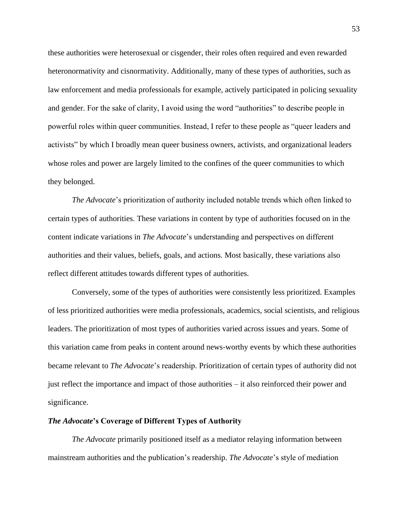these authorities were heterosexual or cisgender, their roles often required and even rewarded heteronormativity and cisnormativity. Additionally, many of these types of authorities, such as law enforcement and media professionals for example, actively participated in policing sexuality and gender. For the sake of clarity, I avoid using the word "authorities" to describe people in powerful roles within queer communities. Instead, I refer to these people as "queer leaders and activists" by which I broadly mean queer business owners, activists, and organizational leaders whose roles and power are largely limited to the confines of the queer communities to which they belonged.

*The Advocate*'s prioritization of authority included notable trends which often linked to certain types of authorities. These variations in content by type of authorities focused on in the content indicate variations in *The Advocate*'s understanding and perspectives on different authorities and their values, beliefs, goals, and actions. Most basically, these variations also reflect different attitudes towards different types of authorities.

Conversely, some of the types of authorities were consistently less prioritized. Examples of less prioritized authorities were media professionals, academics, social scientists, and religious leaders. The prioritization of most types of authorities varied across issues and years. Some of this variation came from peaks in content around news-worthy events by which these authorities became relevant to *The Advocate*'s readership. Prioritization of certain types of authority did not just reflect the importance and impact of those authorities – it also reinforced their power and significance.

#### *The Advocate***'s Coverage of Different Types of Authority**

*The Advocate* primarily positioned itself as a mediator relaying information between mainstream authorities and the publication's readership. *The Advocate*'s style of mediation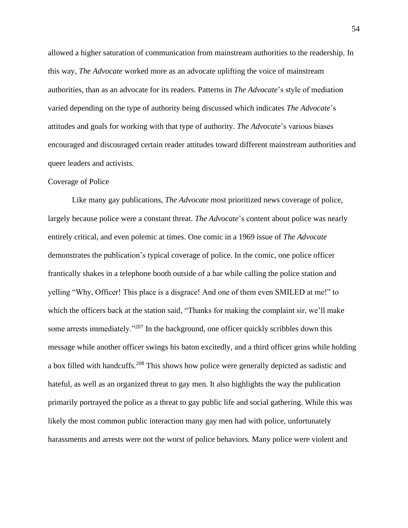allowed a higher saturation of communication from mainstream authorities to the readership. In this way, *The Advocate* worked more as an advocate uplifting the voice of mainstream authorities, than as an advocate for its readers. Patterns in *The Advocate*'s style of mediation varied depending on the type of authority being discussed which indicates *The Advocate*'s attitudes and goals for working with that type of authority. *The Advocate*'s various biases encouraged and discouraged certain reader attitudes toward different mainstream authorities and queer leaders and activists.

## Coverage of Police

Like many gay publications, *The Advocate* most prioritized news coverage of police, largely because police were a constant threat. *The Advocate*'s content about police was nearly entirely critical, and even polemic at times. One comic in a 1969 issue of *The Advocate* demonstrates the publication's typical coverage of police. In the comic, one police officer frantically shakes in a telephone booth outside of a bar while calling the police station and yelling "Why, Officer! This place is a disgrace! And one of them even SMILED at me!" to which the officers back at the station said, "Thanks for making the complaint sir, we'll make some arrests immediately."<sup>207</sup> In the background, one officer quickly scribbles down this message while another officer swings his baton excitedly, and a third officer grins while holding a box filled with handcuffs.<sup>208</sup> This shows how police were generally depicted as sadistic and hateful, as well as an organized threat to gay men. It also highlights the way the publication primarily portrayed the police as a threat to gay public life and social gathering. While this was likely the most common public interaction many gay men had with police, unfortunately harassments and arrests were not the worst of police behaviors. Many police were violent and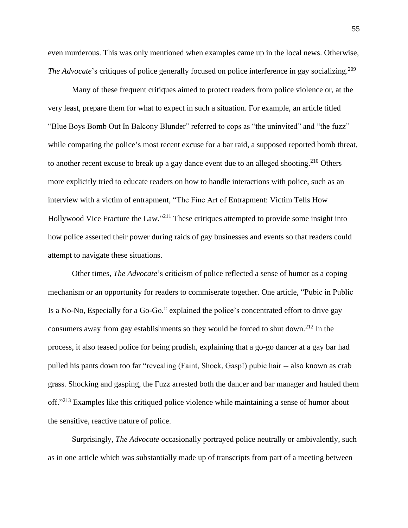even murderous. This was only mentioned when examples came up in the local news. Otherwise, *The Advocate*'s critiques of police generally focused on police interference in gay socializing.<sup>209</sup>

Many of these frequent critiques aimed to protect readers from police violence or, at the very least, prepare them for what to expect in such a situation. For example, an article titled "Blue Boys Bomb Out In Balcony Blunder" referred to cops as "the uninvited" and "the fuzz" while comparing the police's most recent excuse for a bar raid, a supposed reported bomb threat, to another recent excuse to break up a gay dance event due to an alleged shooting.<sup>210</sup> Others more explicitly tried to educate readers on how to handle interactions with police, such as an interview with a victim of entrapment, "The Fine Art of Entrapment: Victim Tells How Hollywood Vice Fracture the Law."<sup>211</sup> These critiques attempted to provide some insight into how police asserted their power during raids of gay businesses and events so that readers could attempt to navigate these situations.

Other times, *The Advocate*'s criticism of police reflected a sense of humor as a coping mechanism or an opportunity for readers to commiserate together. One article, "Pubic in Public Is a No-No, Especially for a Go-Go," explained the police's concentrated effort to drive gay consumers away from gay establishments so they would be forced to shut down.<sup>212</sup> In the process, it also teased police for being prudish, explaining that a go-go dancer at a gay bar had pulled his pants down too far "revealing (Faint, Shock, Gasp!) pubic hair -- also known as crab grass. Shocking and gasping, the Fuzz arrested both the dancer and bar manager and hauled them off."<sup>213</sup> Examples like this critiqued police violence while maintaining a sense of humor about the sensitive, reactive nature of police.

Surprisingly, *The Advocate* occasionally portrayed police neutrally or ambivalently, such as in one article which was substantially made up of transcripts from part of a meeting between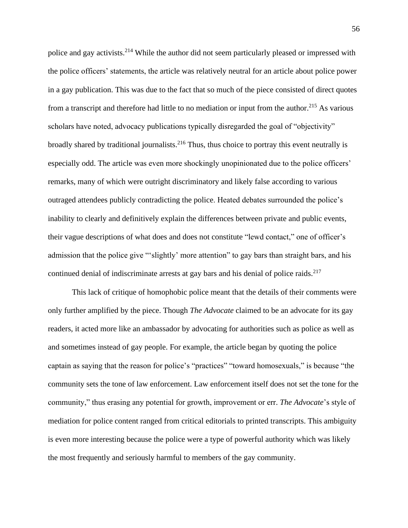police and gay activists.<sup>214</sup> While the author did not seem particularly pleased or impressed with the police officers' statements, the article was relatively neutral for an article about police power in a gay publication. This was due to the fact that so much of the piece consisted of direct quotes from a transcript and therefore had little to no mediation or input from the author.<sup>215</sup> As various scholars have noted, advocacy publications typically disregarded the goal of "objectivity" broadly shared by traditional journalists.<sup>216</sup> Thus, thus choice to portray this event neutrally is especially odd. The article was even more shockingly unopinionated due to the police officers' remarks, many of which were outright discriminatory and likely false according to various outraged attendees publicly contradicting the police. Heated debates surrounded the police's inability to clearly and definitively explain the differences between private and public events, their vague descriptions of what does and does not constitute "lewd contact," one of officer's admission that the police give "'slightly' more attention" to gay bars than straight bars, and his continued denial of indiscriminate arrests at gay bars and his denial of police raids.<sup>217</sup>

This lack of critique of homophobic police meant that the details of their comments were only further amplified by the piece. Though *The Advocate* claimed to be an advocate for its gay readers, it acted more like an ambassador by advocating for authorities such as police as well as and sometimes instead of gay people. For example, the article began by quoting the police captain as saying that the reason for police's "practices" "toward homosexuals," is because "the community sets the tone of law enforcement. Law enforcement itself does not set the tone for the community," thus erasing any potential for growth, improvement or err. *The Advocate*'s style of mediation for police content ranged from critical editorials to printed transcripts. This ambiguity is even more interesting because the police were a type of powerful authority which was likely the most frequently and seriously harmful to members of the gay community.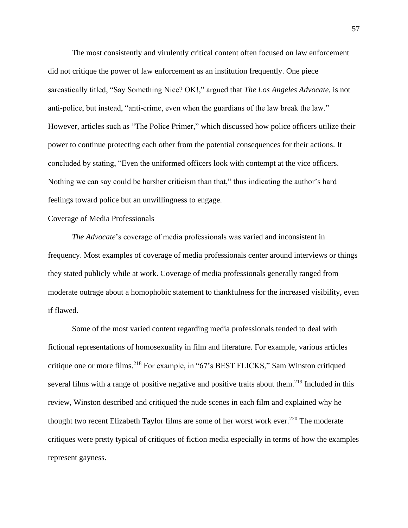The most consistently and virulently critical content often focused on law enforcement did not critique the power of law enforcement as an institution frequently. One piece sarcastically titled, "Say Something Nice? OK!," argued that *The Los Angeles Advocate,* is not anti-police, but instead, "anti-crime, even when the guardians of the law break the law." However, articles such as "The Police Primer," which discussed how police officers utilize their power to continue protecting each other from the potential consequences for their actions. It concluded by stating, "Even the uniformed officers look with contempt at the vice officers. Nothing we can say could be harsher criticism than that," thus indicating the author's hard feelings toward police but an unwillingness to engage.

# Coverage of Media Professionals

*The Advocate*'s coverage of media professionals was varied and inconsistent in frequency. Most examples of coverage of media professionals center around interviews or things they stated publicly while at work. Coverage of media professionals generally ranged from moderate outrage about a homophobic statement to thankfulness for the increased visibility, even if flawed.

Some of the most varied content regarding media professionals tended to deal with fictional representations of homosexuality in film and literature. For example, various articles critique one or more films. <sup>218</sup> For example, in "67's BEST FLICKS," Sam Winston critiqued several films with a range of positive negative and positive traits about them.<sup>219</sup> Included in this review, Winston described and critiqued the nude scenes in each film and explained why he thought two recent Elizabeth Taylor films are some of her worst work ever.<sup>220</sup> The moderate critiques were pretty typical of critiques of fiction media especially in terms of how the examples represent gayness.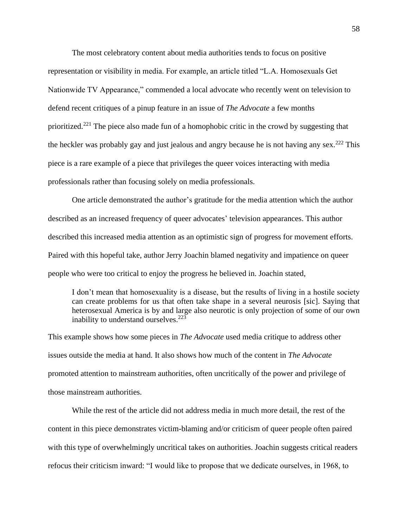The most celebratory content about media authorities tends to focus on positive representation or visibility in media. For example, an article titled "L.A. Homosexuals Get Nationwide TV Appearance," commended a local advocate who recently went on television to defend recent critiques of a pinup feature in an issue of *The Advocate* a few months prioritized.<sup>221</sup> The piece also made fun of a homophobic critic in the crowd by suggesting that the heckler was probably gay and just jealous and angry because he is not having any sex.<sup>222</sup> This piece is a rare example of a piece that privileges the queer voices interacting with media professionals rather than focusing solely on media professionals.

One article demonstrated the author's gratitude for the media attention which the author described as an increased frequency of queer advocates' television appearances. This author described this increased media attention as an optimistic sign of progress for movement efforts. Paired with this hopeful take, author Jerry Joachin blamed negativity and impatience on queer people who were too critical to enjoy the progress he believed in. Joachin stated,

I don't mean that homosexuality is a disease, but the results of living in a hostile society can create problems for us that often take shape in a several neurosis [sic]. Saying that heterosexual America is by and large also neurotic is only projection of some of our own inability to understand ourselves. 223

This example shows how some pieces in *The Advocate* used media critique to address other issues outside the media at hand. It also shows how much of the content in *The Advocate*  promoted attention to mainstream authorities, often uncritically of the power and privilege of those mainstream authorities.

While the rest of the article did not address media in much more detail, the rest of the content in this piece demonstrates victim-blaming and/or criticism of queer people often paired with this type of overwhelmingly uncritical takes on authorities. Joachin suggests critical readers refocus their criticism inward: "I would like to propose that we dedicate ourselves, in 1968, to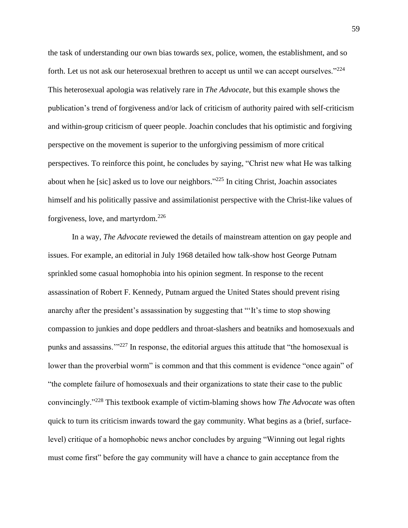the task of understanding our own bias towards sex, police, women, the establishment, and so forth. Let us not ask our heterosexual brethren to accept us until we can accept ourselves."<sup>224</sup> This heterosexual apologia was relatively rare in *The Advocate*, but this example shows the publication's trend of forgiveness and/or lack of criticism of authority paired with self-criticism and within-group criticism of queer people. Joachin concludes that his optimistic and forgiving perspective on the movement is superior to the unforgiving pessimism of more critical perspectives. To reinforce this point, he concludes by saying, "Christ new what He was talking about when he [sic] asked us to love our neighbors."<sup>225</sup> In citing Christ, Joachin associates himself and his politically passive and assimilationist perspective with the Christ-like values of forgiveness, love, and martyrdom.<sup>226</sup>

In a way, *The Advocate* reviewed the details of mainstream attention on gay people and issues. For example, an editorial in July 1968 detailed how talk-show host George Putnam sprinkled some casual homophobia into his opinion segment. In response to the recent assassination of Robert F. Kennedy, Putnam argued the United States should prevent rising anarchy after the president's assassination by suggesting that "'It's time to stop showing compassion to junkies and dope peddlers and throat-slashers and beatniks and homosexuals and punks and assassins.'"<sup>227</sup> In response, the editorial argues this attitude that "the homosexual is lower than the proverbial worm" is common and that this comment is evidence "once again" of "the complete failure of homosexuals and their organizations to state their case to the public convincingly."<sup>228</sup> This textbook example of victim-blaming shows how *The Advocate* was often quick to turn its criticism inwards toward the gay community. What begins as a (brief, surfacelevel) critique of a homophobic news anchor concludes by arguing "Winning out legal rights must come first" before the gay community will have a chance to gain acceptance from the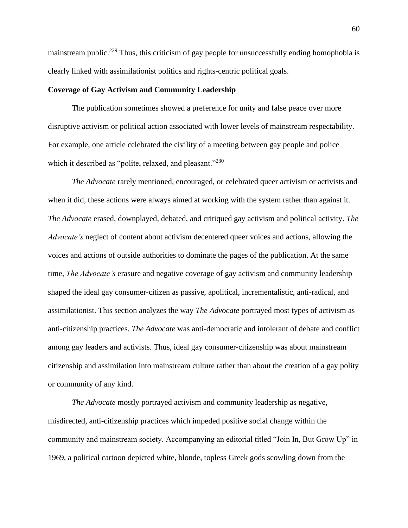mainstream public.<sup>229</sup> Thus, this criticism of gay people for unsuccessfully ending homophobia is clearly linked with assimilationist politics and rights-centric political goals.

# **Coverage of Gay Activism and Community Leadership**

The publication sometimes showed a preference for unity and false peace over more disruptive activism or political action associated with lower levels of mainstream respectability. For example, one article celebrated the civility of a meeting between gay people and police which it described as "polite, relaxed, and pleasant."<sup>230</sup>

*The Advocate* rarely mentioned, encouraged, or celebrated queer activism or activists and when it did, these actions were always aimed at working with the system rather than against it. *The Advocate* erased, downplayed, debated, and critiqued gay activism and political activity. *The Advocate's* neglect of content about activism decentered queer voices and actions, allowing the voices and actions of outside authorities to dominate the pages of the publication. At the same time, *The Advocate's* erasure and negative coverage of gay activism and community leadership shaped the ideal gay consumer-citizen as passive, apolitical, incrementalistic, anti-radical, and assimilationist. This section analyzes the way *The Advocate* portrayed most types of activism as anti-citizenship practices. *The Advocate* was anti-democratic and intolerant of debate and conflict among gay leaders and activists. Thus, ideal gay consumer-citizenship was about mainstream citizenship and assimilation into mainstream culture rather than about the creation of a gay polity or community of any kind.

*The Advocate* mostly portrayed activism and community leadership as negative, misdirected, anti-citizenship practices which impeded positive social change within the community and mainstream society. Accompanying an editorial titled "Join In, But Grow Up" in 1969, a political cartoon depicted white, blonde, topless Greek gods scowling down from the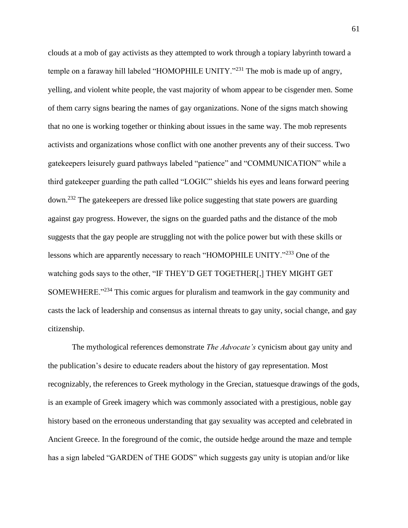clouds at a mob of gay activists as they attempted to work through a topiary labyrinth toward a temple on a faraway hill labeled "HOMOPHILE UNITY."<sup>231</sup> The mob is made up of angry, yelling, and violent white people, the vast majority of whom appear to be cisgender men. Some of them carry signs bearing the names of gay organizations. None of the signs match showing that no one is working together or thinking about issues in the same way. The mob represents activists and organizations whose conflict with one another prevents any of their success. Two gatekeepers leisurely guard pathways labeled "patience" and "COMMUNICATION" while a third gatekeeper guarding the path called "LOGIC" shields his eyes and leans forward peering down.<sup>232</sup> The gatekeepers are dressed like police suggesting that state powers are guarding against gay progress. However, the signs on the guarded paths and the distance of the mob suggests that the gay people are struggling not with the police power but with these skills or lessons which are apparently necessary to reach "HOMOPHILE UNITY."<sup>233</sup> One of the watching gods says to the other, "IF THEY'D GET TOGETHER[,] THEY MIGHT GET SOMEWHERE."<sup>234</sup> This comic argues for pluralism and teamwork in the gay community and casts the lack of leadership and consensus as internal threats to gay unity, social change, and gay citizenship.

The mythological references demonstrate *The Advocate's* cynicism about gay unity and the publication's desire to educate readers about the history of gay representation. Most recognizably, the references to Greek mythology in the Grecian, statuesque drawings of the gods, is an example of Greek imagery which was commonly associated with a prestigious, noble gay history based on the erroneous understanding that gay sexuality was accepted and celebrated in Ancient Greece. In the foreground of the comic, the outside hedge around the maze and temple has a sign labeled "GARDEN of THE GODS" which suggests gay unity is utopian and/or like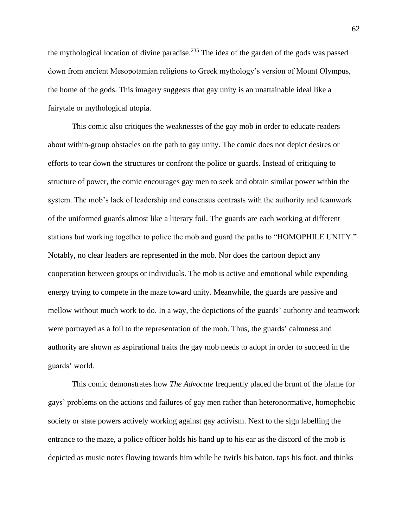the mythological location of divine paradise.<sup>235</sup> The idea of the garden of the gods was passed down from ancient Mesopotamian religions to Greek mythology's version of Mount Olympus, the home of the gods. This imagery suggests that gay unity is an unattainable ideal like a fairytale or mythological utopia.

This comic also critiques the weaknesses of the gay mob in order to educate readers about within-group obstacles on the path to gay unity. The comic does not depict desires or efforts to tear down the structures or confront the police or guards. Instead of critiquing to structure of power, the comic encourages gay men to seek and obtain similar power within the system. The mob's lack of leadership and consensus contrasts with the authority and teamwork of the uniformed guards almost like a literary foil. The guards are each working at different stations but working together to police the mob and guard the paths to "HOMOPHILE UNITY." Notably, no clear leaders are represented in the mob. Nor does the cartoon depict any cooperation between groups or individuals. The mob is active and emotional while expending energy trying to compete in the maze toward unity. Meanwhile, the guards are passive and mellow without much work to do. In a way, the depictions of the guards' authority and teamwork were portrayed as a foil to the representation of the mob. Thus, the guards' calmness and authority are shown as aspirational traits the gay mob needs to adopt in order to succeed in the guards' world.

This comic demonstrates how *The Advocate* frequently placed the brunt of the blame for gays' problems on the actions and failures of gay men rather than heteronormative, homophobic society or state powers actively working against gay activism. Next to the sign labelling the entrance to the maze, a police officer holds his hand up to his ear as the discord of the mob is depicted as music notes flowing towards him while he twirls his baton, taps his foot, and thinks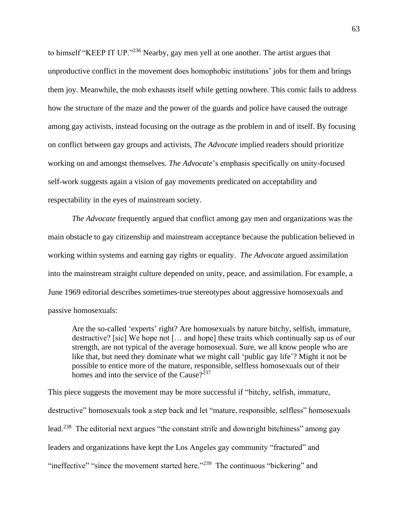to himself "KEEP IT UP."<sup>236</sup> Nearby, gay men yell at one another. The artist argues that unproductive conflict in the movement does homophobic institutions' jobs for them and brings them joy. Meanwhile, the mob exhausts itself while getting nowhere. This comic fails to address how the structure of the maze and the power of the guards and police have caused the outrage among gay activists, instead focusing on the outrage as the problem in and of itself. By focusing on conflict between gay groups and activists, *The Advocate* implied readers should prioritize working on and amongst themselves. *The Advocate*'s emphasis specifically on unity-focused self-work suggests again a vision of gay movements predicated on acceptability and respectability in the eyes of mainstream society.

*The Advocate* frequently argued that conflict among gay men and organizations was the main obstacle to gay citizenship and mainstream acceptance because the publication believed in working within systems and earning gay rights or equality. *The Advocate* argued assimilation into the mainstream straight culture depended on unity, peace, and assimilation. For example, a June 1969 editorial describes sometimes-true stereotypes about aggressive homosexuals and passive homosexuals:

Are the so-called 'experts' right? Are homosexuals by nature bitchy, selfish, immature, destructive? [sic] We hope not [… and hope] these traits which continually sap us of our strength, are not typical of the average homosexual. Sure, we all know people who are like that, but need they dominate what we might call 'public gay life'? Might it not be possible to entice more of the mature, responsible, selfless homosexuals out of their homes and into the service of the Cause? $237$ 

This piece suggests the movement may be more successful if "bitchy, selfish, immature, destructive" homosexuals took a step back and let "mature, responsible, selfless" homosexuals lead.<sup>238</sup> The editorial next argues "the constant strife and downright bitchiness" among gay leaders and organizations have kept the Los Angeles gay community "fractured" and "ineffective" "since the movement started here."<sup>239</sup> The continuous "bickering" and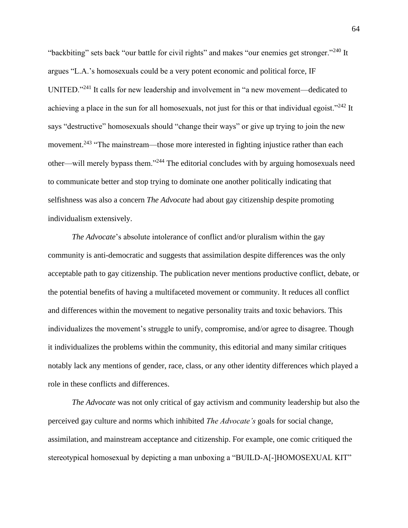"backbiting" sets back "our battle for civil rights" and makes "our enemies get stronger."<sup>240</sup> It argues "L.A.'s homosexuals could be a very potent economic and political force, IF UNITED."<sup>241</sup> It calls for new leadership and involvement in "a new movement—dedicated to achieving a place in the sun for all homosexuals, not just for this or that individual egoist."<sup>242</sup> It says "destructive" homosexuals should "change their ways" or give up trying to join the new movement.<sup>243</sup> "The mainstream—those more interested in fighting injustice rather than each other—will merely bypass them."<sup>244</sup> The editorial concludes with by arguing homosexuals need to communicate better and stop trying to dominate one another politically indicating that selfishness was also a concern *The Advocate* had about gay citizenship despite promoting individualism extensively.

*The Advocate*'s absolute intolerance of conflict and/or pluralism within the gay community is anti-democratic and suggests that assimilation despite differences was the only acceptable path to gay citizenship. The publication never mentions productive conflict, debate, or the potential benefits of having a multifaceted movement or community. It reduces all conflict and differences within the movement to negative personality traits and toxic behaviors. This individualizes the movement's struggle to unify, compromise, and/or agree to disagree. Though it individualizes the problems within the community, this editorial and many similar critiques notably lack any mentions of gender, race, class, or any other identity differences which played a role in these conflicts and differences.

*The Advocate* was not only critical of gay activism and community leadership but also the perceived gay culture and norms which inhibited *The Advocate's* goals for social change, assimilation, and mainstream acceptance and citizenship. For example, one comic critiqued the stereotypical homosexual by depicting a man unboxing a "BUILD-A[-]HOMOSEXUAL KIT"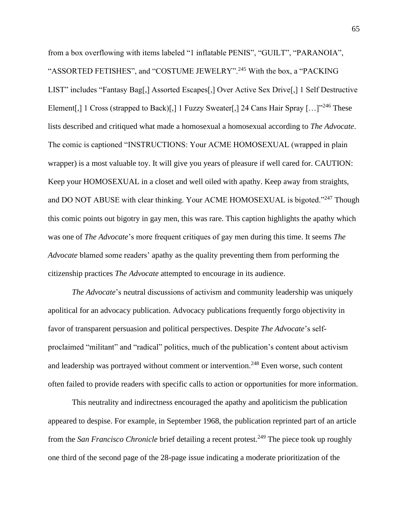from a box overflowing with items labeled "1 inflatable PENIS", "GUILT", "PARANOIA", "ASSORTED FETISHES", and "COSTUME JEWELRY".<sup>245</sup> With the box, a "PACKING" LIST" includes "Fantasy Bag[,] Assorted Escapes[,] Over Active Sex Drive[,] 1 Self Destructive Element[,] 1 Cross (strapped to Back)[,] 1 Fuzzy Sweater[,] 24 Cans Hair Spray  $[\dots]^{346}$  These lists described and critiqued what made a homosexual a homosexual according to *The Advocate*. The comic is captioned "INSTRUCTIONS: Your ACME HOMOSEXUAL (wrapped in plain wrapper) is a most valuable toy. It will give you years of pleasure if well cared for. CAUTION: Keep your HOMOSEXUAL in a closet and well oiled with apathy. Keep away from straights, and DO NOT ABUSE with clear thinking. Your ACME HOMOSEXUAL is bigoted."<sup>247</sup> Though this comic points out bigotry in gay men, this was rare. This caption highlights the apathy which was one of *The Advocate*'s more frequent critiques of gay men during this time. It seems *The Advocate* blamed some readers' apathy as the quality preventing them from performing the citizenship practices *The Advocate* attempted to encourage in its audience.

*The Advocate*'s neutral discussions of activism and community leadership was uniquely apolitical for an advocacy publication. Advocacy publications frequently forgo objectivity in favor of transparent persuasion and political perspectives. Despite *The Advocate*'s selfproclaimed "militant" and "radical" politics, much of the publication's content about activism and leadership was portrayed without comment or intervention.<sup>248</sup> Even worse, such content often failed to provide readers with specific calls to action or opportunities for more information.

This neutrality and indirectness encouraged the apathy and apoliticism the publication appeared to despise. For example, in September 1968, the publication reprinted part of an article from the *San Francisco Chronicle* brief detailing a recent protest.<sup>249</sup> The piece took up roughly one third of the second page of the 28-page issue indicating a moderate prioritization of the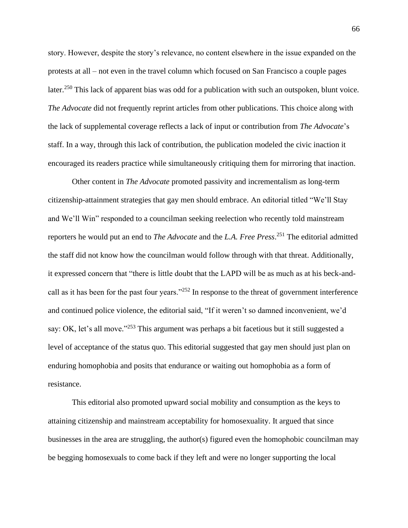story. However, despite the story's relevance, no content elsewhere in the issue expanded on the protests at all – not even in the travel column which focused on San Francisco a couple pages later.<sup>250</sup> This lack of apparent bias was odd for a publication with such an outspoken, blunt voice. *The Advocate* did not frequently reprint articles from other publications. This choice along with the lack of supplemental coverage reflects a lack of input or contribution from *The Advocate*'s staff. In a way, through this lack of contribution, the publication modeled the civic inaction it encouraged its readers practice while simultaneously critiquing them for mirroring that inaction.

Other content in *The Advocate* promoted passivity and incrementalism as long-term citizenship-attainment strategies that gay men should embrace. An editorial titled "We'll Stay and We'll Win" responded to a councilman seeking reelection who recently told mainstream reporters he would put an end to *The Advocate* and the *L.A. Free Press*. <sup>251</sup> The editorial admitted the staff did not know how the councilman would follow through with that threat. Additionally, it expressed concern that "there is little doubt that the LAPD will be as much as at his beck-andcall as it has been for the past four years."<sup>252</sup> In response to the threat of government interference and continued police violence, the editorial said, "If it weren't so damned inconvenient, we'd say: OK, let's all move."<sup>253</sup> This argument was perhaps a bit facetious but it still suggested a level of acceptance of the status quo. This editorial suggested that gay men should just plan on enduring homophobia and posits that endurance or waiting out homophobia as a form of resistance.

This editorial also promoted upward social mobility and consumption as the keys to attaining citizenship and mainstream acceptability for homosexuality. It argued that since businesses in the area are struggling, the author(s) figured even the homophobic councilman may be begging homosexuals to come back if they left and were no longer supporting the local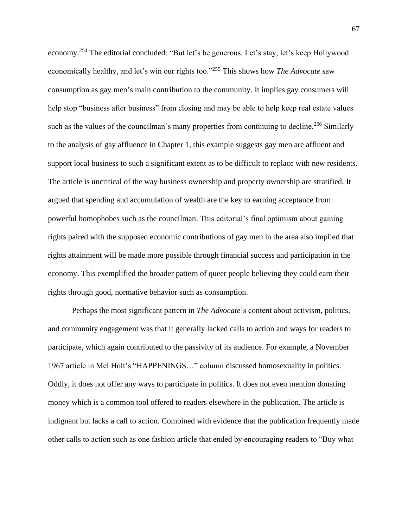economy.<sup>254</sup> The editorial concluded: "But let's be generous. Let's stay, let's keep Hollywood economically healthy, and let's win our rights too."<sup>255</sup> This shows how *The Advocate* saw consumption as gay men's main contribution to the community. It implies gay consumers will help stop "business after business" from closing and may be able to help keep real estate values such as the values of the councilman's many properties from continuing to decline.<sup>256</sup> Similarly to the analysis of gay affluence in Chapter 1, this example suggests gay men are affluent and support local business to such a significant extent as to be difficult to replace with new residents. The article is uncritical of the way business ownership and property ownership are stratified. It argued that spending and accumulation of wealth are the key to earning acceptance from powerful homophobes such as the councilman. This editorial's final optimism about gaining rights paired with the supposed economic contributions of gay men in the area also implied that rights attainment will be made more possible through financial success and participation in the economy. This exemplified the broader pattern of queer people believing they could earn their rights through good, normative behavior such as consumption.

Perhaps the most significant pattern in *The Advocate*'s content about activism, politics, and community engagement was that it generally lacked calls to action and ways for readers to participate, which again contributed to the passivity of its audience. For example, a November 1967 article in Mel Holt's "HAPPENINGS…" column discussed homosexuality in politics. Oddly, it does not offer any ways to participate in politics. It does not even mention donating money which is a common tool offered to readers elsewhere in the publication. The article is indignant but lacks a call to action. Combined with evidence that the publication frequently made other calls to action such as one fashion article that ended by encouraging readers to "Buy what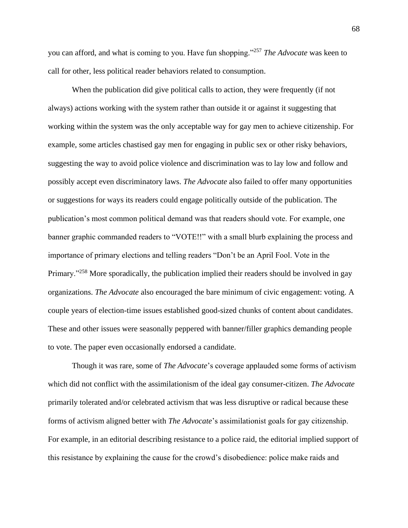you can afford, and what is coming to you. Have fun shopping."<sup>257</sup> *The Advocate* was keen to call for other, less political reader behaviors related to consumption.

When the publication did give political calls to action, they were frequently (if not always) actions working with the system rather than outside it or against it suggesting that working within the system was the only acceptable way for gay men to achieve citizenship. For example, some articles chastised gay men for engaging in public sex or other risky behaviors, suggesting the way to avoid police violence and discrimination was to lay low and follow and possibly accept even discriminatory laws. *The Advocate* also failed to offer many opportunities or suggestions for ways its readers could engage politically outside of the publication. The publication's most common political demand was that readers should vote. For example, one banner graphic commanded readers to "VOTE!!" with a small blurb explaining the process and importance of primary elections and telling readers "Don't be an April Fool. Vote in the Primary."<sup>258</sup> More sporadically, the publication implied their readers should be involved in gay organizations. *The Advocate* also encouraged the bare minimum of civic engagement: voting. A couple years of election-time issues established good-sized chunks of content about candidates. These and other issues were seasonally peppered with banner/filler graphics demanding people to vote. The paper even occasionally endorsed a candidate.

Though it was rare, some of *The Advocate*'s coverage applauded some forms of activism which did not conflict with the assimilationism of the ideal gay consumer-citizen. *The Advocate* primarily tolerated and/or celebrated activism that was less disruptive or radical because these forms of activism aligned better with *The Advocate*'s assimilationist goals for gay citizenship. For example, in an editorial describing resistance to a police raid, the editorial implied support of this resistance by explaining the cause for the crowd's disobedience: police make raids and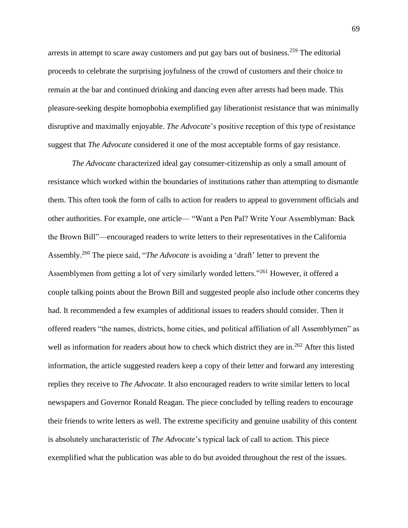arrests in attempt to scare away customers and put gay bars out of business.<sup>259</sup> The editorial proceeds to celebrate the surprising joyfulness of the crowd of customers and their choice to remain at the bar and continued drinking and dancing even after arrests had been made. This pleasure-seeking despite homophobia exemplified gay liberationist resistance that was minimally disruptive and maximally enjoyable. *The Advocate*'s positive reception of this type of resistance suggest that *The Advocate* considered it one of the most acceptable forms of gay resistance.

*The Advocate* characterized ideal gay consumer-citizenship as only a small amount of resistance which worked within the boundaries of institutions rather than attempting to dismantle them. This often took the form of calls to action for readers to appeal to government officials and other authorities. For example, one article— "Want a Pen Pal? Write Your Assemblyman: Back the Brown Bill"—encouraged readers to write letters to their representatives in the California Assembly.<sup>260</sup> The piece said, "*The Advocate* is avoiding a 'draft' letter to prevent the Assemblymen from getting a lot of very similarly worded letters."<sup>261</sup> However, it offered a couple talking points about the Brown Bill and suggested people also include other concerns they had. It recommended a few examples of additional issues to readers should consider. Then it offered readers "the names, districts, home cities, and political affiliation of all Assemblymen" as well as information for readers about how to check which district they are in.<sup>262</sup> After this listed information, the article suggested readers keep a copy of their letter and forward any interesting replies they receive to *The Advocate*. It also encouraged readers to write similar letters to local newspapers and Governor Ronald Reagan. The piece concluded by telling readers to encourage their friends to write letters as well. The extreme specificity and genuine usability of this content is absolutely uncharacteristic of *The Advocate*'s typical lack of call to action. This piece exemplified what the publication was able to do but avoided throughout the rest of the issues.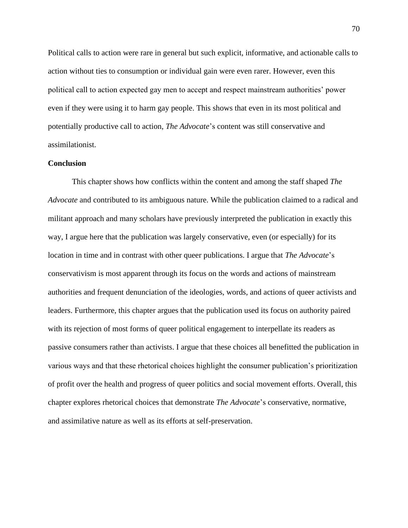Political calls to action were rare in general but such explicit, informative, and actionable calls to action without ties to consumption or individual gain were even rarer. However, even this political call to action expected gay men to accept and respect mainstream authorities' power even if they were using it to harm gay people. This shows that even in its most political and potentially productive call to action, *The Advocate*'s content was still conservative and assimilationist.

## **Conclusion**

This chapter shows how conflicts within the content and among the staff shaped *The Advocate* and contributed to its ambiguous nature. While the publication claimed to a radical and militant approach and many scholars have previously interpreted the publication in exactly this way, I argue here that the publication was largely conservative, even (or especially) for its location in time and in contrast with other queer publications. I argue that *The Advocate*'s conservativism is most apparent through its focus on the words and actions of mainstream authorities and frequent denunciation of the ideologies, words, and actions of queer activists and leaders. Furthermore, this chapter argues that the publication used its focus on authority paired with its rejection of most forms of queer political engagement to interpellate its readers as passive consumers rather than activists. I argue that these choices all benefitted the publication in various ways and that these rhetorical choices highlight the consumer publication's prioritization of profit over the health and progress of queer politics and social movement efforts. Overall, this chapter explores rhetorical choices that demonstrate *The Advocate*'s conservative, normative, and assimilative nature as well as its efforts at self-preservation.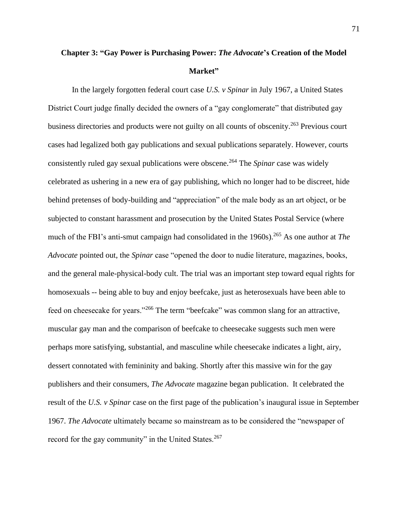# **Chapter 3: "Gay Power is Purchasing Power:** *The Advocate***'s Creation of the Model Market"**

In the largely forgotten federal court case *U.S. v Spinar* in July 1967, a United States District Court judge finally decided the owners of a "gay conglomerate" that distributed gay business directories and products were not guilty on all counts of obscenity.<sup>263</sup> Previous court cases had legalized both gay publications and sexual publications separately. However, courts consistently ruled gay sexual publications were obscene.<sup>264</sup> The *Spinar* case was widely celebrated as ushering in a new era of gay publishing, which no longer had to be discreet, hide behind pretenses of body-building and "appreciation" of the male body as an art object, or be subjected to constant harassment and prosecution by the United States Postal Service (where much of the FBI's anti-smut campaign had consolidated in the 1960s).<sup>265</sup> As one author at *The Advocate* pointed out, the *Spinar* case "opened the door to nudie literature, magazines, books, and the general male-physical-body cult. The trial was an important step toward equal rights for homosexuals -- being able to buy and enjoy beefcake, just as heterosexuals have been able to feed on cheesecake for years."<sup>266</sup> The term "beefcake" was common slang for an attractive, muscular gay man and the comparison of beefcake to cheesecake suggests such men were perhaps more satisfying, substantial, and masculine while cheesecake indicates a light, airy, dessert connotated with femininity and baking. Shortly after this massive win for the gay publishers and their consumers, *The Advocate* magazine began publication. It celebrated the result of the *U.S. v Spinar* case on the first page of the publication's inaugural issue in September 1967. *The Advocate* ultimately became so mainstream as to be considered the "newspaper of record for the gay community" in the United States.<sup>267</sup>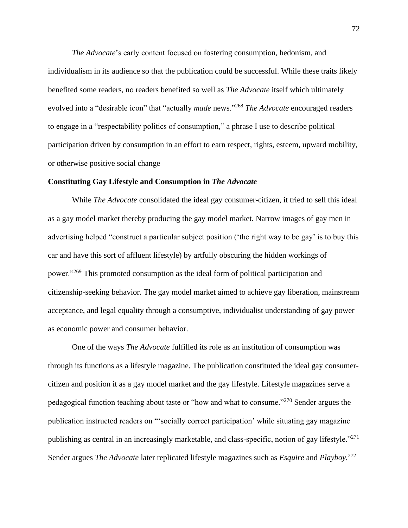*The Advocate*'s early content focused on fostering consumption, hedonism, and individualism in its audience so that the publication could be successful. While these traits likely benefited some readers, no readers benefited so well as *The Advocate* itself which ultimately evolved into a "desirable icon" that "actually *made* news."<sup>268</sup> *The Advocate* encouraged readers to engage in a "respectability politics of consumption," a phrase I use to describe political participation driven by consumption in an effort to earn respect, rights, esteem, upward mobility, or otherwise positive social change

## **Constituting Gay Lifestyle and Consumption in** *The Advocate*

While *The Advocate* consolidated the ideal gay consumer-citizen, it tried to sell this ideal as a gay model market thereby producing the gay model market. Narrow images of gay men in advertising helped "construct a particular subject position ('the right way to be gay' is to buy this car and have this sort of affluent lifestyle) by artfully obscuring the hidden workings of power."<sup>269</sup> This promoted consumption as the ideal form of political participation and citizenship-seeking behavior. The gay model market aimed to achieve gay liberation, mainstream acceptance, and legal equality through a consumptive, individualist understanding of gay power as economic power and consumer behavior.

One of the ways *The Advocate* fulfilled its role as an institution of consumption was through its functions as a lifestyle magazine. The publication constituted the ideal gay consumercitizen and position it as a gay model market and the gay lifestyle. Lifestyle magazines serve a pedagogical function teaching about taste or "how and what to consume."<sup>270</sup> Sender argues the publication instructed readers on "'socially correct participation' while situating gay magazine publishing as central in an increasingly marketable, and class-specific, notion of gay lifestyle."<sup>271</sup> Sender argues *The Advocate* later replicated lifestyle magazines such as *Esquire* and *Playboy.* 272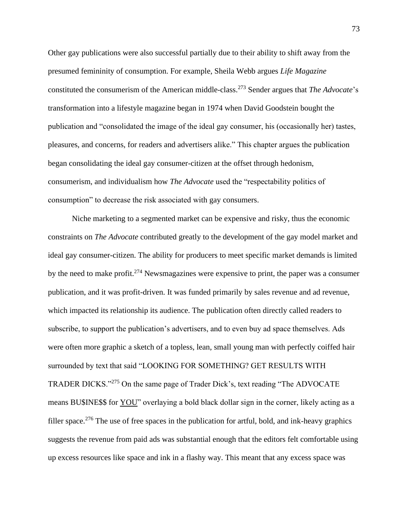Other gay publications were also successful partially due to their ability to shift away from the presumed femininity of consumption. For example, Sheila Webb argues *Life Magazine* constituted the consumerism of the American middle-class.<sup>273</sup> Sender argues that *The Advocate*'s transformation into a lifestyle magazine began in 1974 when David Goodstein bought the publication and "consolidated the image of the ideal gay consumer, his (occasionally her) tastes, pleasures, and concerns, for readers and advertisers alike." This chapter argues the publication began consolidating the ideal gay consumer-citizen at the offset through hedonism, consumerism, and individualism how *The Advocate* used the "respectability politics of consumption" to decrease the risk associated with gay consumers.

Niche marketing to a segmented market can be expensive and risky, thus the economic constraints on *The Advocate* contributed greatly to the development of the gay model market and ideal gay consumer-citizen. The ability for producers to meet specific market demands is limited by the need to make profit.<sup>274</sup> Newsmagazines were expensive to print, the paper was a consumer publication, and it was profit-driven. It was funded primarily by sales revenue and ad revenue, which impacted its relationship its audience. The publication often directly called readers to subscribe, to support the publication's advertisers, and to even buy ad space themselves. Ads were often more graphic a sketch of a topless, lean, small young man with perfectly coiffed hair surrounded by text that said "LOOKING FOR SOMETHING? GET RESULTS WITH TRADER DICKS."<sup>275</sup> On the same page of Trader Dick's, text reading "The ADVOCATE means BU\$INE\$\$ for YOU" overlaying a bold black dollar sign in the corner, likely acting as a filler space.<sup>276</sup> The use of free spaces in the publication for artful, bold, and ink-heavy graphics suggests the revenue from paid ads was substantial enough that the editors felt comfortable using up excess resources like space and ink in a flashy way. This meant that any excess space was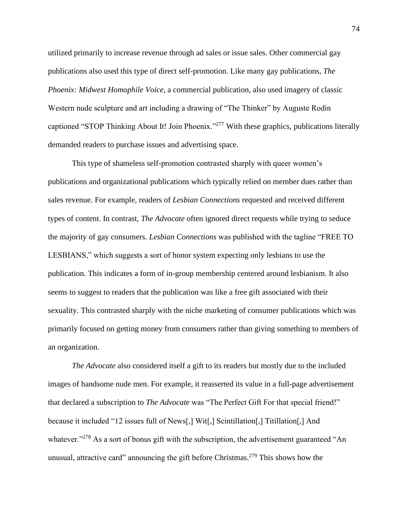utilized primarily to increase revenue through ad sales or issue sales. Other commercial gay publications also used this type of direct self-promotion. Like many gay publications, *The Phoenix: Midwest Homophile Voice*, a commercial publication, also used imagery of classic Western nude sculpture and art including a drawing of "The Thinker" by Auguste Rodin captioned "STOP Thinking About It! Join Phoenix."<sup>277</sup> With these graphics, publications literally demanded readers to purchase issues and advertising space.

This type of shameless self-promotion contrasted sharply with queer women's publications and organizational publications which typically relied on member dues rather than sales revenue. For example, readers of *Lesbian Connections* requested and received different types of content. In contrast, *The Advocate* often ignored direct requests while trying to seduce the majority of gay consumers. *Lesbian Connections* was published with the tagline "FREE TO LESBIANS," which suggests a sort of honor system expecting only lesbians to use the publication. This indicates a form of in-group membership centered around lesbianism. It also seems to suggest to readers that the publication was like a free gift associated with their sexuality. This contrasted sharply with the niche marketing of consumer publications which was primarily focused on getting money from consumers rather than giving something to members of an organization.

*The Advocate* also considered itself a gift to its readers but mostly due to the included images of handsome nude men. For example, it reasserted its value in a full-page advertisement that declared a subscription to *The Advocate* was "The Perfect Gift For that special friend!" because it included "12 issues full of News[,] Wit[,] Scintillation[,] Titillation[,] And whatever."<sup>278</sup> As a sort of bonus gift with the subscription, the advertisement guaranteed "An unusual, attractive card" announcing the gift before Christmas.<sup>279</sup> This shows how the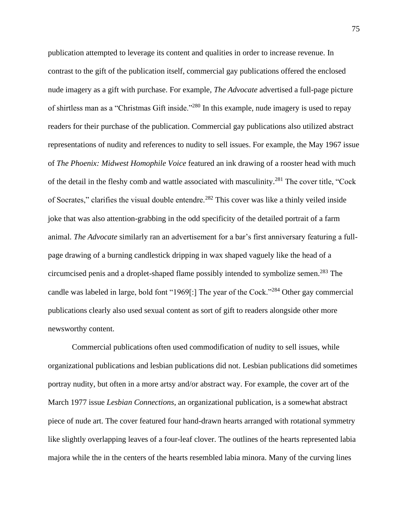publication attempted to leverage its content and qualities in order to increase revenue. In contrast to the gift of the publication itself, commercial gay publications offered the enclosed nude imagery as a gift with purchase. For example, *The Advocate* advertised a full-page picture of shirtless man as a "Christmas Gift inside."<sup>280</sup> In this example, nude imagery is used to repay readers for their purchase of the publication. Commercial gay publications also utilized abstract representations of nudity and references to nudity to sell issues. For example, the May 1967 issue of *The Phoenix: Midwest Homophile Voice* featured an ink drawing of a rooster head with much of the detail in the fleshy comb and wattle associated with masculinity.<sup>281</sup> The cover title, "Cock of Socrates," clarifies the visual double entendre.<sup>282</sup> This cover was like a thinly veiled inside joke that was also attention-grabbing in the odd specificity of the detailed portrait of a farm animal. *The Advocate* similarly ran an advertisement for a bar's first anniversary featuring a fullpage drawing of a burning candlestick dripping in wax shaped vaguely like the head of a circumcised penis and a droplet-shaped flame possibly intended to symbolize semen.<sup>283</sup> The candle was labeled in large, bold font "1969[:] The year of the Cock."<sup>284</sup> Other gay commercial publications clearly also used sexual content as sort of gift to readers alongside other more newsworthy content.

Commercial publications often used commodification of nudity to sell issues, while organizational publications and lesbian publications did not. Lesbian publications did sometimes portray nudity, but often in a more artsy and/or abstract way. For example, the cover art of the March 1977 issue *Lesbian Connections*, an organizational publication, is a somewhat abstract piece of nude art. The cover featured four hand-drawn hearts arranged with rotational symmetry like slightly overlapping leaves of a four-leaf clover. The outlines of the hearts represented labia majora while the in the centers of the hearts resembled labia minora. Many of the curving lines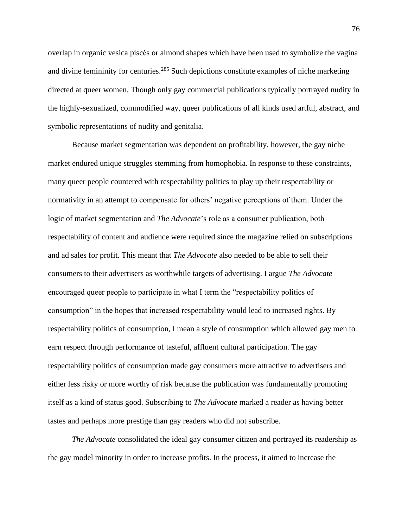overlap in organic vesica piscės or almond shapes which have been used to symbolize the vagina and divine femininity for centuries.<sup>285</sup> Such depictions constitute examples of niche marketing directed at queer women. Though only gay commercial publications typically portrayed nudity in the highly-sexualized, commodified way, queer publications of all kinds used artful, abstract, and symbolic representations of nudity and genitalia.

Because market segmentation was dependent on profitability, however, the gay niche market endured unique struggles stemming from homophobia. In response to these constraints, many queer people countered with respectability politics to play up their respectability or normativity in an attempt to compensate for others' negative perceptions of them. Under the logic of market segmentation and *The Advocate*'s role as a consumer publication, both respectability of content and audience were required since the magazine relied on subscriptions and ad sales for profit. This meant that *The Advocate* also needed to be able to sell their consumers to their advertisers as worthwhile targets of advertising. I argue *The Advocate* encouraged queer people to participate in what I term the "respectability politics of consumption" in the hopes that increased respectability would lead to increased rights. By respectability politics of consumption, I mean a style of consumption which allowed gay men to earn respect through performance of tasteful, affluent cultural participation. The gay respectability politics of consumption made gay consumers more attractive to advertisers and either less risky or more worthy of risk because the publication was fundamentally promoting itself as a kind of status good. Subscribing to *The Advocate* marked a reader as having better tastes and perhaps more prestige than gay readers who did not subscribe.

*The Advocate* consolidated the ideal gay consumer citizen and portrayed its readership as the gay model minority in order to increase profits. In the process, it aimed to increase the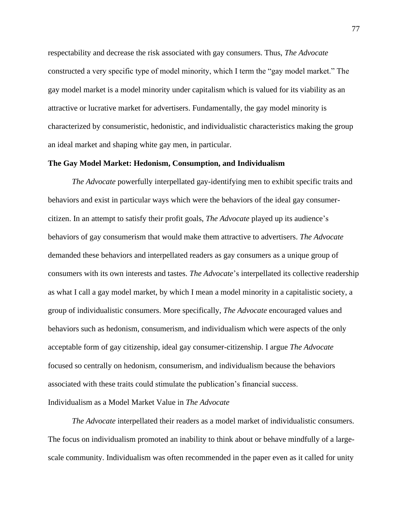respectability and decrease the risk associated with gay consumers. Thus, *The Advocate* constructed a very specific type of model minority, which I term the "gay model market." The gay model market is a model minority under capitalism which is valued for its viability as an attractive or lucrative market for advertisers. Fundamentally, the gay model minority is characterized by consumeristic, hedonistic, and individualistic characteristics making the group an ideal market and shaping white gay men, in particular.

## **The Gay Model Market: Hedonism, Consumption, and Individualism**

*The Advocate* powerfully interpellated gay-identifying men to exhibit specific traits and behaviors and exist in particular ways which were the behaviors of the ideal gay consumercitizen. In an attempt to satisfy their profit goals, *The Advocate* played up its audience's behaviors of gay consumerism that would make them attractive to advertisers. *The Advocate* demanded these behaviors and interpellated readers as gay consumers as a unique group of consumers with its own interests and tastes. *The Advocate*'s interpellated its collective readership as what I call a gay model market, by which I mean a model minority in a capitalistic society, a group of individualistic consumers. More specifically, *The Advocate* encouraged values and behaviors such as hedonism, consumerism, and individualism which were aspects of the only acceptable form of gay citizenship, ideal gay consumer-citizenship. I argue *The Advocate* focused so centrally on hedonism, consumerism, and individualism because the behaviors associated with these traits could stimulate the publication's financial success. Individualism as a Model Market Value in *The Advocate*

*The Advocate* interpellated their readers as a model market of individualistic consumers. The focus on individualism promoted an inability to think about or behave mindfully of a largescale community. Individualism was often recommended in the paper even as it called for unity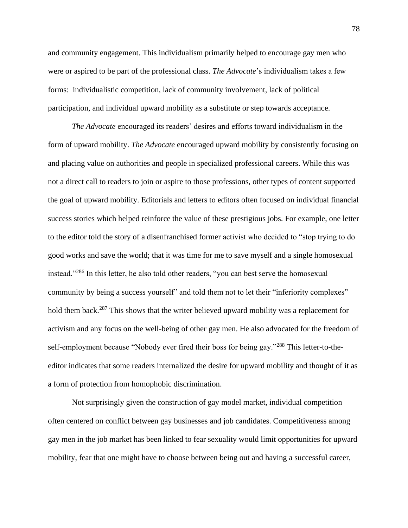and community engagement. This individualism primarily helped to encourage gay men who were or aspired to be part of the professional class. *The Advocate*'s individualism takes a few forms: individualistic competition, lack of community involvement, lack of political participation, and individual upward mobility as a substitute or step towards acceptance.

*The Advocate* encouraged its readers' desires and efforts toward individualism in the form of upward mobility. *The Advocate* encouraged upward mobility by consistently focusing on and placing value on authorities and people in specialized professional careers. While this was not a direct call to readers to join or aspire to those professions, other types of content supported the goal of upward mobility. Editorials and letters to editors often focused on individual financial success stories which helped reinforce the value of these prestigious jobs. For example, one letter to the editor told the story of a disenfranchised former activist who decided to "stop trying to do good works and save the world; that it was time for me to save myself and a single homosexual instead."<sup>286</sup> In this letter, he also told other readers, "you can best serve the homosexual community by being a success yourself" and told them not to let their "inferiority complexes" hold them back.<sup>287</sup> This shows that the writer believed upward mobility was a replacement for activism and any focus on the well-being of other gay men. He also advocated for the freedom of self-employment because "Nobody ever fired their boss for being gay."<sup>288</sup> This letter-to-theeditor indicates that some readers internalized the desire for upward mobility and thought of it as a form of protection from homophobic discrimination.

Not surprisingly given the construction of gay model market, individual competition often centered on conflict between gay businesses and job candidates. Competitiveness among gay men in the job market has been linked to fear sexuality would limit opportunities for upward mobility, fear that one might have to choose between being out and having a successful career,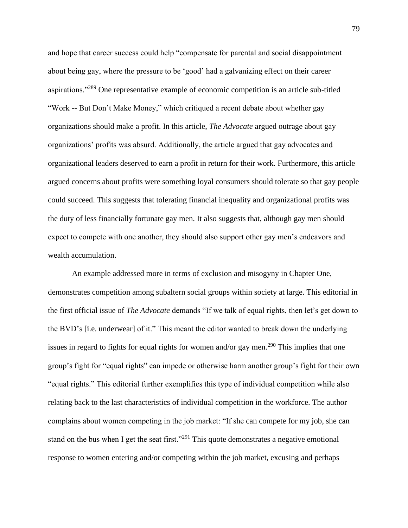and hope that career success could help "compensate for parental and social disappointment about being gay, where the pressure to be 'good' had a galvanizing effect on their career aspirations."<sup>289</sup> One representative example of economic competition is an article sub-titled "Work -- But Don't Make Money," which critiqued a recent debate about whether gay organizations should make a profit. In this article, *The Advocate* argued outrage about gay organizations' profits was absurd. Additionally, the article argued that gay advocates and organizational leaders deserved to earn a profit in return for their work. Furthermore, this article argued concerns about profits were something loyal consumers should tolerate so that gay people could succeed. This suggests that tolerating financial inequality and organizational profits was the duty of less financially fortunate gay men. It also suggests that, although gay men should expect to compete with one another, they should also support other gay men's endeavors and wealth accumulation.

An example addressed more in terms of exclusion and misogyny in Chapter One, demonstrates competition among subaltern social groups within society at large. This editorial in the first official issue of *The Advocate* demands "If we talk of equal rights, then let's get down to the BVD's [i.e. underwear] of it." This meant the editor wanted to break down the underlying issues in regard to fights for equal rights for women and/or gay men.<sup>290</sup> This implies that one group's fight for "equal rights" can impede or otherwise harm another group's fight for their own "equal rights." This editorial further exemplifies this type of individual competition while also relating back to the last characteristics of individual competition in the workforce. The author complains about women competing in the job market: "If she can compete for my job, she can stand on the bus when I get the seat first."<sup>291</sup> This quote demonstrates a negative emotional response to women entering and/or competing within the job market, excusing and perhaps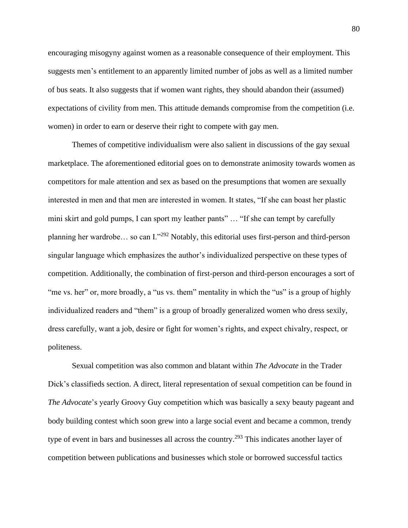encouraging misogyny against women as a reasonable consequence of their employment. This suggests men's entitlement to an apparently limited number of jobs as well as a limited number of bus seats. It also suggests that if women want rights, they should abandon their (assumed) expectations of civility from men. This attitude demands compromise from the competition (i.e. women) in order to earn or deserve their right to compete with gay men.

Themes of competitive individualism were also salient in discussions of the gay sexual marketplace. The aforementioned editorial goes on to demonstrate animosity towards women as competitors for male attention and sex as based on the presumptions that women are sexually interested in men and that men are interested in women. It states, "If she can boast her plastic mini skirt and gold pumps, I can sport my leather pants" … "If she can tempt by carefully planning her wardrobe… so can I."<sup>292</sup> Notably, this editorial uses first-person and third-person singular language which emphasizes the author's individualized perspective on these types of competition. Additionally, the combination of first-person and third-person encourages a sort of "me vs. her" or, more broadly, a "us vs. them" mentality in which the "us" is a group of highly individualized readers and "them" is a group of broadly generalized women who dress sexily, dress carefully, want a job, desire or fight for women's rights, and expect chivalry, respect, or politeness.

Sexual competition was also common and blatant within *The Advocate* in the Trader Dick's classifieds section. A direct, literal representation of sexual competition can be found in *The Advocate*'s yearly Groovy Guy competition which was basically a sexy beauty pageant and body building contest which soon grew into a large social event and became a common, trendy type of event in bars and businesses all across the country.<sup>293</sup> This indicates another layer of competition between publications and businesses which stole or borrowed successful tactics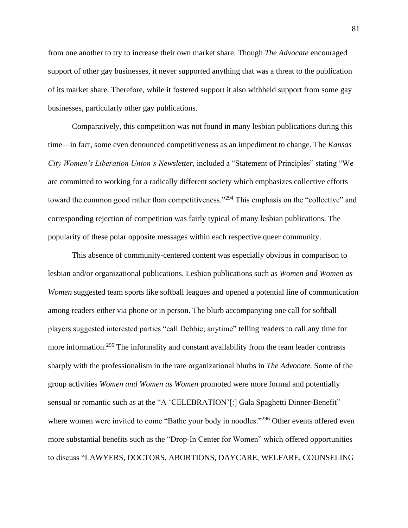from one another to try to increase their own market share. Though *The Advocate* encouraged support of other gay businesses, it never supported anything that was a threat to the publication of its market share. Therefore, while it fostered support it also withheld support from some gay businesses, particularly other gay publications.

Comparatively, this competition was not found in many lesbian publications during this time—in fact, some even denounced competitiveness as an impediment to change. The *Kansas City Women's Liberation Union's Newsletter,* included a "Statement of Principles" stating "We are committed to working for a radically different society which emphasizes collective efforts toward the common good rather than competitiveness."<sup>294</sup> This emphasis on the "collective" and corresponding rejection of competition was fairly typical of many lesbian publications. The popularity of these polar opposite messages within each respective queer community.

This absence of community-centered content was especially obvious in comparison to lesbian and/or organizational publications. Lesbian publications such as *Women and Women as Women* suggested team sports like softball leagues and opened a potential line of communication among readers either via phone or in person. The blurb accompanying one call for softball players suggested interested parties "call Debbie; anytime" telling readers to call any time for more information.<sup>295</sup> The informality and constant availability from the team leader contrasts sharply with the professionalism in the rare organizational blurbs in *The Advocate*. Some of the group activities *Women and Women as Women* promoted were more formal and potentially sensual or romantic such as at the "A 'CELEBRATION'[:] Gala Spaghetti Dinner-Benefit" where women were invited to come "Bathe your body in noodles."<sup>296</sup> Other events offered even more substantial benefits such as the "Drop-In Center for Women" which offered opportunities to discuss "LAWYERS, DOCTORS, ABORTIONS, DAYCARE, WELFARE, COUNSELING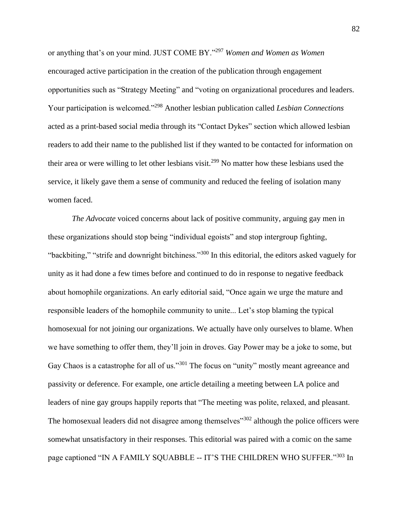or anything that's on your mind. JUST COME BY."<sup>297</sup> *Women and Women as Women*  encouraged active participation in the creation of the publication through engagement opportunities such as "Strategy Meeting" and "voting on organizational procedures and leaders. Your participation is welcomed."<sup>298</sup> Another lesbian publication called *Lesbian Connections* acted as a print-based social media through its "Contact Dykes" section which allowed lesbian readers to add their name to the published list if they wanted to be contacted for information on their area or were willing to let other lesbians visit.<sup>299</sup> No matter how these lesbians used the service, it likely gave them a sense of community and reduced the feeling of isolation many women faced.

*The Advocate* voiced concerns about lack of positive community, arguing gay men in these organizations should stop being "individual egoists" and stop intergroup fighting, "backbiting," "strife and downright bitchiness."<sup>300</sup> In this editorial, the editors asked vaguely for unity as it had done a few times before and continued to do in response to negative feedback about homophile organizations. An early editorial said, "Once again we urge the mature and responsible leaders of the homophile community to unite... Let's stop blaming the typical homosexual for not joining our organizations. We actually have only ourselves to blame. When we have something to offer them, they'll join in droves. Gay Power may be a joke to some, but Gay Chaos is a catastrophe for all of us."<sup>301</sup> The focus on "unity" mostly meant agreeance and passivity or deference. For example, one article detailing a meeting between LA police and leaders of nine gay groups happily reports that "The meeting was polite, relaxed, and pleasant. The homosexual leaders did not disagree among themselves<sup>"302</sup> although the police officers were somewhat unsatisfactory in their responses. This editorial was paired with a comic on the same page captioned "IN A FAMILY SQUABBLE -- IT'S THE CHILDREN WHO SUFFER."303 In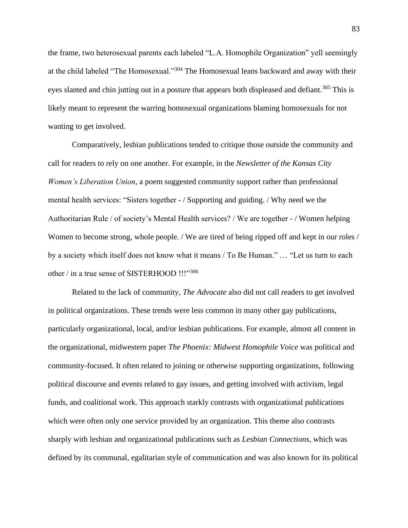the frame, two heterosexual parents each labeled "L.A. Homophile Organization" yell seemingly at the child labeled "The Homosexual."<sup>304</sup> The Homosexual leans backward and away with their eyes slanted and chin jutting out in a posture that appears both displeased and defiant.<sup>305</sup> This is likely meant to represent the warring homosexual organizations blaming homosexuals for not wanting to get involved.

Comparatively, lesbian publications tended to critique those outside the community and call for readers to rely on one another. For example, in the *Newsletter of the Kansas City Women's Liberation Union*, a poem suggested community support rather than professional mental health services: "Sisters together - / Supporting and guiding. / Why need we the Authoritarian Rule / of society's Mental Health services? / We are together - / Women helping Women to become strong, whole people. / We are tired of being ripped off and kept in our roles / by a society which itself does not know what it means / To Be Human." … "Let us turn to each other / in a true sense of SISTERHOOD !!!"306

Related to the lack of community, *The Advocate* also did not call readers to get involved in political organizations. These trends were less common in many other gay publications, particularly organizational, local, and/or lesbian publications. For example, almost all content in the organizational, midwestern paper *The Phoenix: Midwest Homophile Voice* was political and community-focused. It often related to joining or otherwise supporting organizations, following political discourse and events related to gay issues, and getting involved with activism, legal funds, and coalitional work. This approach starkly contrasts with organizational publications which were often only one service provided by an organization. This theme also contrasts sharply with lesbian and organizational publications such as *Lesbian Connections*, which was defined by its communal, egalitarian style of communication and was also known for its political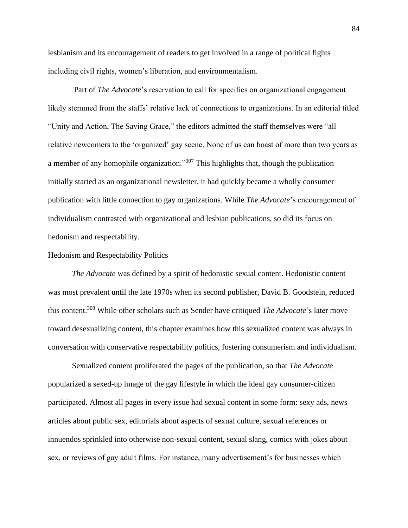lesbianism and its encouragement of readers to get involved in a range of political fights including civil rights, women's liberation, and environmentalism.

Part of *The Advocate*'s reservation to call for specifics on organizational engagement likely stemmed from the staffs' relative lack of connections to organizations. In an editorial titled "Unity and Action, The Saving Grace," the editors admitted the staff themselves were "all relative newcomers to the 'organized' gay scene. None of us can boast of more than two years as a member of any homophile organization."<sup>307</sup> This highlights that, though the publication initially started as an organizational newsletter, it had quickly became a wholly consumer publication with little connection to gay organizations. While *The Advocate*'s encouragement of individualism contrasted with organizational and lesbian publications, so did its focus on hedonism and respectability.

#### Hedonism and Respectability Politics

*The Advocate* was defined by a spirit of hedonistic sexual content. Hedonistic content was most prevalent until the late 1970s when its second publisher, David B. Goodstein, reduced this content.<sup>308</sup> While other scholars such as Sender have critiqued *The Advocate*'s later move toward desexualizing content, this chapter examines how this sexualized content was always in conversation with conservative respectability politics, fostering consumerism and individualism.

Sexualized content proliferated the pages of the publication, so that *The Advocate* popularized a sexed-up image of the gay lifestyle in which the ideal gay consumer-citizen participated. Almost all pages in every issue had sexual content in some form: sexy ads, news articles about public sex, editorials about aspects of sexual culture, sexual references or innuendos sprinkled into otherwise non-sexual content, sexual slang, comics with jokes about sex, or reviews of gay adult films. For instance, many advertisement's for businesses which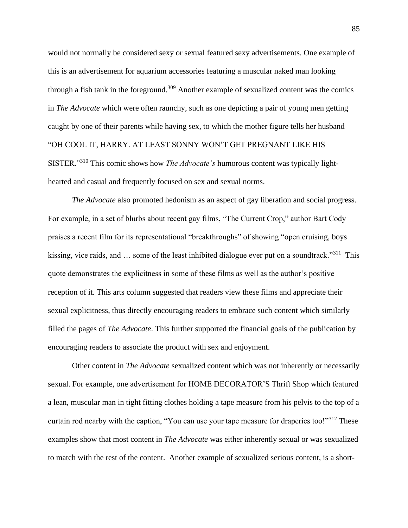would not normally be considered sexy or sexual featured sexy advertisements. One example of this is an advertisement for aquarium accessories featuring a muscular naked man looking through a fish tank in the foreground.<sup>309</sup> Another example of sexualized content was the comics in *The Advocate* which were often raunchy, such as one depicting a pair of young men getting caught by one of their parents while having sex, to which the mother figure tells her husband "OH COOL IT, HARRY. AT LEAST SONNY WON'T GET PREGNANT LIKE HIS SISTER."<sup>310</sup> This comic shows how *The Advocate's* humorous content was typically lighthearted and casual and frequently focused on sex and sexual norms.

*The Advocate* also promoted hedonism as an aspect of gay liberation and social progress. For example, in a set of blurbs about recent gay films, "The Current Crop," author Bart Cody praises a recent film for its representational "breakthroughs" of showing "open cruising, boys kissing, vice raids, and ... some of the least inhibited dialogue ever put on a soundtrack."<sup>311</sup> This quote demonstrates the explicitness in some of these films as well as the author's positive reception of it. This arts column suggested that readers view these films and appreciate their sexual explicitness, thus directly encouraging readers to embrace such content which similarly filled the pages of *The Advocate*. This further supported the financial goals of the publication by encouraging readers to associate the product with sex and enjoyment.

Other content in *The Advocate* sexualized content which was not inherently or necessarily sexual. For example, one advertisement for HOME DECORATOR'S Thrift Shop which featured a lean, muscular man in tight fitting clothes holding a tape measure from his pelvis to the top of a curtain rod nearby with the caption, "You can use your tape measure for draperies too!"<sup>312</sup> These examples show that most content in *The Advocate* was either inherently sexual or was sexualized to match with the rest of the content. Another example of sexualized serious content, is a short-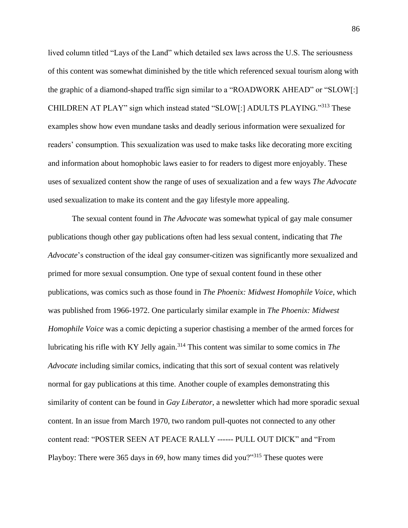lived column titled "Lays of the Land" which detailed sex laws across the U.S. The seriousness of this content was somewhat diminished by the title which referenced sexual tourism along with the graphic of a diamond-shaped traffic sign similar to a "ROADWORK AHEAD" or "SLOW[:] CHILDREN AT PLAY" sign which instead stated "SLOW[:] ADULTS PLAYING."<sup>313</sup> These examples show how even mundane tasks and deadly serious information were sexualized for readers' consumption. This sexualization was used to make tasks like decorating more exciting and information about homophobic laws easier to for readers to digest more enjoyably. These uses of sexualized content show the range of uses of sexualization and a few ways *The Advocate* used sexualization to make its content and the gay lifestyle more appealing.

The sexual content found in *The Advocate* was somewhat typical of gay male consumer publications though other gay publications often had less sexual content, indicating that *The Advocate*'s construction of the ideal gay consumer-citizen was significantly more sexualized and primed for more sexual consumption. One type of sexual content found in these other publications, was comics such as those found in *The Phoenix: Midwest Homophile Voice*, which was published from 1966-1972. One particularly similar example in *The Phoenix: Midwest Homophile Voice* was a comic depicting a superior chastising a member of the armed forces for lubricating his rifle with KY Jelly again.<sup>314</sup> This content was similar to some comics in *The Advocate* including similar comics, indicating that this sort of sexual content was relatively normal for gay publications at this time. Another couple of examples demonstrating this similarity of content can be found in *Gay Liberator*, a newsletter which had more sporadic sexual content. In an issue from March 1970, two random pull-quotes not connected to any other content read: "POSTER SEEN AT PEACE RALLY ------ PULL OUT DICK" and "From Playboy: There were 365 days in 69, how many times did you?"<sup>315</sup> These quotes were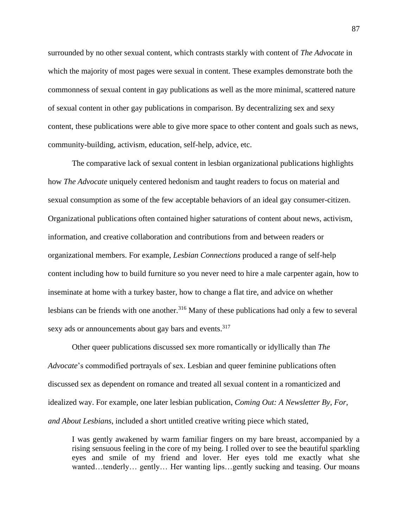surrounded by no other sexual content, which contrasts starkly with content of *The Advocate* in which the majority of most pages were sexual in content. These examples demonstrate both the commonness of sexual content in gay publications as well as the more minimal, scattered nature of sexual content in other gay publications in comparison. By decentralizing sex and sexy content, these publications were able to give more space to other content and goals such as news, community-building, activism, education, self-help, advice, etc.

The comparative lack of sexual content in lesbian organizational publications highlights how *The Advocate* uniquely centered hedonism and taught readers to focus on material and sexual consumption as some of the few acceptable behaviors of an ideal gay consumer-citizen. Organizational publications often contained higher saturations of content about news, activism, information, and creative collaboration and contributions from and between readers or organizational members. For example, *Lesbian Connections* produced a range of self-help content including how to build furniture so you never need to hire a male carpenter again, how to inseminate at home with a turkey baster, how to change a flat tire, and advice on whether lesbians can be friends with one another.<sup>316</sup> Many of these publications had only a few to several sexy ads or announcements about gay bars and events.<sup>317</sup>

Other queer publications discussed sex more romantically or idyllically than *The Advocate*'s commodified portrayals of sex. Lesbian and queer feminine publications often discussed sex as dependent on romance and treated all sexual content in a romanticized and idealized way. For example, one later lesbian publication, *Coming Out: A Newsletter By, For, and About Lesbians*, included a short untitled creative writing piece which stated,

I was gently awakened by warm familiar fingers on my bare breast, accompanied by a rising sensuous feeling in the core of my being. I rolled over to see the beautiful sparkling eyes and smile of my friend and lover. Her eyes told me exactly what she wanted…tenderly… gently… Her wanting lips…gently sucking and teasing. Our moans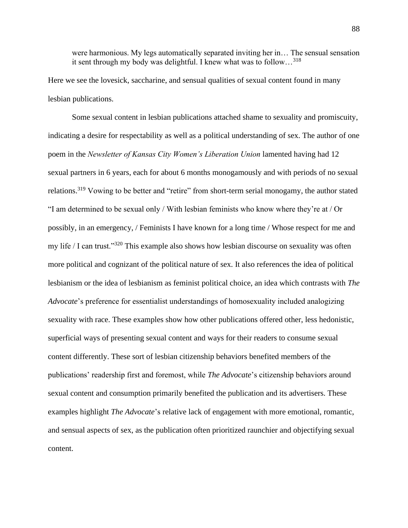were harmonious. My legs automatically separated inviting her in… The sensual sensation it sent through my body was delightful. I knew what was to follow…<sup>318</sup>

Here we see the lovesick, saccharine, and sensual qualities of sexual content found in many lesbian publications.

Some sexual content in lesbian publications attached shame to sexuality and promiscuity, indicating a desire for respectability as well as a political understanding of sex. The author of one poem in the *Newsletter of Kansas City Women's Liberation Union* lamented having had 12 sexual partners in 6 years, each for about 6 months monogamously and with periods of no sexual relations.<sup>319</sup> Vowing to be better and "retire" from short-term serial monogamy, the author stated "I am determined to be sexual only / With lesbian feminists who know where they're at / Or possibly, in an emergency, / Feminists I have known for a long time / Whose respect for me and my life / I can trust."<sup>320</sup> This example also shows how lesbian discourse on sexuality was often more political and cognizant of the political nature of sex. It also references the idea of political lesbianism or the idea of lesbianism as feminist political choice, an idea which contrasts with *The Advocate*'s preference for essentialist understandings of homosexuality included analogizing sexuality with race. These examples show how other publications offered other, less hedonistic, superficial ways of presenting sexual content and ways for their readers to consume sexual content differently. These sort of lesbian citizenship behaviors benefited members of the publications' readership first and foremost, while *The Advocate*'s citizenship behaviors around sexual content and consumption primarily benefited the publication and its advertisers. These examples highlight *The Advocate*'s relative lack of engagement with more emotional, romantic, and sensual aspects of sex, as the publication often prioritized raunchier and objectifying sexual content.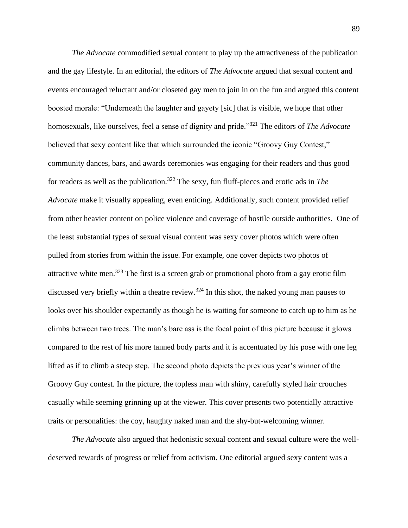*The Advocate* commodified sexual content to play up the attractiveness of the publication and the gay lifestyle. In an editorial, the editors of *The Advocate* argued that sexual content and events encouraged reluctant and/or closeted gay men to join in on the fun and argued this content boosted morale: "Underneath the laughter and gayety [sic] that is visible, we hope that other homosexuals, like ourselves, feel a sense of dignity and pride."<sup>321</sup> The editors of *The Advocate* believed that sexy content like that which surrounded the iconic "Groovy Guy Contest," community dances, bars, and awards ceremonies was engaging for their readers and thus good for readers as well as the publication.<sup>322</sup> The sexy, fun fluff-pieces and erotic ads in *The Advocate* make it visually appealing, even enticing. Additionally, such content provided relief from other heavier content on police violence and coverage of hostile outside authorities. One of the least substantial types of sexual visual content was sexy cover photos which were often pulled from stories from within the issue. For example, one cover depicts two photos of attractive white men.<sup>323</sup> The first is a screen grab or promotional photo from a gay erotic film discussed very briefly within a theatre review.<sup>324</sup> In this shot, the naked young man pauses to looks over his shoulder expectantly as though he is waiting for someone to catch up to him as he climbs between two trees. The man's bare ass is the focal point of this picture because it glows compared to the rest of his more tanned body parts and it is accentuated by his pose with one leg lifted as if to climb a steep step. The second photo depicts the previous year's winner of the Groovy Guy contest. In the picture, the topless man with shiny, carefully styled hair crouches casually while seeming grinning up at the viewer. This cover presents two potentially attractive traits or personalities: the coy, haughty naked man and the shy-but-welcoming winner.

*The Advocate* also argued that hedonistic sexual content and sexual culture were the welldeserved rewards of progress or relief from activism. One editorial argued sexy content was a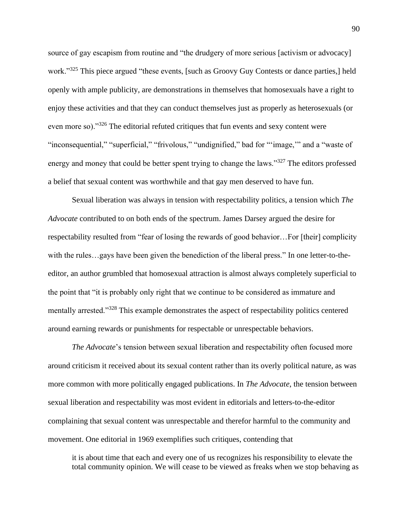source of gay escapism from routine and "the drudgery of more serious [activism or advocacy] work."<sup>325</sup> This piece argued "these events, [such as Groovy Guy Contests or dance parties,] held openly with ample publicity, are demonstrations in themselves that homosexuals have a right to enjoy these activities and that they can conduct themselves just as properly as heterosexuals (or even more so)."<sup>326</sup> The editorial refuted critiques that fun events and sexy content were "inconsequential," "superficial," "frivolous," "undignified," bad for "'image," and a "waste of energy and money that could be better spent trying to change the laws."<sup>327</sup> The editors professed a belief that sexual content was worthwhile and that gay men deserved to have fun.

Sexual liberation was always in tension with respectability politics, a tension which *The Advocate* contributed to on both ends of the spectrum. James Darsey argued the desire for respectability resulted from "fear of losing the rewards of good behavior…For [their] complicity with the rules…gays have been given the benediction of the liberal press." In one letter-to-theeditor, an author grumbled that homosexual attraction is almost always completely superficial to the point that "it is probably only right that we continue to be considered as immature and mentally arrested."<sup>328</sup> This example demonstrates the aspect of respectability politics centered around earning rewards or punishments for respectable or unrespectable behaviors.

*The Advocate*'s tension between sexual liberation and respectability often focused more around criticism it received about its sexual content rather than its overly political nature, as was more common with more politically engaged publications. In *The Advocate*, the tension between sexual liberation and respectability was most evident in editorials and letters-to-the-editor complaining that sexual content was unrespectable and therefor harmful to the community and movement. One editorial in 1969 exemplifies such critiques, contending that

it is about time that each and every one of us recognizes his responsibility to elevate the total community opinion. We will cease to be viewed as freaks when we stop behaving as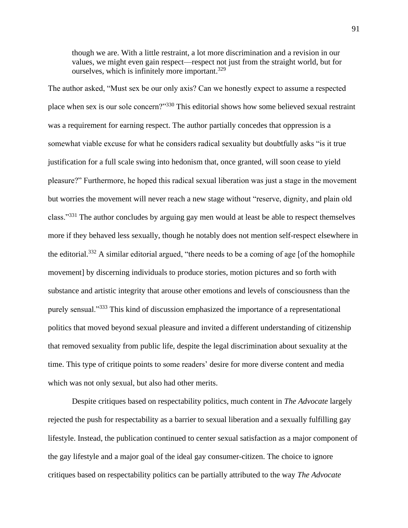though we are. With a little restraint, a lot more discrimination and a revision in our values, we might even gain respect—respect not just from the straight world, but for ourselves, which is infinitely more important.<sup>329</sup>

The author asked, "Must sex be our only axis? Can we honestly expect to assume a respected place when sex is our sole concern?"<sup>330</sup> This editorial shows how some believed sexual restraint was a requirement for earning respect. The author partially concedes that oppression is a somewhat viable excuse for what he considers radical sexuality but doubtfully asks "is it true justification for a full scale swing into hedonism that, once granted, will soon cease to yield pleasure?" Furthermore, he hoped this radical sexual liberation was just a stage in the movement but worries the movement will never reach a new stage without "reserve, dignity, and plain old class."<sup>331</sup> The author concludes by arguing gay men would at least be able to respect themselves more if they behaved less sexually, though he notably does not mention self-respect elsewhere in the editorial.<sup>332</sup> A similar editorial argued, "there needs to be a coming of age [of the homophile movement] by discerning individuals to produce stories, motion pictures and so forth with substance and artistic integrity that arouse other emotions and levels of consciousness than the purely sensual."<sup>333</sup> This kind of discussion emphasized the importance of a representational politics that moved beyond sexual pleasure and invited a different understanding of citizenship that removed sexuality from public life, despite the legal discrimination about sexuality at the time. This type of critique points to some readers' desire for more diverse content and media which was not only sexual, but also had other merits.

Despite critiques based on respectability politics, much content in *The Advocate* largely rejected the push for respectability as a barrier to sexual liberation and a sexually fulfilling gay lifestyle. Instead, the publication continued to center sexual satisfaction as a major component of the gay lifestyle and a major goal of the ideal gay consumer-citizen. The choice to ignore critiques based on respectability politics can be partially attributed to the way *The Advocate*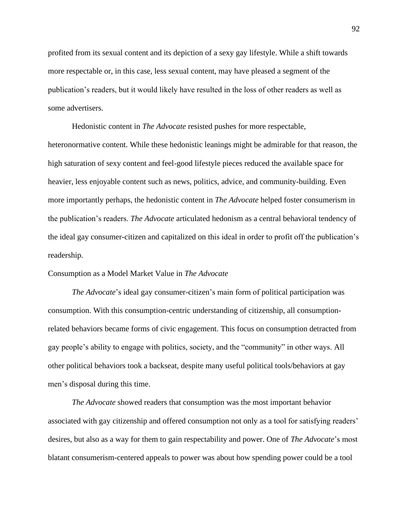profited from its sexual content and its depiction of a sexy gay lifestyle. While a shift towards more respectable or, in this case, less sexual content, may have pleased a segment of the publication's readers, but it would likely have resulted in the loss of other readers as well as some advertisers.

Hedonistic content in *The Advocate* resisted pushes for more respectable, heteronormative content. While these hedonistic leanings might be admirable for that reason, the high saturation of sexy content and feel-good lifestyle pieces reduced the available space for heavier, less enjoyable content such as news, politics, advice, and community-building. Even more importantly perhaps, the hedonistic content in *The Advocate* helped foster consumerism in the publication's readers. *The Advocate* articulated hedonism as a central behavioral tendency of the ideal gay consumer-citizen and capitalized on this ideal in order to profit off the publication's readership.

# Consumption as a Model Market Value in *The Advocate*

*The Advocate*'s ideal gay consumer-citizen's main form of political participation was consumption. With this consumption-centric understanding of citizenship, all consumptionrelated behaviors became forms of civic engagement. This focus on consumption detracted from gay people's ability to engage with politics, society, and the "community" in other ways. All other political behaviors took a backseat, despite many useful political tools/behaviors at gay men's disposal during this time.

*The Advocate* showed readers that consumption was the most important behavior associated with gay citizenship and offered consumption not only as a tool for satisfying readers' desires, but also as a way for them to gain respectability and power. One of *The Advocate*'s most blatant consumerism-centered appeals to power was about how spending power could be a tool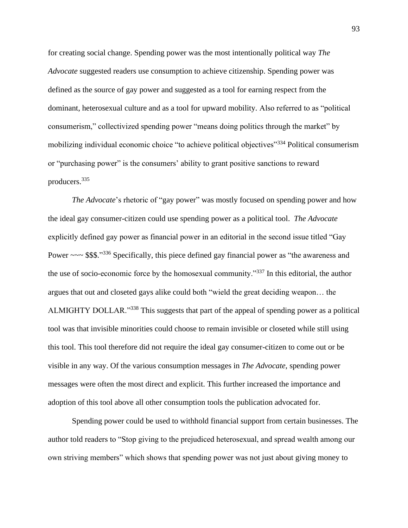for creating social change. Spending power was the most intentionally political way *The Advocate* suggested readers use consumption to achieve citizenship. Spending power was defined as the source of gay power and suggested as a tool for earning respect from the dominant, heterosexual culture and as a tool for upward mobility. Also referred to as "political consumerism," collectivized spending power "means doing politics through the market" by mobilizing individual economic choice "to achieve political objectives"<sup>334</sup> Political consumerism or "purchasing power" is the consumers' ability to grant positive sanctions to reward producers.<sup>335</sup>

*The Advocate*'s rhetoric of "gay power" was mostly focused on spending power and how the ideal gay consumer-citizen could use spending power as a political tool. *The Advocate* explicitly defined gay power as financial power in an editorial in the second issue titled "Gay Power ~~~ \$\$\$."<sup>336</sup> Specifically, this piece defined gay financial power as "the awareness and the use of socio-economic force by the homosexual community."<sup>337</sup> In this editorial, the author argues that out and closeted gays alike could both "wield the great deciding weapon… the ALMIGHTY DOLLAR."<sup>338</sup> This suggests that part of the appeal of spending power as a political tool was that invisible minorities could choose to remain invisible or closeted while still using this tool. This tool therefore did not require the ideal gay consumer-citizen to come out or be visible in any way. Of the various consumption messages in *The Advocate*, spending power messages were often the most direct and explicit. This further increased the importance and adoption of this tool above all other consumption tools the publication advocated for.

Spending power could be used to withhold financial support from certain businesses. The author told readers to "Stop giving to the prejudiced heterosexual, and spread wealth among our own striving members" which shows that spending power was not just about giving money to

93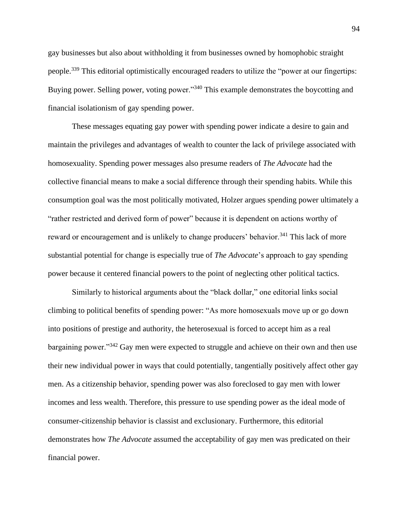gay businesses but also about withholding it from businesses owned by homophobic straight people.<sup>339</sup> This editorial optimistically encouraged readers to utilize the "power at our fingertips: Buying power. Selling power, voting power."<sup>340</sup> This example demonstrates the boycotting and financial isolationism of gay spending power.

These messages equating gay power with spending power indicate a desire to gain and maintain the privileges and advantages of wealth to counter the lack of privilege associated with homosexuality. Spending power messages also presume readers of *The Advocate* had the collective financial means to make a social difference through their spending habits. While this consumption goal was the most politically motivated, Holzer argues spending power ultimately a "rather restricted and derived form of power" because it is dependent on actions worthy of reward or encouragement and is unlikely to change producers' behavior.<sup>341</sup> This lack of more substantial potential for change is especially true of *The Advocate*'s approach to gay spending power because it centered financial powers to the point of neglecting other political tactics.

Similarly to historical arguments about the "black dollar," one editorial links social climbing to political benefits of spending power: "As more homosexuals move up or go down into positions of prestige and authority, the heterosexual is forced to accept him as a real bargaining power."<sup>342</sup> Gay men were expected to struggle and achieve on their own and then use their new individual power in ways that could potentially, tangentially positively affect other gay men. As a citizenship behavior, spending power was also foreclosed to gay men with lower incomes and less wealth. Therefore, this pressure to use spending power as the ideal mode of consumer-citizenship behavior is classist and exclusionary. Furthermore, this editorial demonstrates how *The Advocate* assumed the acceptability of gay men was predicated on their financial power.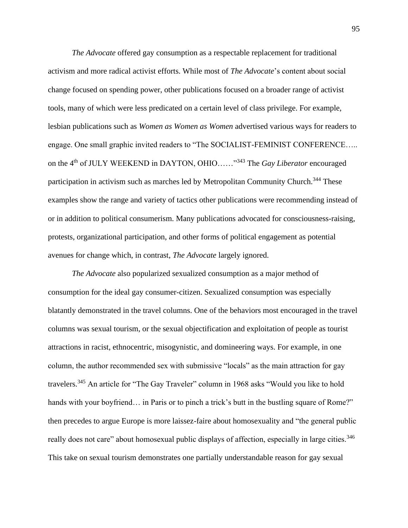*The Advocate* offered gay consumption as a respectable replacement for traditional activism and more radical activist efforts. While most of *The Advocate*'s content about social change focused on spending power, other publications focused on a broader range of activist tools, many of which were less predicated on a certain level of class privilege. For example, lesbian publications such as *Women as Women as Women* advertised various ways for readers to engage. One small graphic invited readers to "The SOCIALIST-FEMINIST CONFERENCE….. on the 4th of JULY WEEKEND in DAYTON, OHIO……"<sup>343</sup> The *Gay Liberator* encouraged participation in activism such as marches led by Metropolitan Community Church.<sup>344</sup> These examples show the range and variety of tactics other publications were recommending instead of or in addition to political consumerism. Many publications advocated for consciousness-raising, protests, organizational participation, and other forms of political engagement as potential avenues for change which, in contrast, *The Advocate* largely ignored.

*The Advocate* also popularized sexualized consumption as a major method of consumption for the ideal gay consumer-citizen. Sexualized consumption was especially blatantly demonstrated in the travel columns. One of the behaviors most encouraged in the travel columns was sexual tourism, or the sexual objectification and exploitation of people as tourist attractions in racist, ethnocentric, misogynistic, and domineering ways. For example, in one column, the author recommended sex with submissive "locals" as the main attraction for gay travelers.<sup>345</sup> An article for "The Gay Traveler" column in 1968 asks "Would you like to hold hands with your boyfriend... in Paris or to pinch a trick's butt in the bustling square of Rome?" then precedes to argue Europe is more laissez-faire about homosexuality and "the general public really does not care" about homosexual public displays of affection, especially in large cities.<sup>346</sup> This take on sexual tourism demonstrates one partially understandable reason for gay sexual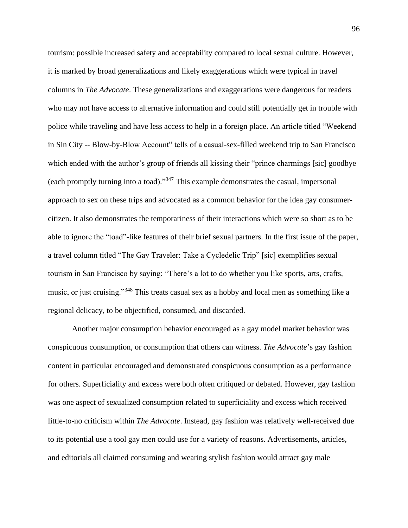tourism: possible increased safety and acceptability compared to local sexual culture. However, it is marked by broad generalizations and likely exaggerations which were typical in travel columns in *The Advocate*. These generalizations and exaggerations were dangerous for readers who may not have access to alternative information and could still potentially get in trouble with police while traveling and have less access to help in a foreign place. An article titled "Weekend in Sin City -- Blow-by-Blow Account" tells of a casual-sex-filled weekend trip to San Francisco which ended with the author's group of friends all kissing their "prince charmings [sic] goodbye (each promptly turning into a toad)."<sup>347</sup> This example demonstrates the casual, impersonal approach to sex on these trips and advocated as a common behavior for the idea gay consumercitizen. It also demonstrates the temporariness of their interactions which were so short as to be able to ignore the "toad"-like features of their brief sexual partners. In the first issue of the paper, a travel column titled "The Gay Traveler: Take a Cycledelic Trip" [sic] exemplifies sexual tourism in San Francisco by saying: "There's a lot to do whether you like sports, arts, crafts, music, or just cruising."<sup>348</sup> This treats casual sex as a hobby and local men as something like a regional delicacy, to be objectified, consumed, and discarded.

Another major consumption behavior encouraged as a gay model market behavior was conspicuous consumption, or consumption that others can witness. *The Advocate*'s gay fashion content in particular encouraged and demonstrated conspicuous consumption as a performance for others. Superficiality and excess were both often critiqued or debated. However, gay fashion was one aspect of sexualized consumption related to superficiality and excess which received little-to-no criticism within *The Advocate*. Instead, gay fashion was relatively well-received due to its potential use a tool gay men could use for a variety of reasons. Advertisements, articles, and editorials all claimed consuming and wearing stylish fashion would attract gay male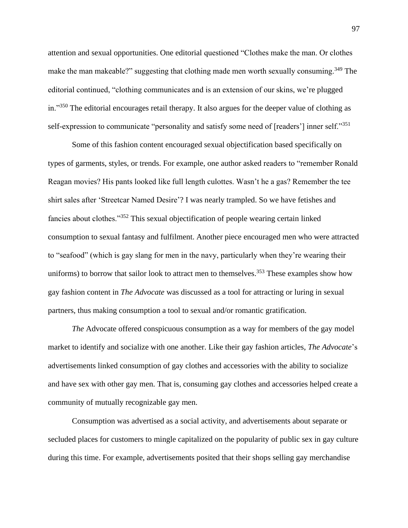attention and sexual opportunities. One editorial questioned "Clothes make the man. Or clothes make the man makeable?" suggesting that clothing made men worth sexually consuming.<sup>349</sup> The editorial continued, "clothing communicates and is an extension of our skins, we're plugged in."<sup>350</sup> The editorial encourages retail therapy. It also argues for the deeper value of clothing as self-expression to communicate "personality and satisfy some need of [readers'] inner self."<sup>351</sup>

Some of this fashion content encouraged sexual objectification based specifically on types of garments, styles, or trends. For example, one author asked readers to "remember Ronald Reagan movies? His pants looked like full length culottes. Wasn't he a gas? Remember the tee shirt sales after 'Streetcar Named Desire'? I was nearly trampled. So we have fetishes and fancies about clothes."<sup>352</sup> This sexual objectification of people wearing certain linked consumption to sexual fantasy and fulfilment. Another piece encouraged men who were attracted to "seafood" (which is gay slang for men in the navy, particularly when they're wearing their uniforms) to borrow that sailor look to attract men to themselves.<sup>353</sup> These examples show how gay fashion content in *The Advocate* was discussed as a tool for attracting or luring in sexual partners, thus making consumption a tool to sexual and/or romantic gratification.

*The* Advocate offered conspicuous consumption as a way for members of the gay model market to identify and socialize with one another. Like their gay fashion articles, *The Advocate*'s advertisements linked consumption of gay clothes and accessories with the ability to socialize and have sex with other gay men. That is, consuming gay clothes and accessories helped create a community of mutually recognizable gay men.

Consumption was advertised as a social activity, and advertisements about separate or secluded places for customers to mingle capitalized on the popularity of public sex in gay culture during this time. For example, advertisements posited that their shops selling gay merchandise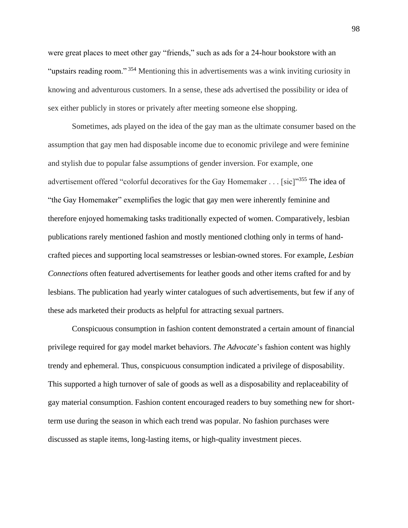were great places to meet other gay "friends," such as ads for a 24-hour bookstore with an "upstairs reading room."<sup>354</sup> Mentioning this in advertisements was a wink inviting curiosity in knowing and adventurous customers. In a sense, these ads advertised the possibility or idea of sex either publicly in stores or privately after meeting someone else shopping.

Sometimes, ads played on the idea of the gay man as the ultimate consumer based on the assumption that gay men had disposable income due to economic privilege and were feminine and stylish due to popular false assumptions of gender inversion. For example, one advertisement offered "colorful decoratives for the Gay Homemaker . . . [sic]"<sup>355</sup> The idea of "the Gay Homemaker" exemplifies the logic that gay men were inherently feminine and therefore enjoyed homemaking tasks traditionally expected of women. Comparatively, lesbian publications rarely mentioned fashion and mostly mentioned clothing only in terms of handcrafted pieces and supporting local seamstresses or lesbian-owned stores. For example, *Lesbian Connections* often featured advertisements for leather goods and other items crafted for and by lesbians. The publication had yearly winter catalogues of such advertisements, but few if any of these ads marketed their products as helpful for attracting sexual partners.

Conspicuous consumption in fashion content demonstrated a certain amount of financial privilege required for gay model market behaviors. *The Advocate*'s fashion content was highly trendy and ephemeral. Thus, conspicuous consumption indicated a privilege of disposability. This supported a high turnover of sale of goods as well as a disposability and replaceability of gay material consumption. Fashion content encouraged readers to buy something new for shortterm use during the season in which each trend was popular. No fashion purchases were discussed as staple items, long-lasting items, or high-quality investment pieces.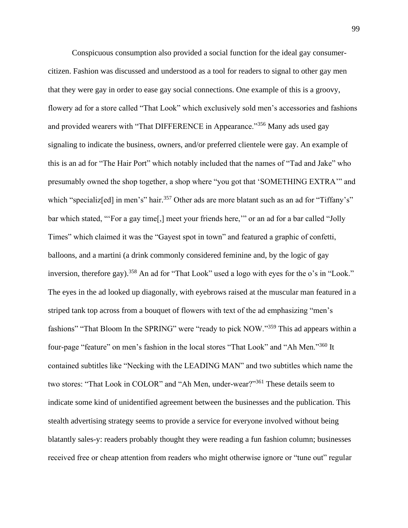Conspicuous consumption also provided a social function for the ideal gay consumercitizen. Fashion was discussed and understood as a tool for readers to signal to other gay men that they were gay in order to ease gay social connections. One example of this is a groovy, flowery ad for a store called "That Look" which exclusively sold men's accessories and fashions and provided wearers with "That DIFFERENCE in Appearance."<sup>356</sup> Many ads used gay signaling to indicate the business, owners, and/or preferred clientele were gay. An example of this is an ad for "The Hair Port" which notably included that the names of "Tad and Jake" who presumably owned the shop together, a shop where "you got that 'SOMETHING EXTRA'" and which "specializ<sup>[ed]</sup> in men's" hair.<sup>357</sup> Other ads are more blatant such as an ad for "Tiffany's" bar which stated, "'For a gay time[,] meet your friends here,'" or an ad for a bar called "Jolly Times" which claimed it was the "Gayest spot in town" and featured a graphic of confetti, balloons, and a martini (a drink commonly considered feminine and, by the logic of gay inversion, therefore gay).<sup>358</sup> An ad for "That Look" used a logo with eyes for the o's in "Look." The eyes in the ad looked up diagonally, with eyebrows raised at the muscular man featured in a striped tank top across from a bouquet of flowers with text of the ad emphasizing "men's fashions" "That Bloom In the SPRING" were "ready to pick NOW."<sup>359</sup> This ad appears within a four-page "feature" on men's fashion in the local stores "That Look" and "Ah Men."<sup>360</sup> It contained subtitles like "Necking with the LEADING MAN" and two subtitles which name the two stores: "That Look in COLOR" and "Ah Men, under-wear?"<sup>361</sup> These details seem to indicate some kind of unidentified agreement between the businesses and the publication. This stealth advertising strategy seems to provide a service for everyone involved without being blatantly sales-y: readers probably thought they were reading a fun fashion column; businesses received free or cheap attention from readers who might otherwise ignore or "tune out" regular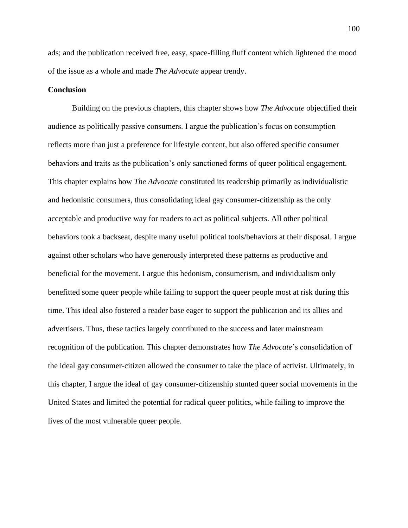ads; and the publication received free, easy, space-filling fluff content which lightened the mood of the issue as a whole and made *The Advocate* appear trendy.

#### **Conclusion**

Building on the previous chapters, this chapter shows how *The Advocate* objectified their audience as politically passive consumers. I argue the publication's focus on consumption reflects more than just a preference for lifestyle content, but also offered specific consumer behaviors and traits as the publication's only sanctioned forms of queer political engagement. This chapter explains how *The Advocate* constituted its readership primarily as individualistic and hedonistic consumers, thus consolidating ideal gay consumer-citizenship as the only acceptable and productive way for readers to act as political subjects. All other political behaviors took a backseat, despite many useful political tools/behaviors at their disposal. I argue against other scholars who have generously interpreted these patterns as productive and beneficial for the movement. I argue this hedonism, consumerism, and individualism only benefitted some queer people while failing to support the queer people most at risk during this time. This ideal also fostered a reader base eager to support the publication and its allies and advertisers. Thus, these tactics largely contributed to the success and later mainstream recognition of the publication. This chapter demonstrates how *The Advocate*'s consolidation of the ideal gay consumer-citizen allowed the consumer to take the place of activist. Ultimately, in this chapter, I argue the ideal of gay consumer-citizenship stunted queer social movements in the United States and limited the potential for radical queer politics, while failing to improve the lives of the most vulnerable queer people.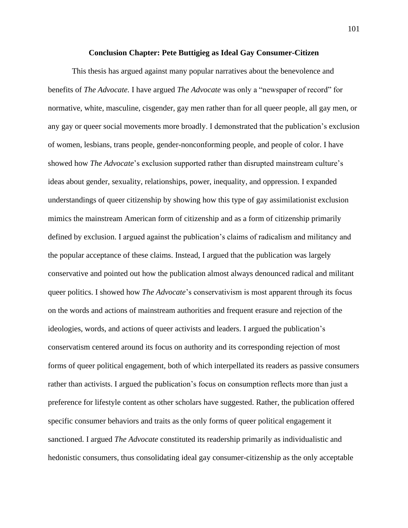#### **Conclusion Chapter: Pete Buttigieg as Ideal Gay Consumer-Citizen**

This thesis has argued against many popular narratives about the benevolence and benefits of *The Advocate.* I have argued *The Advocate* was only a "newspaper of record" for normative, white, masculine, cisgender, gay men rather than for all queer people, all gay men, or any gay or queer social movements more broadly. I demonstrated that the publication's exclusion of women, lesbians, trans people, gender-nonconforming people, and people of color. I have showed how *The Advocate*'s exclusion supported rather than disrupted mainstream culture's ideas about gender, sexuality, relationships, power, inequality, and oppression. I expanded understandings of queer citizenship by showing how this type of gay assimilationist exclusion mimics the mainstream American form of citizenship and as a form of citizenship primarily defined by exclusion. I argued against the publication's claims of radicalism and militancy and the popular acceptance of these claims. Instead, I argued that the publication was largely conservative and pointed out how the publication almost always denounced radical and militant queer politics. I showed how *The Advocate*'s conservativism is most apparent through its focus on the words and actions of mainstream authorities and frequent erasure and rejection of the ideologies, words, and actions of queer activists and leaders. I argued the publication's conservatism centered around its focus on authority and its corresponding rejection of most forms of queer political engagement, both of which interpellated its readers as passive consumers rather than activists. I argued the publication's focus on consumption reflects more than just a preference for lifestyle content as other scholars have suggested. Rather, the publication offered specific consumer behaviors and traits as the only forms of queer political engagement it sanctioned. I argued *The Advocate* constituted its readership primarily as individualistic and hedonistic consumers, thus consolidating ideal gay consumer-citizenship as the only acceptable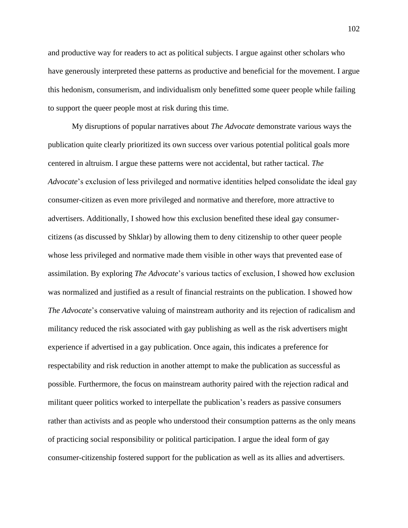and productive way for readers to act as political subjects. I argue against other scholars who have generously interpreted these patterns as productive and beneficial for the movement. I argue this hedonism, consumerism, and individualism only benefitted some queer people while failing to support the queer people most at risk during this time.

My disruptions of popular narratives about *The Advocate* demonstrate various ways the publication quite clearly prioritized its own success over various potential political goals more centered in altruism. I argue these patterns were not accidental, but rather tactical. *The Advocate*'s exclusion of less privileged and normative identities helped consolidate the ideal gay consumer-citizen as even more privileged and normative and therefore, more attractive to advertisers. Additionally, I showed how this exclusion benefited these ideal gay consumercitizens (as discussed by Shklar) by allowing them to deny citizenship to other queer people whose less privileged and normative made them visible in other ways that prevented ease of assimilation. By exploring *The Advocate*'s various tactics of exclusion, I showed how exclusion was normalized and justified as a result of financial restraints on the publication. I showed how *The Advocate*'s conservative valuing of mainstream authority and its rejection of radicalism and militancy reduced the risk associated with gay publishing as well as the risk advertisers might experience if advertised in a gay publication. Once again, this indicates a preference for respectability and risk reduction in another attempt to make the publication as successful as possible. Furthermore, the focus on mainstream authority paired with the rejection radical and militant queer politics worked to interpellate the publication's readers as passive consumers rather than activists and as people who understood their consumption patterns as the only means of practicing social responsibility or political participation. I argue the ideal form of gay consumer-citizenship fostered support for the publication as well as its allies and advertisers.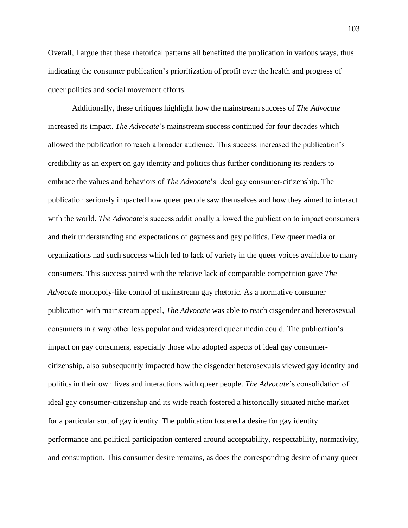Overall, I argue that these rhetorical patterns all benefitted the publication in various ways, thus indicating the consumer publication's prioritization of profit over the health and progress of queer politics and social movement efforts.

Additionally, these critiques highlight how the mainstream success of *The Advocate* increased its impact. *The Advocate*'s mainstream success continued for four decades which allowed the publication to reach a broader audience. This success increased the publication's credibility as an expert on gay identity and politics thus further conditioning its readers to embrace the values and behaviors of *The Advocate*'s ideal gay consumer-citizenship. The publication seriously impacted how queer people saw themselves and how they aimed to interact with the world. *The Advocate*'s success additionally allowed the publication to impact consumers and their understanding and expectations of gayness and gay politics. Few queer media or organizations had such success which led to lack of variety in the queer voices available to many consumers. This success paired with the relative lack of comparable competition gave *The Advocate* monopoly-like control of mainstream gay rhetoric. As a normative consumer publication with mainstream appeal, *The Advocate* was able to reach cisgender and heterosexual consumers in a way other less popular and widespread queer media could. The publication's impact on gay consumers, especially those who adopted aspects of ideal gay consumercitizenship, also subsequently impacted how the cisgender heterosexuals viewed gay identity and politics in their own lives and interactions with queer people. *The Advocate*'s consolidation of ideal gay consumer-citizenship and its wide reach fostered a historically situated niche market for a particular sort of gay identity. The publication fostered a desire for gay identity performance and political participation centered around acceptability, respectability, normativity, and consumption. This consumer desire remains, as does the corresponding desire of many queer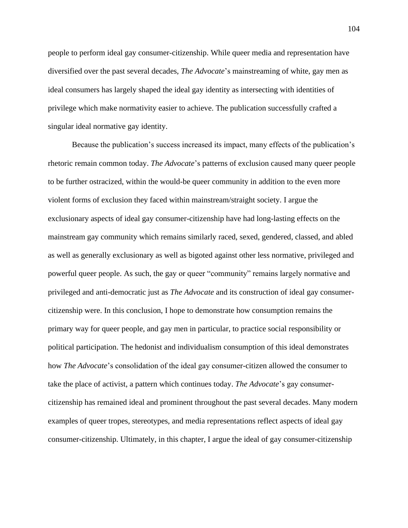people to perform ideal gay consumer-citizenship. While queer media and representation have diversified over the past several decades, *The Advocate*'s mainstreaming of white, gay men as ideal consumers has largely shaped the ideal gay identity as intersecting with identities of privilege which make normativity easier to achieve. The publication successfully crafted a singular ideal normative gay identity.

Because the publication's success increased its impact, many effects of the publication's rhetoric remain common today. *The Advocate*'s patterns of exclusion caused many queer people to be further ostracized, within the would-be queer community in addition to the even more violent forms of exclusion they faced within mainstream/straight society. I argue the exclusionary aspects of ideal gay consumer-citizenship have had long-lasting effects on the mainstream gay community which remains similarly raced, sexed, gendered, classed, and abled as well as generally exclusionary as well as bigoted against other less normative, privileged and powerful queer people. As such, the gay or queer "community" remains largely normative and privileged and anti-democratic just as *The Advocate* and its construction of ideal gay consumercitizenship were. In this conclusion, I hope to demonstrate how consumption remains the primary way for queer people, and gay men in particular, to practice social responsibility or political participation. The hedonist and individualism consumption of this ideal demonstrates how *The Advocate*'s consolidation of the ideal gay consumer-citizen allowed the consumer to take the place of activist, a pattern which continues today. *The Advocate*'s gay consumercitizenship has remained ideal and prominent throughout the past several decades. Many modern examples of queer tropes, stereotypes, and media representations reflect aspects of ideal gay consumer-citizenship. Ultimately, in this chapter, I argue the ideal of gay consumer-citizenship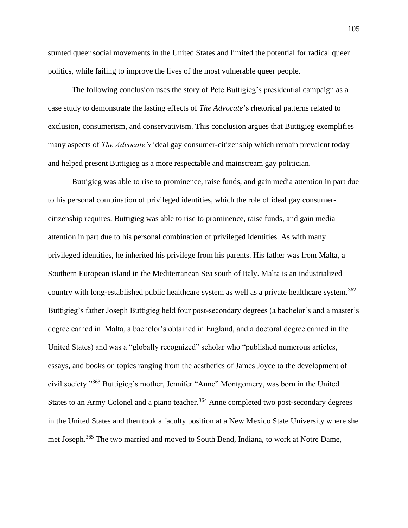stunted queer social movements in the United States and limited the potential for radical queer politics, while failing to improve the lives of the most vulnerable queer people.

The following conclusion uses the story of Pete Buttigieg's presidential campaign as a case study to demonstrate the lasting effects of *The Advocate*'s rhetorical patterns related to exclusion, consumerism, and conservativism. This conclusion argues that Buttigieg exemplifies many aspects of *The Advocate's* ideal gay consumer-citizenship which remain prevalent today and helped present Buttigieg as a more respectable and mainstream gay politician.

Buttigieg was able to rise to prominence, raise funds, and gain media attention in part due to his personal combination of privileged identities, which the role of ideal gay consumercitizenship requires. Buttigieg was able to rise to prominence, raise funds, and gain media attention in part due to his personal combination of privileged identities. As with many privileged identities, he inherited his privilege from his parents. His father was from Malta, a Southern European island in the Mediterranean Sea south of Italy. Malta is an industrialized country with long-established public healthcare system as well as a private healthcare system.<sup>362</sup> Buttigieg's father Joseph Buttigieg held four post-secondary degrees (a bachelor's and a master's degree earned in Malta, a bachelor's obtained in England, and a doctoral degree earned in the United States) and was a "globally recognized" scholar who "published numerous articles, essays, and books on topics ranging from the aesthetics of James Joyce to the development of civil society."<sup>363</sup> Buttigieg's mother, Jennifer "Anne" Montgomery, was born in the United States to an Army Colonel and a piano teacher.<sup>364</sup> Anne completed two post-secondary degrees in the United States and then took a faculty position at a New Mexico State University where she met Joseph.<sup>365</sup> The two married and moved to South Bend, Indiana, to work at Notre Dame,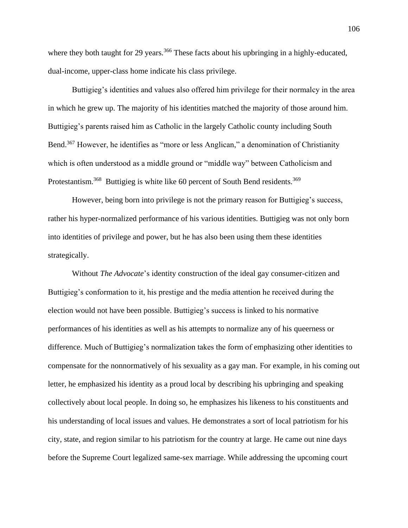where they both taught for 29 years.<sup>366</sup> These facts about his upbringing in a highly-educated, dual-income, upper-class home indicate his class privilege.

Buttigieg's identities and values also offered him privilege for their normalcy in the area in which he grew up. The majority of his identities matched the majority of those around him. Buttigieg's parents raised him as Catholic in the largely Catholic county including South Bend.<sup>367</sup> However, he identifies as "more or less Anglican," a denomination of Christianity which is often understood as a middle ground or "middle way" between Catholicism and Protestantism.<sup>368</sup> Buttigieg is white like 60 percent of South Bend residents.<sup>369</sup>

However, being born into privilege is not the primary reason for Buttigieg's success, rather his hyper-normalized performance of his various identities. Buttigieg was not only born into identities of privilege and power, but he has also been using them these identities strategically.

Without *The Advocate*'s identity construction of the ideal gay consumer-citizen and Buttigieg's conformation to it, his prestige and the media attention he received during the election would not have been possible. Buttigieg's success is linked to his normative performances of his identities as well as his attempts to normalize any of his queerness or difference. Much of Buttigieg's normalization takes the form of emphasizing other identities to compensate for the nonnormatively of his sexuality as a gay man. For example, in his coming out letter, he emphasized his identity as a proud local by describing his upbringing and speaking collectively about local people. In doing so, he emphasizes his likeness to his constituents and his understanding of local issues and values. He demonstrates a sort of local patriotism for his city, state, and region similar to his patriotism for the country at large. He came out nine days before the Supreme Court legalized same-sex marriage. While addressing the upcoming court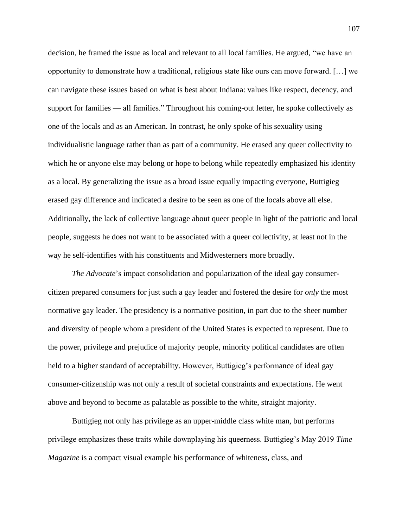decision, he framed the issue as local and relevant to all local families. He argued, "we have an opportunity to demonstrate how a traditional, religious state like ours can move forward. […] we can navigate these issues based on what is best about Indiana: values like respect, decency, and support for families — all families." Throughout his coming-out letter, he spoke collectively as one of the locals and as an American. In contrast, he only spoke of his sexuality using individualistic language rather than as part of a community. He erased any queer collectivity to which he or anyone else may belong or hope to belong while repeatedly emphasized his identity as a local. By generalizing the issue as a broad issue equally impacting everyone, Buttigieg erased gay difference and indicated a desire to be seen as one of the locals above all else. Additionally, the lack of collective language about queer people in light of the patriotic and local people, suggests he does not want to be associated with a queer collectivity, at least not in the way he self-identifies with his constituents and Midwesterners more broadly.

*The Advocate*'s impact consolidation and popularization of the ideal gay consumercitizen prepared consumers for just such a gay leader and fostered the desire for *only* the most normative gay leader. The presidency is a normative position, in part due to the sheer number and diversity of people whom a president of the United States is expected to represent. Due to the power, privilege and prejudice of majority people, minority political candidates are often held to a higher standard of acceptability. However, Buttigieg's performance of ideal gay consumer-citizenship was not only a result of societal constraints and expectations. He went above and beyond to become as palatable as possible to the white, straight majority.

Buttigieg not only has privilege as an upper-middle class white man, but performs privilege emphasizes these traits while downplaying his queerness. Buttigieg's May 2019 *Time Magazine* is a compact visual example his performance of whiteness, class, and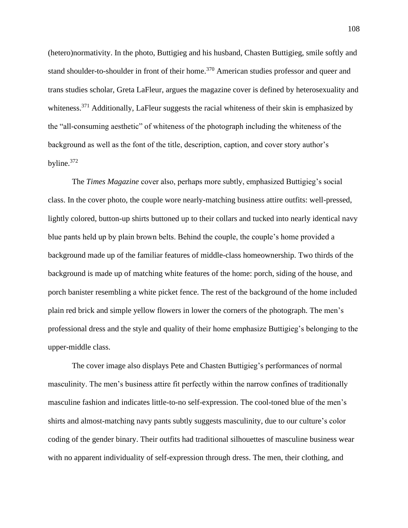(hetero)normativity. In the photo, Buttigieg and his husband, Chasten Buttigieg, smile softly and stand shoulder-to-shoulder in front of their home.<sup>370</sup> American studies professor and queer and trans studies scholar, Greta LaFleur, argues the magazine cover is defined by heterosexuality and whiteness.<sup>371</sup> Additionally, LaFleur suggests the racial whiteness of their skin is emphasized by the "all-consuming aesthetic" of whiteness of the photograph including the whiteness of the background as well as the font of the title, description, caption, and cover story author's byline.<sup>372</sup>

The *Times Magazine* cover also, perhaps more subtly, emphasized Buttigieg's social class. In the cover photo, the couple wore nearly-matching business attire outfits: well-pressed, lightly colored, button-up shirts buttoned up to their collars and tucked into nearly identical navy blue pants held up by plain brown belts. Behind the couple, the couple's home provided a background made up of the familiar features of middle-class homeownership. Two thirds of the background is made up of matching white features of the home: porch, siding of the house, and porch banister resembling a white picket fence. The rest of the background of the home included plain red brick and simple yellow flowers in lower the corners of the photograph. The men's professional dress and the style and quality of their home emphasize Buttigieg's belonging to the upper-middle class.

The cover image also displays Pete and Chasten Buttigieg's performances of normal masculinity. The men's business attire fit perfectly within the narrow confines of traditionally masculine fashion and indicates little-to-no self-expression. The cool-toned blue of the men's shirts and almost-matching navy pants subtly suggests masculinity, due to our culture's color coding of the gender binary. Their outfits had traditional silhouettes of masculine business wear with no apparent individuality of self-expression through dress. The men, their clothing, and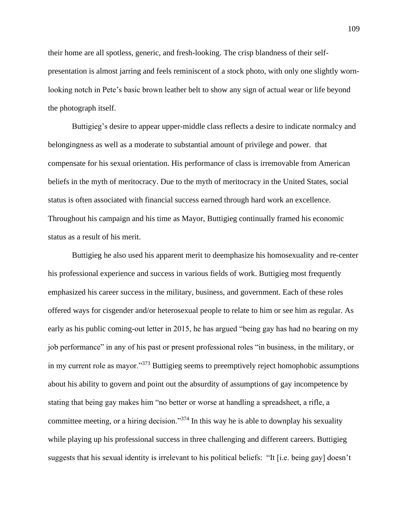their home are all spotless, generic, and fresh-looking. The crisp blandness of their selfpresentation is almost jarring and feels reminiscent of a stock photo, with only one slightly wornlooking notch in Pete's basic brown leather belt to show any sign of actual wear or life beyond the photograph itself.

Buttigieg's desire to appear upper-middle class reflects a desire to indicate normalcy and belongingness as well as a moderate to substantial amount of privilege and power. that compensate for his sexual orientation. His performance of class is irremovable from American beliefs in the myth of meritocracy. Due to the myth of meritocracy in the United States, social status is often associated with financial success earned through hard work an excellence. Throughout his campaign and his time as Mayor, Buttigieg continually framed his economic status as a result of his merit.

Buttigieg he also used his apparent merit to deemphasize his homosexuality and re-center his professional experience and success in various fields of work. Buttigieg most frequently emphasized his career success in the military, business, and government. Each of these roles offered ways for cisgender and/or heterosexual people to relate to him or see him as regular. As early as his public coming-out letter in 2015, he has argued "being gay has had no bearing on my job performance" in any of his past or present professional roles "in business, in the military, or in my current role as mayor."<sup>373</sup> Buttigieg seems to preemptively reject homophobic assumptions about his ability to govern and point out the absurdity of assumptions of gay incompetence by stating that being gay makes him "no better or worse at handling a spreadsheet, a rifle, a committee meeting, or a hiring decision."<sup>374</sup> In this way he is able to downplay his sexuality while playing up his professional success in three challenging and different careers. Buttigieg suggests that his sexual identity is irrelevant to his political beliefs: "It [i.e. being gay] doesn't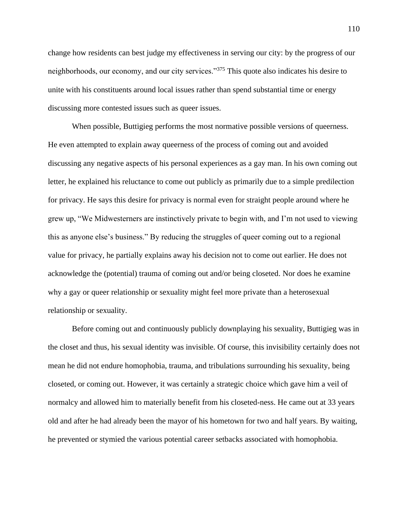change how residents can best judge my effectiveness in serving our city: by the progress of our neighborhoods, our economy, and our city services."<sup>375</sup> This quote also indicates his desire to unite with his constituents around local issues rather than spend substantial time or energy discussing more contested issues such as queer issues.

When possible, Buttigieg performs the most normative possible versions of queerness. He even attempted to explain away queerness of the process of coming out and avoided discussing any negative aspects of his personal experiences as a gay man. In his own coming out letter, he explained his reluctance to come out publicly as primarily due to a simple predilection for privacy. He says this desire for privacy is normal even for straight people around where he grew up, "We Midwesterners are instinctively private to begin with, and I'm not used to viewing this as anyone else's business." By reducing the struggles of queer coming out to a regional value for privacy, he partially explains away his decision not to come out earlier. He does not acknowledge the (potential) trauma of coming out and/or being closeted. Nor does he examine why a gay or queer relationship or sexuality might feel more private than a heterosexual relationship or sexuality.

Before coming out and continuously publicly downplaying his sexuality, Buttigieg was in the closet and thus, his sexual identity was invisible. Of course, this invisibility certainly does not mean he did not endure homophobia, trauma, and tribulations surrounding his sexuality, being closeted, or coming out. However, it was certainly a strategic choice which gave him a veil of normalcy and allowed him to materially benefit from his closeted-ness. He came out at 33 years old and after he had already been the mayor of his hometown for two and half years. By waiting, he prevented or stymied the various potential career setbacks associated with homophobia.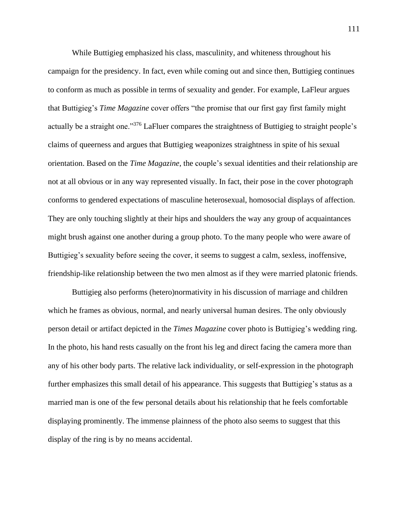While Buttigieg emphasized his class, masculinity, and whiteness throughout his campaign for the presidency. In fact, even while coming out and since then, Buttigieg continues to conform as much as possible in terms of sexuality and gender. For example, LaFleur argues that Buttigieg's *Time Magazine* cover offers "the promise that our first gay first family might actually be a straight one."<sup>376</sup> LaFluer compares the straightness of Buttigieg to straight people's claims of queerness and argues that Buttigieg weaponizes straightness in spite of his sexual orientation. Based on the *Time Magazine*, the couple's sexual identities and their relationship are not at all obvious or in any way represented visually. In fact, their pose in the cover photograph conforms to gendered expectations of masculine heterosexual, homosocial displays of affection. They are only touching slightly at their hips and shoulders the way any group of acquaintances might brush against one another during a group photo. To the many people who were aware of Buttigieg's sexuality before seeing the cover, it seems to suggest a calm, sexless, inoffensive, friendship-like relationship between the two men almost as if they were married platonic friends.

Buttigieg also performs (hetero)normativity in his discussion of marriage and children which he frames as obvious, normal, and nearly universal human desires. The only obviously person detail or artifact depicted in the *Times Magazine* cover photo is Buttigieg's wedding ring. In the photo, his hand rests casually on the front his leg and direct facing the camera more than any of his other body parts. The relative lack individuality, or self-expression in the photograph further emphasizes this small detail of his appearance. This suggests that Buttigieg's status as a married man is one of the few personal details about his relationship that he feels comfortable displaying prominently. The immense plainness of the photo also seems to suggest that this display of the ring is by no means accidental.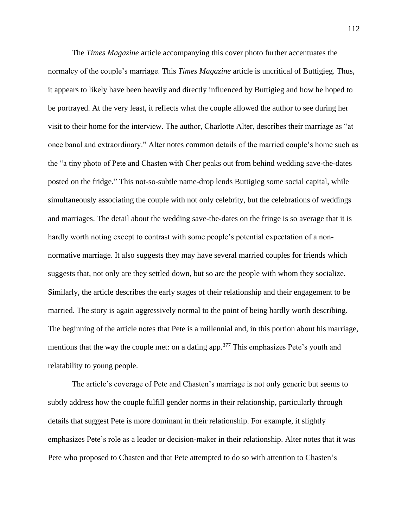The *Times Magazine* article accompanying this cover photo further accentuates the normalcy of the couple's marriage. This *Times Magazine* article is uncritical of Buttigieg. Thus, it appears to likely have been heavily and directly influenced by Buttigieg and how he hoped to be portrayed. At the very least, it reflects what the couple allowed the author to see during her visit to their home for the interview. The author, Charlotte Alter, describes their marriage as "at once banal and extraordinary." Alter notes common details of the married couple's home such as the "a tiny photo of Pete and Chasten with Cher peaks out from behind wedding save-the-dates posted on the fridge." This not-so-subtle name-drop lends Buttigieg some social capital, while simultaneously associating the couple with not only celebrity, but the celebrations of weddings and marriages. The detail about the wedding save-the-dates on the fringe is so average that it is hardly worth noting except to contrast with some people's potential expectation of a nonnormative marriage. It also suggests they may have several married couples for friends which suggests that, not only are they settled down, but so are the people with whom they socialize. Similarly, the article describes the early stages of their relationship and their engagement to be married. The story is again aggressively normal to the point of being hardly worth describing. The beginning of the article notes that Pete is a millennial and, in this portion about his marriage, mentions that the way the couple met: on a dating app.<sup>377</sup> This emphasizes Pete's youth and relatability to young people.

The article's coverage of Pete and Chasten's marriage is not only generic but seems to subtly address how the couple fulfill gender norms in their relationship, particularly through details that suggest Pete is more dominant in their relationship. For example, it slightly emphasizes Pete's role as a leader or decision-maker in their relationship. Alter notes that it was Pete who proposed to Chasten and that Pete attempted to do so with attention to Chasten's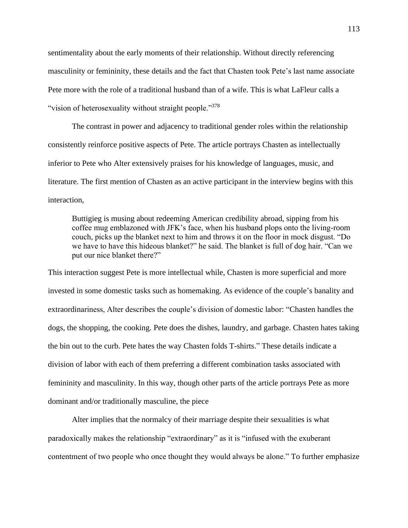sentimentality about the early moments of their relationship. Without directly referencing masculinity or femininity, these details and the fact that Chasten took Pete's last name associate Pete more with the role of a traditional husband than of a wife. This is what LaFleur calls a "vision of heterosexuality without straight people."<sup>378</sup>

The contrast in power and adjacency to traditional gender roles within the relationship consistently reinforce positive aspects of Pete. The article portrays Chasten as intellectually inferior to Pete who Alter extensively praises for his knowledge of languages, music, and literature. The first mention of Chasten as an active participant in the interview begins with this interaction,

Buttigieg is musing about redeeming American credibility abroad, sipping from his coffee mug emblazoned with JFK's face, when his husband plops onto the living-room couch, picks up the blanket next to him and throws it on the floor in mock disgust. "Do we have to have this hideous blanket?" he said. The blanket is full of dog hair. "Can we put our nice blanket there?"

This interaction suggest Pete is more intellectual while, Chasten is more superficial and more invested in some domestic tasks such as homemaking. As evidence of the couple's banality and extraordinariness, Alter describes the couple's division of domestic labor: "Chasten handles the dogs, the shopping, the cooking. Pete does the dishes, laundry, and garbage. Chasten hates taking the bin out to the curb. Pete hates the way Chasten folds T-shirts." These details indicate a division of labor with each of them preferring a different combination tasks associated with femininity and masculinity. In this way, though other parts of the article portrays Pete as more dominant and/or traditionally masculine, the piece

Alter implies that the normalcy of their marriage despite their sexualities is what paradoxically makes the relationship "extraordinary" as it is "infused with the exuberant contentment of two people who once thought they would always be alone." To further emphasize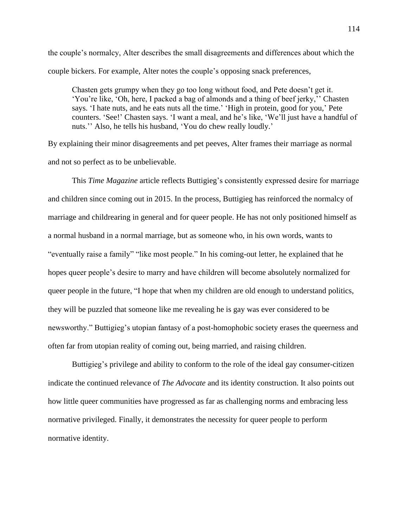the couple's normalcy, Alter describes the small disagreements and differences about which the couple bickers. For example, Alter notes the couple's opposing snack preferences,

Chasten gets grumpy when they go too long without food, and Pete doesn't get it. 'You're like, 'Oh, here, I packed a bag of almonds and a thing of beef jerky,'' Chasten says. 'I hate nuts, and he eats nuts all the time.' 'High in protein, good for you,' Pete counters. 'See!' Chasten says. 'I want a meal, and he's like, 'We'll just have a handful of nuts.'' Also, he tells his husband, 'You do chew really loudly.'

By explaining their minor disagreements and pet peeves, Alter frames their marriage as normal and not so perfect as to be unbelievable.

This *Time Magazine* article reflects Buttigieg's consistently expressed desire for marriage and children since coming out in 2015. In the process, Buttigieg has reinforced the normalcy of marriage and childrearing in general and for queer people. He has not only positioned himself as a normal husband in a normal marriage, but as someone who, in his own words, wants to "eventually raise a family" "like most people." In his coming-out letter, he explained that he hopes queer people's desire to marry and have children will become absolutely normalized for queer people in the future, "I hope that when my children are old enough to understand politics, they will be puzzled that someone like me revealing he is gay was ever considered to be newsworthy." Buttigieg's utopian fantasy of a post-homophobic society erases the queerness and often far from utopian reality of coming out, being married, and raising children.

Buttigieg's privilege and ability to conform to the role of the ideal gay consumer-citizen indicate the continued relevance of *The Advocate* and its identity construction. It also points out how little queer communities have progressed as far as challenging norms and embracing less normative privileged. Finally, it demonstrates the necessity for queer people to perform normative identity.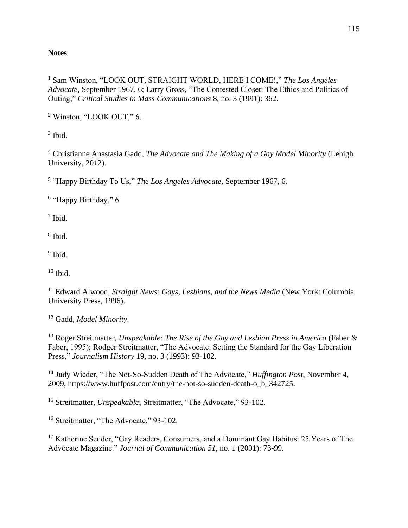## **Notes**

<sup>1</sup> Sam Winston, "LOOK OUT, STRAIGHT WORLD, HERE I COME!," *The Los Angeles Advocate,* September 1967, 6; Larry Gross, "The Contested Closet: The Ethics and Politics of Outing," *Critical Studies in Mass Communications* 8, no. 3 (1991): 362.

<sup>2</sup> Winston, "LOOK OUT," 6.

3 Ibid.

<sup>4</sup> Christianne Anastasia Gadd, *The Advocate and The Making of a Gay Model Minority* (Lehigh University, 2012).

5 "Happy Birthday To Us," *The Los Angeles Advocate,* September 1967, 6.

<sup>6</sup> "Happy Birthday," 6.

7 Ibid.

8 Ibid.

<sup>9</sup> Ibid.

 $10$  Ibid.

<sup>11</sup> Edward Alwood, *Straight News: Gays, Lesbians, and the News Media* (New York: Columbia University Press, 1996).

<sup>12</sup> Gadd, *Model Minority*.

<sup>13</sup> Roger Streitmatter, *Unspeakable: The Rise of the Gay and Lesbian Press in America* (Faber & Faber, 1995); Rodger Streitmatter, "The Advocate: Setting the Standard for the Gay Liberation Press," *Journalism History* 19, no. 3 (1993): 93-102.

<sup>14</sup> Judy Wieder, "The Not-So-Sudden Death of The Advocate," *Huffington Post,* November 4, 2009, https://www.huffpost.com/entry/the-not-so-sudden-death-o\_b\_342725.

<sup>15</sup> Streitmatter, *Unspeakable*; Streitmatter, "The Advocate," 93-102.

<sup>16</sup> Streitmatter, "The Advocate," 93-102.

<sup>17</sup> Katherine Sender, "Gay Readers, Consumers, and a Dominant Gay Habitus: 25 Years of The Advocate Magazine." *Journal of Communication 51,* no. 1 (2001): 73-99.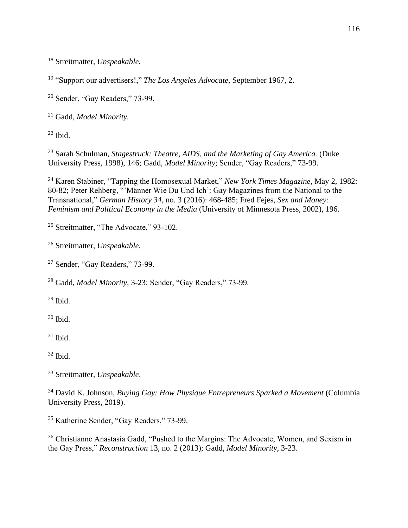Streitmatter, *Unspeakable.* 

"Support our advertisers!," *The Los Angeles Advocate,* September 1967, 2.

Sender, "Gay Readers," 73-99.

Gadd, *Model Minority.*

Ibid.

 Sarah Schulman, *Stagestruck: Theatre, AIDS, and the Marketing of Gay America.* (Duke University Press, 1998), 146; Gadd, *Model Minority*; Sender, "Gay Readers," 73-99.

 Karen Stabiner, "Tapping the Homosexual Market," *New York Times Magazine,* May 2, 1982: 80-82; Peter Rehberg, "'Männer Wie Du Und Ich': Gay Magazines from the National to the Transnational," *German History 34,* no. 3 (2016): 468-485; Fred Fejes, *Sex and Money: Feminism and Political Economy in the Media* (University of Minnesota Press, 2002), 196.

<sup>25</sup> Streitmatter, "The Advocate," 93-102.

Streitmatter, *Unspeakable.* 

Sender, "Gay Readers," 73-99.

Gadd, *Model Minority*, 3-23; Sender, "Gay Readers," 73-99.

Ibid.

Ibid.

Ibid.

Ibid.

Streitmatter, *Unspeakable*.

<sup>34</sup> David K. Johnson, *Buying Gay: How Physique Entrepreneurs Sparked a Movement* (Columbia) University Press, 2019).

Katherine Sender, "Gay Readers," 73-99.

 Christianne Anastasia Gadd, "Pushed to the Margins: The Advocate, Women, and Sexism in the Gay Press," *Reconstruction* 13, no. 2 (2013); Gadd, *Model Minority*, 3-23.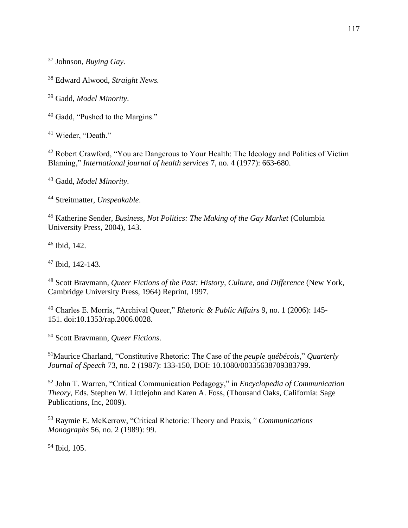Johnson, *Buying Gay.*

Edward Alwood, *Straight News.*

Gadd, *Model Minority*.

Gadd, "Pushed to the Margins."

<sup>41</sup> Wieder, "Death."

<sup>42</sup> Robert Crawford, "You are Dangerous to Your Health: The Ideology and Politics of Victim Blaming," *International journal of health services* 7, no. 4 (1977): 663-680.

Gadd, *Model Minority*.

Streitmatter, *Unspeakable*.

 Katherine Sender, *Business, Not Politics: The Making of the Gay Market* (Columbia University Press, 2004), 143.

Ibid, 142.

Ibid, 142-143.

 Scott Bravmann, *Queer Fictions of the Past: History, Culture, and Difference* (New York, Cambridge University Press, 1964) Reprint, 1997.

 Charles E. Morris, "Archival Queer," *Rhetoric & Public Affairs* 9, no. 1 (2006): 145- 151. doi:10.1353/rap.2006.0028.

Scott Bravmann, *Queer Fictions*.

Maurice Charland, "Constitutive Rhetoric: The Case of the *peuple québécois*," *Quarterly Journal of Speech* 73, no. 2 (1987): 133-150, DOI: 10.1080/00335638709383799.

 John T. Warren, "Critical Communication Pedagogy," in *Encyclopedia of Communication Theory,* Eds. Stephen W. Littlejohn and Karen A. Foss, (Thousand Oaks, California: Sage Publications, Inc, 2009).

 Raymie E. McKerrow, "Critical Rhetoric: Theory and Praxis*," Communications Monographs* 56, no. 2 (1989): 99.

Ibid, 105.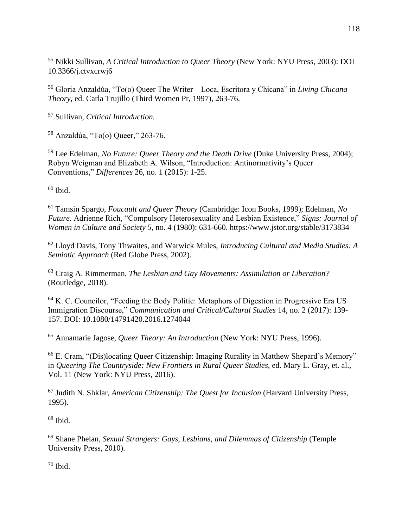<sup>55</sup> Nikki Sullivan, *A Critical Introduction to Queer Theory* (New York: NYU Press, 2003): DOI 10.3366/j.ctvxcrwj6

<sup>56</sup> Gloria Anzaldúa, "To(o) Queer The Writer—Loca, Escritora y Chicana" in *Living Chicana Theory,* ed. Carla Trujillo (Third Women Pr, 1997), 263-76.

<sup>57</sup> Sullivan, *Critical Introduction.* 

<sup>58</sup> Anzaldúa, "To(o) Queer," 263-76.

<sup>59</sup> Lee Edelman, *No Future: Queer Theory and the Death Drive* (Duke University Press, 2004); Robyn Weigman and Elizabeth A. Wilson, "Introduction: Antinormativity's Queer Conventions," *Differences* 26, no. 1 (2015): 1-25.

 $60$  Ibid.

<sup>61</sup> Tamsin Spargo, *Foucault and Queer Theory* (Cambridge: Icon Books, 1999); Edelman, *No Future*. Adrienne Rich, "Compulsory Heterosexuality and Lesbian Existence," *Signs: Journal of Women in Culture and Society 5*, no. 4 (1980): 631-660. https://www.jstor.org/stable/3173834

<sup>62</sup> Lloyd Davis, Tony Thwaites, and Warwick Mules, *Introducing Cultural and Media Studies: A Semiotic Approach* (Red Globe Press, 2002).

<sup>63</sup> Craig A. Rimmerman, *The Lesbian and Gay Movements: Assimilation or Liberation?* (Routledge, 2018).

 $64$  K. C. Councilor, "Feeding the Body Politic: Metaphors of Digestion in Progressive Era US Immigration Discourse," *Communication and Critical/Cultural Studies* 14, no. 2 (2017): 139- 157. DOI: 10.1080/14791420.2016.1274044

<sup>65</sup> Annamarie Jagose, *Queer Theory: An Introduction* (New York: NYU Press, 1996).

<sup>66</sup> E. Cram, "(Dis)locating Queer Citizenship: Imaging Rurality in Matthew Shepard's Memory" in *Queering The Countryside: New Frontiers in Rural Queer Studies*, ed. Mary L. Gray, et. al., Vol. 11 (New York: NYU Press, 2016).

<sup>67</sup> Judith N. Shklar, *American Citizenship: The Quest for Inclusion* (Harvard University Press, 1995).

 $68$  Ibid.

<sup>69</sup> Shane Phelan, *Sexual Strangers: Gays, Lesbians, and Dilemmas of Citizenship* (Temple University Press, 2010).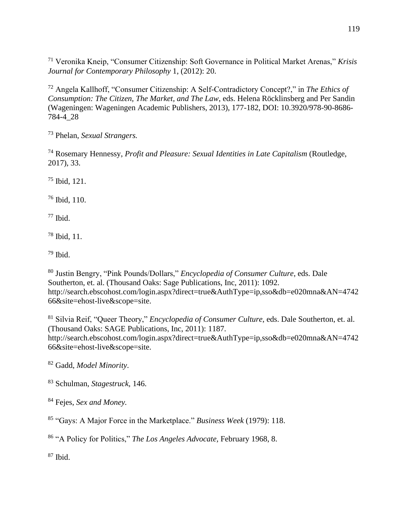Veronika Kneip, "Consumer Citizenship: Soft Governance in Political Market Arenas," *Krisis Journal for Contemporary Philosophy* 1, (2012): 20.

 Angela Kallhoff, "Consumer Citizenship: A Self-Contradictory Concept?," in *The Ethics of Consumption: The Citizen, The Market, and The Law*, eds. Helena Röcklinsberg and Per Sandin (Wageningen: Wageningen Academic Publishers, 2013), 177-182, DOI: 10.3920/978-90-8686- 784-4\_28

Phelan, *Sexual Strangers.*

 Rosemary Hennessy, *Profit and Pleasure: Sexual Identities in Late Capitalism* (Routledge, 2017), 33.

Ibid, 121.

Ibid, 110.

Ibid.

Ibid, 11.

Ibid.

 Justin Bengry, "Pink Pounds/Dollars," *Encyclopedia of Consumer Culture*, eds. Dale Southerton, et. al. (Thousand Oaks: Sage Publications, Inc, 2011): 1092. http://search.ebscohost.com/login.aspx?direct=true&AuthType=ip,sso&db=e020mna&AN=4742 66&site=ehost-live&scope=site.

 Silvia Reif, "Queer Theory," *Encyclopedia of Consumer Culture*, eds. Dale Southerton, et. al. (Thousand Oaks: SAGE Publications, Inc, 2011): 1187. http://search.ebscohost.com/login.aspx?direct=true&AuthType=ip,sso&db=e020mna&AN=4742 66&site=ehost-live&scope=site.

Gadd, *Model Minority*.

Schulman, *Stagestruck,* 146.

Fejes, *Sex and Money.*

"Gays: A Major Force in the Marketplace." *Business Week* (1979): 118.

"A Policy for Politics," *The Los Angeles Advocate,* February 1968, 8.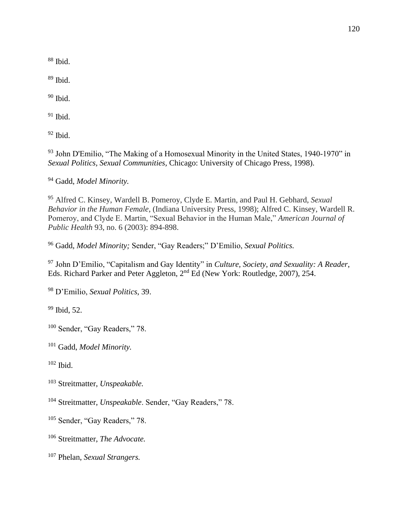Ibid.

Ibid.

Ibid.

Ibid.

Ibid.

 John D'Emilio, "The Making of a Homosexual Minority in the United States, 1940-1970" in *Sexual Politics, Sexual Communities,* Chicago: University of Chicago Press, 1998).

Gadd, *Model Minority.*

 Alfred C. Kinsey, Wardell B. Pomeroy, Clyde E. Martin, and Paul H. Gebhard, *Sexual Behavior in the Human Female*, (Indiana University Press, 1998); Alfred C. Kinsey, Wardell R. Pomeroy, and Clyde E. Martin, "Sexual Behavior in the Human Male," *American Journal of Public Health* 93, no. 6 (2003): 894-898.

Gadd, *Model Minority;* Sender, "Gay Readers;" D'Emilio, *Sexual Politics.*

 John D'Emilio, "Capitalism and Gay Identity" in *Culture, Society, and Sexuality: A Reader*, Eds. Richard Parker and Peter Aggleton, 2nd Ed (New York: Routledge, 2007), 254.

D'Emilio, *Sexual Politics*, 39.

Ibid, 52.

<sup>100</sup> Sender, "Gay Readers," 78.

Gadd, *Model Minority.*

Ibid.

Streitmatter, *Unspeakable.*

Streitmatter, *Unspeakable*. Sender, "Gay Readers," 78.

<sup>105</sup> Sender, "Gay Readers," 78.

Streitmatter, *The Advocate.*

Phelan, *Sexual Strangers.*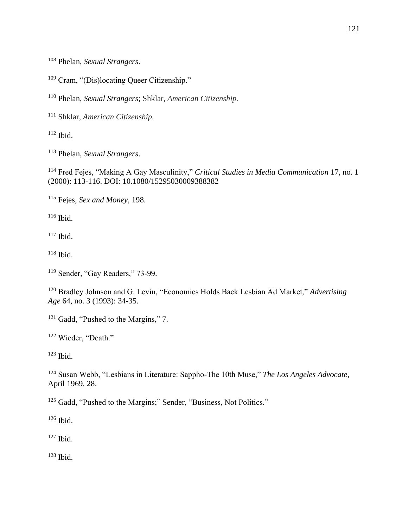Phelan, *Sexual Strangers*.

Cram, "(Dis)locating Queer Citizenship."

Phelan, *Sexual Strangers*; Shklar, *American Citizenship.*

Shklar, *American Citizenship.*

Ibid.

Phelan, *Sexual Strangers*.

 Fred Fejes, "Making A Gay Masculinity," *Critical Studies in Media Communication* 17, no. 1 (2000): 113-116. DOI: 10.1080/15295030009388382

Fejes, *Sex and Money,* 198.

Ibid.

Ibid.

Ibid.

Sender, "Gay Readers," 73-99.

 Bradley Johnson and G. Levin, "Economics Holds Back Lesbian Ad Market," *Advertising Age* 64, no. 3 (1993): 34-35.

<sup>121</sup> Gadd, "Pushed to the Margins," 7.

<sup>122</sup> Wieder, "Death."

Ibid.

 Susan Webb, "Lesbians in Literature: Sappho-The 10th Muse," *The Los Angeles Advocate,*  April 1969, 28.

<sup>125</sup> Gadd, "Pushed to the Margins;" Sender, "Business, Not Politics."

Ibid.

Ibid.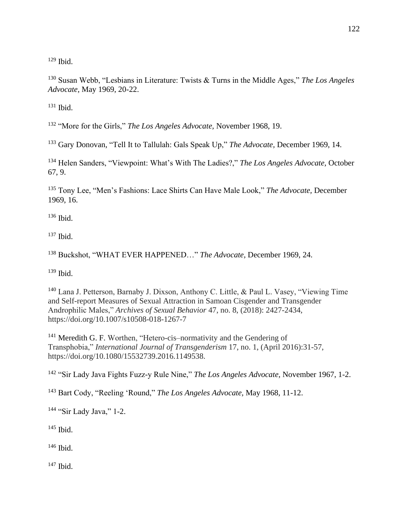Ibid.

 Susan Webb, "Lesbians in Literature: Twists & Turns in the Middle Ages," *The Los Angeles Advocate,* May 1969, 20-22.

Ibid.

"More for the Girls," *The Los Angeles Advocate,* November 1968, 19.

Gary Donovan, "Tell It to Tallulah: Gals Speak Up," *The Advocate,* December 1969, 14.

 Helen Sanders, "Viewpoint: What's With The Ladies?," *The Los Angeles Advocate,* October 67, 9.

 Tony Lee, "Men's Fashions: Lace Shirts Can Have Male Look," *The Advocate,* December 1969, 16.

Ibid.

Ibid.

Buckshot, "WHAT EVER HAPPENED…" *The Advocate,* December 1969, 24.

Ibid.

 Lana J. Petterson, Barnaby J. Dixson, Anthony C. Little, & Paul L. Vasey, "Viewing Time and Self-report Measures of Sexual Attraction in Samoan Cisgender and Transgender Androphilic Males," *Archives of Sexual Behavior* 47, no. 8, (2018): 2427-2434, https://doi.org/10.1007/s10508-018-1267-7

 Meredith G. F. Worthen, "Hetero-cis–normativity and the Gendering of Transphobia," *International Journal of Transgenderism* 17, no. 1, (April 2016):31-57, https://doi.org/10.1080/15532739.2016.1149538.

"Sir Lady Java Fights Fuzz-y Rule Nine," *The Los Angeles Advocate,* November 1967, 1-2.

Bart Cody, "Reeling 'Round," *The Los Angeles Advocate,* May 1968, 11-12.

"Sir Lady Java," 1-2.

Ibid.

Ibid.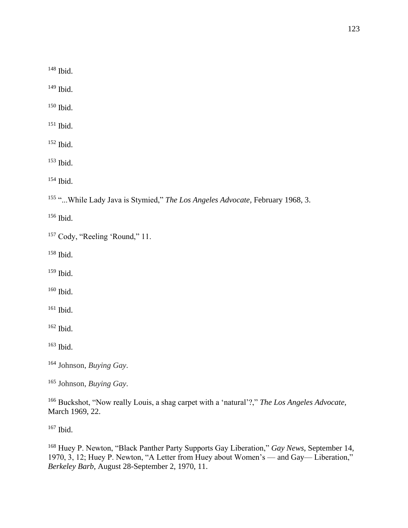Ibid.

Ibid.

Ibid.

Ibid.

Ibid.

Ibid.

Ibid.

"...While Lady Java is Stymied," *The Los Angeles Advocate,* February 1968, 3.

Ibid.

<sup>157</sup> Cody, "Reeling 'Round," 11.

Ibid.

Ibid.

Ibid.

Ibid.

Ibid.

Ibid.

Johnson, *Buying Gay*.

Johnson, *Buying Gay*.

 Buckshot, "Now really Louis, a shag carpet with a 'natural'?," *The Los Angeles Advocate,* March 1969, 22.

Ibid.

 Huey P. Newton, "Black Panther Party Supports Gay Liberation," *Gay News*, September 14, 1970, 3, 12; Huey P. Newton, "A Letter from Huey about Women's — and Gay— Liberation," *Berkeley Barb*, August 28-September 2, 1970, 11.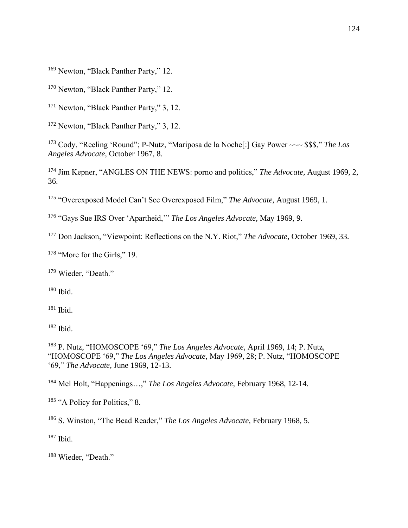<sup>169</sup> Newton, "Black Panther Party," 12.

<sup>170</sup> Newton, "Black Panther Party," 12.

<sup>171</sup> Newton, "Black Panther Party," 3, 12.

<sup>172</sup> Newton, "Black Panther Party," 3, 12.

<sup>173</sup> Cody, "Reeling 'Round"; P-Nutz, "Mariposa de la Noche[:] Gay Power ~~~ \$\$\$," *The Los Angeles Advocate*, October 1967, 8.

<sup>174</sup> Jim Kepner, "ANGLES ON THE NEWS: porno and politics," *The Advocate*, August 1969, 2, 36.

<sup>175</sup> "Overexposed Model Can't See Overexposed Film," *The Advocate*, August 1969, 1.

<sup>176</sup> "Gays Sue IRS Over 'Apartheid,'" *The Los Angeles Advocate,* May 1969, 9.

<sup>177</sup> Don Jackson, "Viewpoint: Reflections on the N.Y. Riot," *The Advocate*, October 1969, 33.

<sup>178</sup> "More for the Girls," 19.

<sup>179</sup> Wieder, "Death."

 $180$  Ibid.

 $181$  Ibid.

 $182$  Ibid.

<sup>183</sup> P. Nutz, "HOMOSCOPE '69," *The Los Angeles Advocate,* April 1969, 14; P. Nutz, "HOMOSCOPE '69," *The Los Angeles Advocate,* May 1969, 28; P. Nutz, "HOMOSCOPE '69," *The Advocate,* June 1969, 12-13.

<sup>184</sup> Mel Holt, "Happenings…," *The Los Angeles Advocate*, February 1968, 12-14.

185 "A Policy for Politics," 8.

<sup>186</sup> S. Winston, "The Bead Reader," *The Los Angeles Advocate,* February 1968, 5.

 $187$  Ibid.

<sup>188</sup> Wieder, "Death."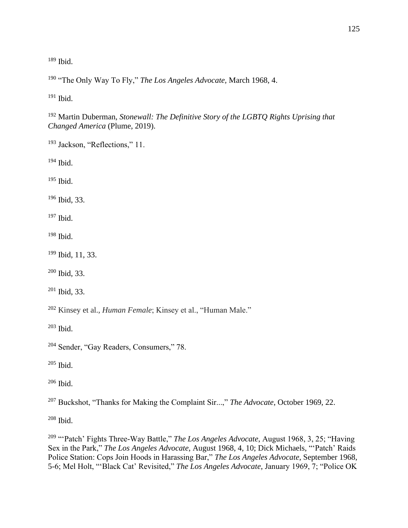Ibid.

"The Only Way To Fly," *The Los Angeles Advocate,* March 1968, 4.

Ibid.

 Martin Duberman, *Stonewall: The Definitive Story of the LGBTQ Rights Uprising that Changed America* (Plume, 2019).

Jackson, "Reflections," 11.

Ibid.

Ibid.

Ibid, 33.

Ibid.

Ibid.

Ibid, 11, 33.

Ibid, 33.

Ibid, 33.

Kinsey et al., *Human Female*; Kinsey et al., "Human Male."

Ibid.

Sender, "Gay Readers, Consumers," 78.

Ibid.

Ibid.

Buckshot, "Thanks for Making the Complaint Sir...," *The Advocate*, October 1969, 22.

Ibid.

 "'Patch' Fights Three-Way Battle," *The Los Angeles Advocate*, August 1968, 3, 25; "Having Sex in the Park," *The Los Angeles Advocate*, August 1968, 4, 10; Dick Michaels, "'Patch' Raids Police Station: Cops Join Hoods in Harassing Bar," *The Los Angeles Advocate*, September 1968, 5-6; Mel Holt, "'Black Cat' Revisited," *The Los Angeles Advocate*, January 1969, 7; "Police OK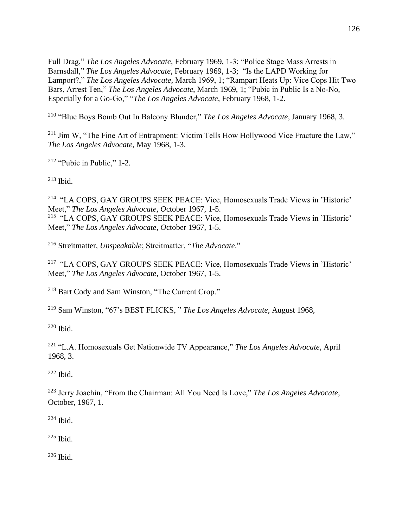Full Drag," *The Los Angeles Advocate*, February 1969, 1-3; "Police Stage Mass Arrests in Barnsdall," *The Los Angeles Advocate*, February 1969, 1-3; "Is the LAPD Working for Lamport?," *The Los Angeles Advocate*, March 1969, 1; "Rampart Heats Up: Vice Cops Hit Two Bars, Arrest Ten," *The Los Angeles Advocate*, March 1969, 1; "Pubic in Public Is a No-No, Especially for a Go-Go," "*The Los Angeles Advocate*, February 1968, 1-2.

<sup>210</sup> "Blue Boys Bomb Out In Balcony Blunder," *The Los Angeles Advocate*, January 1968, 3.

<sup>211</sup> Jim W, "The Fine Art of Entrapment: Victim Tells How Hollywood Vice Fracture the Law," *The Los Angeles Advocate*, May 1968, 1-3.

 $212$  "Pubic in Public," 1-2.

 $213$  Ibid.

<sup>214</sup> "LA COPS, GAY GROUPS SEEK PEACE: Vice, Homosexuals Trade Views in 'Historic' Meet," *The Los Angeles Advocate, O*ctober 1967, 1-5.

<sup>215</sup> "LA COPS, GAY GROUPS SEEK PEACE: Vice, Homosexuals Trade Views in 'Historic' Meet," *The Los Angeles Advocate, O*ctober 1967, 1-5.

<sup>216</sup> Streitmatter, *Unspeakable*; Streitmatter, "*The Advocate*."

<sup>217</sup> "LA COPS, GAY GROUPS SEEK PEACE: Vice, Homosexuals Trade Views in 'Historic' Meet," *The Los Angeles Advocate,* October 1967, 1-5.

<sup>218</sup> Bart Cody and Sam Winston, "The Current Crop."

<sup>219</sup> Sam Winston, "67's BEST FLICKS, " *The Los Angeles Advocate,* August 1968,

<sup>220</sup> Ibid.

<sup>221</sup> "L.A. Homosexuals Get Nationwide TV Appearance," *The Los Angeles Advocate*, April 1968, 3.

 $222$  Ibid.

<sup>223</sup> Jerry Joachin, "From the Chairman: All You Need Is Love," *The Los Angeles Advocate*, October, 1967, 1.

 $224$  Ibid.

 $225$  Ibid.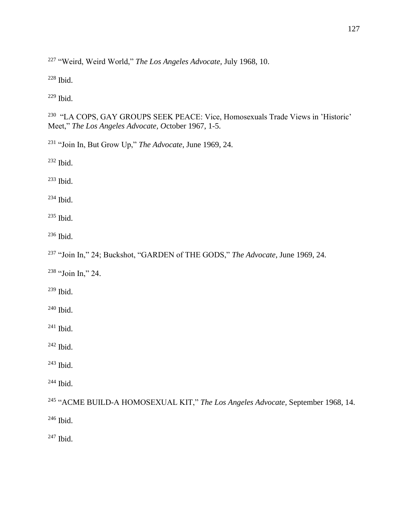"Weird, Weird World," *The Los Angeles Advocate,* July 1968, 10.

Ibid.

Ibid.

 "LA COPS, GAY GROUPS SEEK PEACE: Vice, Homosexuals Trade Views in 'Historic' Meet," *The Los Angeles Advocate, O*ctober 1967, 1-5.

"Join In, But Grow Up," *The Advocate*, June 1969, 24.

Ibid.

Ibid.

Ibid.

Ibid.

Ibid.

"Join In," 24; Buckshot, "GARDEN of THE GODS," *The Advocate*, June 1969, 24.

"Join In," 24.

Ibid.

Ibid.

Ibid.

Ibid.

Ibid.

Ibid.

 "ACME BUILD-A HOMOSEXUAL KIT," *The Los Angeles Advocate,* September 1968, 14. Ibid.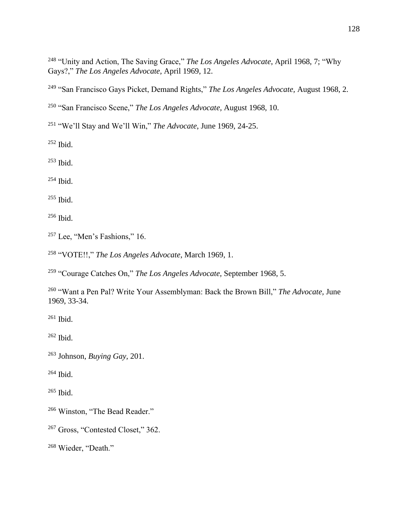"Unity and Action, The Saving Grace," *The Los Angeles Advocate*, April 1968, 7; "Why Gays?," *The Los Angeles Advocate,* April 1969, 12.

"San Francisco Gays Picket, Demand Rights," *The Los Angeles Advocate,* August 1968, 2.

"San Francisco Scene," *The Los Angeles Advocate,* August 1968, 10.

"We'll Stay and We'll Win," *The Advocate*, June 1969, 24-25.

Ibid.

Ibid.

Ibid.

Ibid.

Ibid.

Lee, "Men's Fashions," 16.

"VOTE!!," *The Los Angeles Advocate*, March 1969, 1.

"Courage Catches On," *The Los Angeles Advocate,* September 1968, 5.

 "Want a Pen Pal? Write Your Assemblyman: Back the Brown Bill," *The Advocate,* June 1969, 33-34.

Ibid.

Ibid.

Johnson, *Buying Gay,* 201.

Ibid.

Ibid.

Winston, "The Bead Reader."

Gross, "Contested Closet," 362.

Wieder, "Death."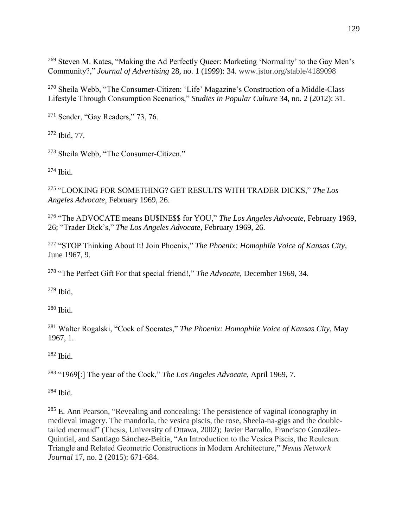<sup>269</sup> Steven M. Kates, "Making the Ad Perfectly Queer: Marketing 'Normality' to the Gay Men's Community?," *Journal of Advertising* 28, no. 1 (1999): 34. www.jstor.org/stable/4189098

<sup>270</sup> Sheila Webb, "The Consumer-Citizen: 'Life' Magazine's Construction of a Middle-Class Lifestyle Through Consumption Scenarios," *Studies in Popular Culture* 34, no. 2 (2012): 31.

<sup>271</sup> Sender, "Gay Readers," 73, 76.

<sup>272</sup> Ibid, 77.

<sup>273</sup> Sheila Webb, "The Consumer-Citizen."

<sup>274</sup> Ibid.

<sup>275</sup> "LOOKING FOR SOMETHING? GET RESULTS WITH TRADER DICKS," *The Los Angeles Advocate,* February 1969, 26.

<sup>276</sup> "The ADVOCATE means BU\$INE\$\$ for YOU," *The Los Angeles Advocate,* February 1969, 26; "Trader Dick's," *The Los Angeles Advocate,* February 1969, 26.

<sup>277</sup> "STOP Thinking About It! Join Phoenix," *The Phoenix: Homophile Voice of Kansas City,* June 1967, 9.

<sup>278</sup> "The Perfect Gift For that special friend!," *The Advocate,* December 1969, 34.

<sup>279</sup> Ibid,

<sup>280</sup> Ibid.

<sup>281</sup> Walter Rogalski, "Cock of Socrates," *The Phoenix: Homophile Voice of Kansas City*, May 1967, 1.

 $282$  Ibid.

<sup>283</sup> "1969[:] The year of the Cock," *The Los Angeles Advocate,* April 1969, 7.

 $284$  Ibid.

<sup>285</sup> E. Ann Pearson, "Revealing and concealing: The persistence of vaginal iconography in medieval imagery. The mandorla, the vesica piscis, the rose, Sheela-na-gigs and the doubletailed mermaid" (Thesis, University of Ottawa, 2002); Javier Barrallo, Francisco González-Quintial, and Santiago Sánchez-Beitia, "An Introduction to the Vesica Piscis, the Reuleaux Triangle and Related Geometric Constructions in Modern Architecture," *Nexus Network Journal* 17, no. 2 (2015): 671-684.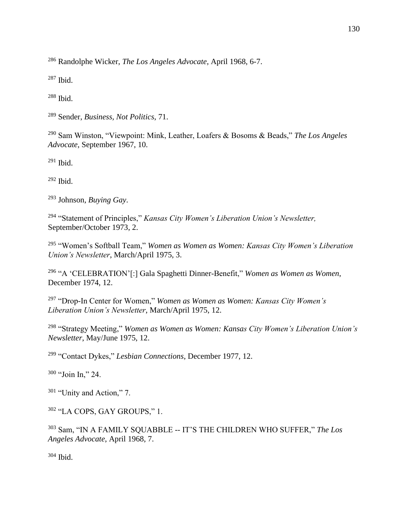Randolphe Wicker, *The Los Angeles Advocate*, April 1968, 6-7.

Ibid.

Ibid.

Sender, *Business, Not Politics*, 71.

 Sam Winston, "Viewpoint: Mink, Leather, Loafers & Bosoms & Beads," *The Los Angeles Advocate*, September 1967, 10.

Ibid.

Ibid.

Johnson, *Buying Gay*.

 "Statement of Principles," *Kansas City Women's Liberation Union's Newsletter,*  September/October 1973, 2.

 "Women's Softball Team," *Women as Women as Women: Kansas City Women's Liberation Union's Newsletter*, March/April 1975, 3.

 "A 'CELEBRATION'[:] Gala Spaghetti Dinner-Benefit," *Women as Women as Women*, December 1974, 12.

 "Drop-In Center for Women," *Women as Women as Women: Kansas City Women's Liberation Union's Newsletter*, March/April 1975, 12.

 "Strategy Meeting," *Women as Women as Women: Kansas City Women's Liberation Union's Newsletter*, May/June 1975, 12.

"Contact Dykes," *Lesbian Connections*, December 1977, 12.

"Join In," 24.

"Unity and Action," 7.

"LA COPS, GAY GROUPS," 1.

 Sam, "IN A FAMILY SQUABBLE -- IT'S THE CHILDREN WHO SUFFER," *The Los Angeles Advocate*, April 1968, 7.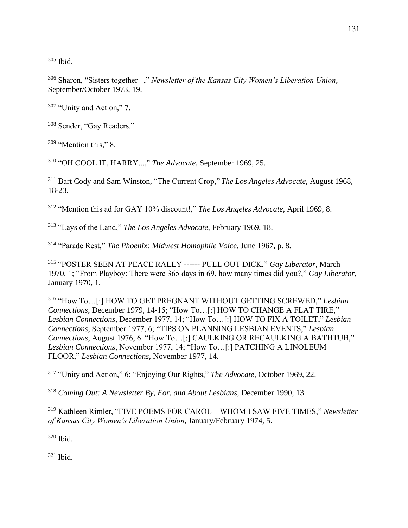<sup>305</sup> Ibid.

<sup>306</sup> Sharon, "Sisters together –," *Newsletter of the Kansas City Women's Liberation Union*, September/October 1973, 19.

<sup>307</sup> "Unity and Action," 7.

<sup>308</sup> Sender, "Gay Readers."

<sup>309</sup> "Mention this," 8.

<sup>310</sup> "OH COOL IT, HARRY...," *The Advocate*, September 1969, 25.

<sup>311</sup> Bart Cody and Sam Winston, "The Current Crop," *The Los Angeles Advocate*, August 1968, 18-23.

<sup>312</sup> "Mention this ad for GAY 10% discount!," *The Los Angeles Advocate,* April 1969, 8.

<sup>313</sup> "Lays of the Land," *The Los Angeles Advocate*, February 1969, 18.

<sup>314</sup> "Parade Rest," *The Phoenix: Midwest Homophile Voice,* June 1967, p. 8*.*

<sup>315</sup> "POSTER SEEN AT PEACE RALLY ------ PULL OUT DICK," *Gay Liberator*, March 1970, 1; "From Playboy: There were 365 days in 69, how many times did you?," *Gay Liberator*, January 1970, 1.

<sup>316</sup> "How To…[:] HOW TO GET PREGNANT WITHOUT GETTING SCREWED," *Lesbian Connections*, December 1979, 14-15; "How To…[:] HOW TO CHANGE A FLAT TIRE," *Lesbian Connections*, December 1977, 14; "How To…[:] HOW TO FIX A TOILET," *Lesbian Connections*, September 1977, 6; "TIPS ON PLANNING LESBIAN EVENTS," *Lesbian Connections*, August 1976, 6. "How To…[:] CAULKING OR RECAULKING A BATHTUB," *Lesbian Connections*, November 1977, 14; "How To…[:] PATCHING A LINOLEUM FLOOR," *Lesbian Connections*, November 1977, 14.

<sup>317</sup> "Unity and Action," 6; "Enjoying Our Rights," *The Advocate*, October 1969, 22.

<sup>318</sup> *Coming Out: A Newsletter By, For, and About Lesbians,* December 1990, 13.

<sup>319</sup> Kathleen Rimler, "FIVE POEMS FOR CAROL – WHOM I SAW FIVE TIMES," *Newsletter of Kansas City Women's Liberation Union*, January/February 1974, 5.

<sup>320</sup> Ibid.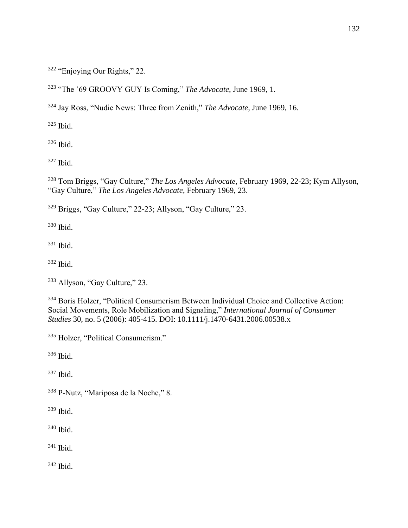"Enjoying Our Rights," 22.

"The '69 GROOVY GUY Is Coming," *The Advocate*, June 1969, 1.

Jay Ross, "Nudie News: Three from Zenith," *The Advocate,* June 1969, 16.

Ibid.

Ibid.

Ibid.

 Tom Briggs, "Gay Culture," *The Los Angeles Advocate*, February 1969, 22-23; Kym Allyson, "Gay Culture," *The Los Angeles Advocate*, February 1969, 23.

Briggs, "Gay Culture," 22-23; Allyson, "Gay Culture," 23.

Ibid.

Ibid.

Ibid.

Allyson, "Gay Culture," 23.

 Boris Holzer, "Political Consumerism Between Individual Choice and Collective Action: Social Movements, Role Mobilization and Signaling," *International Journal of Consumer Studies* 30, no. 5 (2006): 405-415. DOI: 10.1111/j.1470-6431.2006.00538.x

Holzer, "Political Consumerism."

Ibid.

Ibid.

P-Nutz, "Mariposa de la Noche," 8.

Ibid.

Ibid.

Ibid.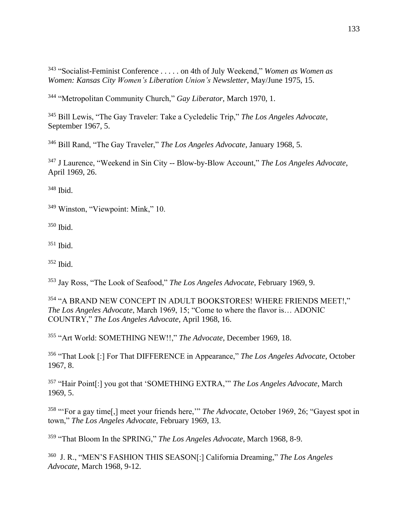"Socialist-Feminist Conference . . . . . on 4th of July Weekend," *Women as Women as Women: Kansas City Women's Liberation Union's Newsletter*, May/June 1975, 15.

"Metropolitan Community Church," *Gay Liberator,* March 1970, 1.

 Bill Lewis, "The Gay Traveler: Take a Cycledelic Trip," *The Los Angeles Advocate*, September 1967, 5.

Bill Rand, "The Gay Traveler," *The Los Angeles Advocate,* January 1968, 5.

 J Laurence, "Weekend in Sin City -- Blow-by-Blow Account," *The Los Angeles Advocate*, April 1969, 26.

Ibid.

<sup>349</sup> Winston, "Viewpoint: Mink," 10.

Ibid.

Ibid.

Ibid.

Jay Ross, "The Look of Seafood," *The Los Angeles Advocate*, February 1969, 9.

 "A BRAND NEW CONCEPT IN ADULT BOOKSTORES! WHERE FRIENDS MEET!," *The Los Angeles Advocate*, March 1969, 15; "Come to where the flavor is… ADONIC COUNTRY," *The Los Angeles Advocate*, April 1968, 16.

"Art World: SOMETHING NEW!!," *The Advocate*, December 1969, 18.

 "That Look [:] For That DIFFERENCE in Appearance," *The Los Angeles Advocate*, October 1967, 8.

 "Hair Point[:] you got that 'SOMETHING EXTRA,'" *The Los Angeles Advocate*, March 1969, 5.

 "'For a gay time[,] meet your friends here,'" *The Advocate*, October 1969, 26; "Gayest spot in town," *The Los Angeles Advocate*, February 1969, 13.

"That Bloom In the SPRING," *The Los Angeles Advocate*, March 1968, 8-9.

 J. R., "MEN'S FASHION THIS SEASON[:] California Dreaming," *The Los Angeles Advocate*, March 1968, 9-12.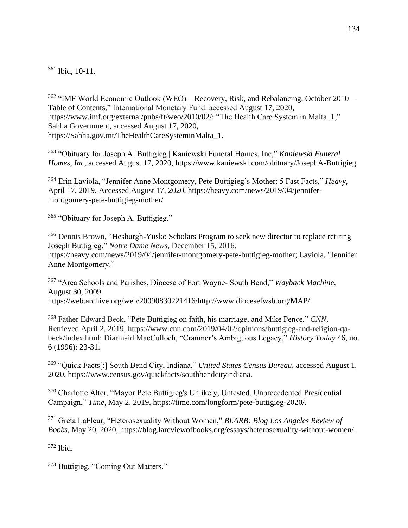<sup>361</sup> Ibid, 10-11.

<sup>362</sup> "IMF World Economic Outlook (WEO) – Recovery, Risk, and Rebalancing, October 2010 – Table of Contents," International Monetary Fund. accessed August 17, 2020, https://www.imf.org/external/pubs/ft/weo/2010/02/; "The Health Care System in Malta 1," Sahha Government, accessed August 17, 2020, https://Sahha.gov.mt/TheHealthCareSysteminMalta\_1.

<sup>363</sup> "Obituary for Joseph A. Buttigieg | Kaniewski Funeral Homes, Inc," *Kaniewski Funeral Homes, Inc*, accessed August 17, 2020, https://www.kaniewski.com/obituary/JosephA-Buttigieg.

<sup>364</sup> Erin Laviola, "Jennifer Anne Montgomery, Pete Buttigieg's Mother: 5 Fast Facts," *Heavy*, April 17, 2019, Accessed August 17, 2020, https://heavy.com/news/2019/04/jennifermontgomery-pete-buttigieg-mother/

<sup>365</sup> "Obituary for Joseph A. Buttigieg."

<sup>366</sup> Dennis Brown, "Hesburgh-Yusko Scholars Program to seek new director to replace retiring Joseph Buttigieg," *Notre Dame News*, December 15, 2016. https://heavy.com/news/2019/04/jennifer-montgomery-pete-buttigieg-mother; Laviola, "Jennifer Anne Montgomery."

<sup>367</sup> "Area Schools and Parishes, Diocese of Fort Wayne- South Bend," *Wayback Machine,*  August 30, 2009. https://web.archive.org/web/20090830221416/http://www.diocesefwsb.org/MAP/.

<sup>368</sup> Father Edward Beck, "Pete Buttigieg on faith, his marriage, and Mike Pence," *CNN*, Retrieved April 2, 2019, https://www.cnn.com/2019/04/02/opinions/buttigieg-and-religion-qabeck/index.html; Diarmaid MacCulloch, "Cranmer's Ambiguous Legacy," *History Today* 46, no. 6 (1996): 23-31.

<sup>369</sup> "Quick Facts[:] South Bend City, Indiana," *United States Census Bureau*, accessed August 1, 2020, https://www.census.gov/quickfacts/southbendcityindiana.

<sup>370</sup> Charlotte Alter, "Mayor Pete Buttigieg's Unlikely, Untested, Unprecedented Presidential Campaign," *Time*, May 2, 2019, https://time.com/longform/pete-buttigieg-2020/.

<sup>371</sup> Greta LaFleur, "Heterosexuality Without Women," *BLARB: Blog Los Angeles Review of Books*, May 20, 2020, https://blog.lareviewofbooks.org/essays/heterosexuality-without-women/.

<sup>372</sup> Ibid.

<sup>373</sup> Buttigieg, "Coming Out Matters."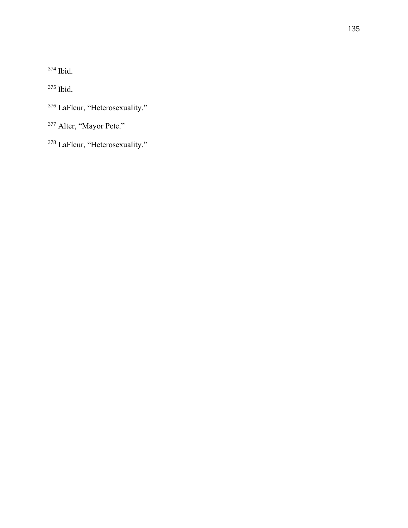Ibid.

Ibid.

<sup>376</sup> LaFleur, "Heterosexuality."

<sup>377</sup> Alter, "Mayor Pete."

LaFleur, "Heterosexuality."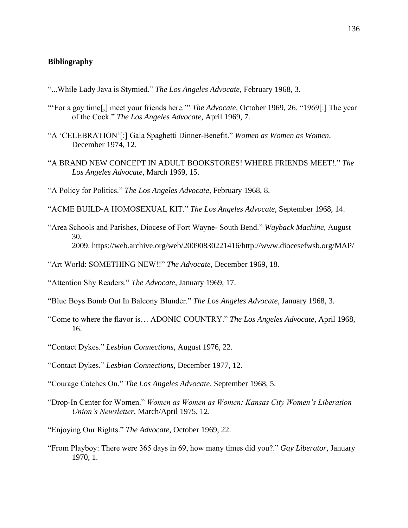## **Bibliography**

- "...While Lady Java is Stymied." *The Los Angeles Advocate,* February 1968, 3.
- "'For a gay time[,] meet your friends here.'" *The Advocate*, October 1969, 26. "1969[:] The year of the Cock." *The Los Angeles Advocate,* April 1969, 7.
- "A 'CELEBRATION'[:] Gala Spaghetti Dinner-Benefit." *Women as Women as Women*, December 1974, 12.
- "A BRAND NEW CONCEPT IN ADULT BOOKSTORES! WHERE FRIENDS MEET!." *The Los Angeles Advocate*, March 1969, 15.

"A Policy for Politics." *The Los Angeles Advocate,* February 1968, 8.

- "ACME BUILD-A HOMOSEXUAL KIT." *The Los Angeles Advocate,* September 1968, 14.
- "Area Schools and Parishes, Diocese of Fort Wayne- South Bend." *Wayback Machine,* August 30, 2009. https://web.archive.org/web/20090830221416/http://www.diocesefwsb.org/MAP/
- "Art World: SOMETHING NEW!!" *The Advocate*, December 1969, 18.
- "Attention Shy Readers." *The Advocate*, January 1969, 17.
- "Blue Boys Bomb Out In Balcony Blunder." *The Los Angeles Advocate*, January 1968, 3.
- "Come to where the flavor is… ADONIC COUNTRY." *The Los Angeles Advocate*, April 1968, 16.
- "Contact Dykes." *Lesbian Connections*, August 1976, 22.
- "Contact Dykes." *Lesbian Connections*, December 1977, 12.
- "Courage Catches On." *The Los Angeles Advocate,* September 1968, 5.
- "Drop-In Center for Women." *Women as Women as Women: Kansas City Women's Liberation Union's Newsletter*, March/April 1975, 12.
- "Enjoying Our Rights." *The Advocate*, October 1969, 22.
- "From Playboy: There were 365 days in 69, how many times did you?." *Gay Liberator*, January 1970, 1.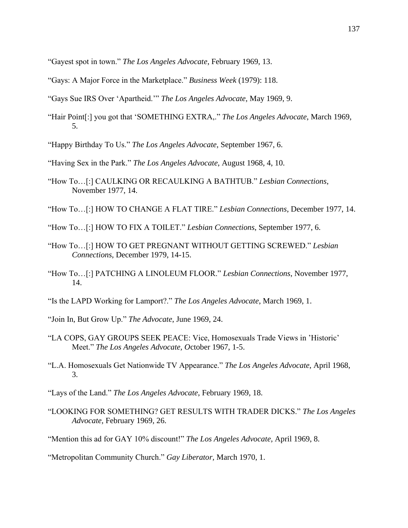"Gayest spot in town." *The Los Angeles Advocate*, February 1969, 13.

"Gays: A Major Force in the Marketplace." *Business Week* (1979): 118.

"Gays Sue IRS Over 'Apartheid.'" *The Los Angeles Advocate,* May 1969, 9.

"Hair Point[:] you got that 'SOMETHING EXTRA,." *The Los Angeles Advocate*, March 1969, 5.

"Happy Birthday To Us." *The Los Angeles Advocate,* September 1967, 6.

"Having Sex in the Park." *The Los Angeles Advocate*, August 1968, 4, 10.

- "How To…[:] CAULKING OR RECAULKING A BATHTUB." *Lesbian Connections*, November 1977, 14.
- "How To…[:] HOW TO CHANGE A FLAT TIRE." *Lesbian Connections*, December 1977, 14.
- "How To…[:] HOW TO FIX A TOILET." *Lesbian Connections*, September 1977, 6.
- "How To…[:] HOW TO GET PREGNANT WITHOUT GETTING SCREWED." *Lesbian Connections*, December 1979, 14-15.
- "How To…[:] PATCHING A LINOLEUM FLOOR." *Lesbian Connections*, November 1977, 14.
- "Is the LAPD Working for Lamport?." *The Los Angeles Advocate*, March 1969, 1.

"Join In, But Grow Up." *The Advocate*, June 1969, 24.

- "LA COPS, GAY GROUPS SEEK PEACE: Vice, Homosexuals Trade Views in 'Historic' Meet." *The Los Angeles Advocate, O*ctober 1967, 1-5.
- "L.A. Homosexuals Get Nationwide TV Appearance." *The Los Angeles Advocate*, April 1968, 3.

"Lays of the Land." *The Los Angeles Advocate*, February 1969, 18.

"LOOKING FOR SOMETHING? GET RESULTS WITH TRADER DICKS." *The Los Angeles Advocate,* February 1969, 26.

"Mention this ad for GAY 10% discount!" *The Los Angeles Advocate,* April 1969, 8.

"Metropolitan Community Church." *Gay Liberator,* March 1970, 1.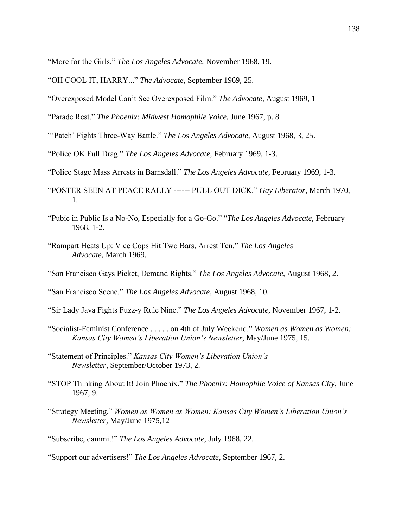"More for the Girls." *The Los Angeles Advocate,* November 1968, 19.

- "OH COOL IT, HARRY..." *The Advocate*, September 1969, 25.
- "Overexposed Model Can't See Overexposed Film." *The Advocate*, August 1969, 1

"Parade Rest." *The Phoenix: Midwest Homophile Voice,* June 1967, p. 8*.*

"'Patch' Fights Three-Way Battle." *The Los Angeles Advocate*, August 1968, 3, 25.

"Police OK Full Drag." *The Los Angeles Advocate*, February 1969, 1-3.

"Police Stage Mass Arrests in Barnsdall." *The Los Angeles Advocate*, February 1969, 1-3.

- "POSTER SEEN AT PEACE RALLY ------ PULL OUT DICK." *Gay Liberator*, March 1970, 1.
- "Pubic in Public Is a No-No, Especially for a Go-Go." "*The Los Angeles Advocate*, February 1968, 1-2.
- "Rampart Heats Up: Vice Cops Hit Two Bars, Arrest Ten." *The Los Angeles Advocate*, March 1969.
- "San Francisco Gays Picket, Demand Rights." *The Los Angeles Advocate,* August 1968, 2.

"San Francisco Scene." *The Los Angeles Advocate,* August 1968, 10.

- "Sir Lady Java Fights Fuzz-y Rule Nine." *The Los Angeles Advocate,* November 1967, 1-2.
- "Socialist-Feminist Conference . . . . . on 4th of July Weekend." *Women as Women as Women: Kansas City Women's Liberation Union's Newsletter*, May/June 1975, 15.
- "Statement of Principles." *Kansas City Women's Liberation Union's Newsletter,* September/October 1973, 2.
- "STOP Thinking About It! Join Phoenix." *The Phoenix: Homophile Voice of Kansas City,* June 1967, 9.
- "Strategy Meeting." *Women as Women as Women: Kansas City Women's Liberation Union's Newsletter*, May/June 1975,12
- "Subscribe, dammit!" *The Los Angeles Advocate,* July 1968, 22.

"Support our advertisers!" *The Los Angeles Advocate,* September 1967, 2.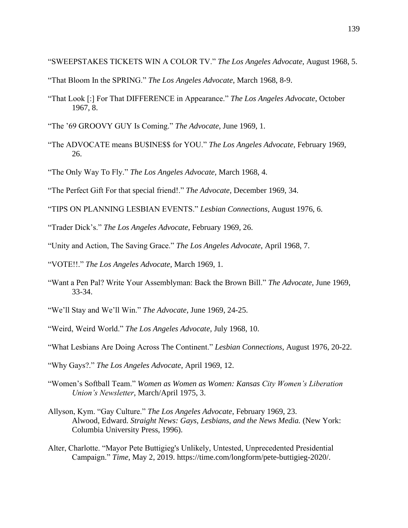"SWEEPSTAKES TICKETS WIN A COLOR TV." *The Los Angeles Advocate*, August 1968, 5.

- "That Bloom In the SPRING." *The Los Angeles Advocate*, March 1968, 8-9.
- "That Look [:] For That DIFFERENCE in Appearance." *The Los Angeles Advocate*, October 1967, 8.
- "The '69 GROOVY GUY Is Coming." *The Advocate*, June 1969, 1.
- "The ADVOCATE means BU\$INE\$\$ for YOU." *The Los Angeles Advocate,* February 1969, 26.
- "The Only Way To Fly." *The Los Angeles Advocate,* March 1968, 4.
- "The Perfect Gift For that special friend!." *The Advocate,* December 1969, 34.
- "TIPS ON PLANNING LESBIAN EVENTS." *Lesbian Connections*, August 1976, 6.
- "Trader Dick's." *The Los Angeles Advocate,* February 1969, 26.
- "Unity and Action, The Saving Grace." *The Los Angeles Advocate*, April 1968, 7.
- "VOTE!!." *The Los Angeles Advocate*, March 1969, 1.
- "Want a Pen Pal? Write Your Assemblyman: Back the Brown Bill." *The Advocate,* June 1969, 33-34.
- "We'll Stay and We'll Win." *The Advocate*, June 1969, 24-25.
- "Weird, Weird World." *The Los Angeles Advocate,* July 1968, 10.
- "What Lesbians Are Doing Across The Continent." *Lesbian Connections*, August 1976, 20-22.
- "Why Gays?." *The Los Angeles Advocate,* April 1969, 12.
- "Women's Softball Team." *Women as Women as Women: Kansas City Women's Liberation Union's Newsletter*, March/April 1975, 3.
- Allyson, Kym. "Gay Culture." *The Los Angeles Advocate*, February 1969, 23. Alwood, Edward. *Straight News: Gays, Lesbians, and the News Media.* (New York: Columbia University Press, 1996).
- Alter, Charlotte. "Mayor Pete Buttigieg's Unlikely, Untested, Unprecedented Presidential Campaign." *Time*, May 2, 2019. https://time.com/longform/pete-buttigieg-2020/.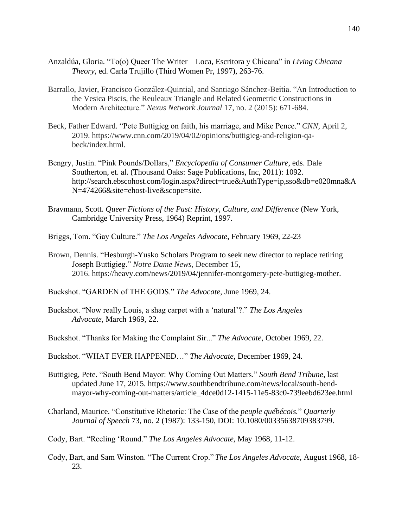- Anzaldúa, Gloria. "To(o) Queer The Writer—Loca, Escritora y Chicana" in *Living Chicana Theory,* ed. Carla Trujillo (Third Women Pr, 1997), 263-76.
- Barrallo, Javier, Francisco González-Quintial, and Santiago Sánchez-Beitia. "An Introduction to the Vesica Piscis, the Reuleaux Triangle and Related Geometric Constructions in Modern Architecture." *Nexus Network Journal* 17, no. 2 (2015): 671-684.
- Beck, Father Edward. "Pete Buttigieg on faith, his marriage, and Mike Pence." *CNN,* April 2, 2019. https://www.cnn.com/2019/04/02/opinions/buttigieg-and-religion-qabeck/index.html.
- Bengry, Justin. "Pink Pounds/Dollars," *Encyclopedia of Consumer Culture*, eds. Dale Southerton, et. al. (Thousand Oaks: Sage Publications, Inc, 2011): 1092. http://search.ebscohost.com/login.aspx?direct=true&AuthType=ip,sso&db=e020mna&A N=474266&site=ehost-live&scope=site.
- Bravmann, Scott. *Queer Fictions of the Past: History, Culture, and Difference* (New York, Cambridge University Press, 1964) Reprint, 1997.
- Briggs, Tom. "Gay Culture." *The Los Angeles Advocate*, February 1969, 22-23
- Brown, Dennis. "Hesburgh-Yusko Scholars Program to seek new director to replace retiring Joseph Buttigieg." *Notre Dame News*, December 15, 2016. https://heavy.com/news/2019/04/jennifer-montgomery-pete-buttigieg-mother.
- Buckshot. "GARDEN of THE GODS." *The Advocate*, June 1969, 24.
- Buckshot. "Now really Louis, a shag carpet with a 'natural'?." *The Los Angeles Advocate,* March 1969, 22.
- Buckshot. "Thanks for Making the Complaint Sir..." *The Advocate*, October 1969, 22.
- Buckshot. "WHAT EVER HAPPENED…" *The Advocate,* December 1969, 24.
- Buttigieg, Pete. "South Bend Mayor: Why Coming Out Matters." *South Bend Tribune*, last updated June 17, 2015. https://www.southbendtribune.com/news/local/south-bendmayor-why-coming-out-matters/article\_4dce0d12-1415-11e5-83c0-739eebd623ee.html
- Charland, Maurice. "Constitutive Rhetoric: The Case of the *peuple québécois.*" *Quarterly Journal of Speech* 73, no. 2 (1987): 133-150, DOI: 10.1080/00335638709383799.
- Cody, Bart. "Reeling 'Round." *The Los Angeles Advocate,* May 1968, 11-12.
- Cody, Bart, and Sam Winston. "The Current Crop." *The Los Angeles Advocate*, August 1968, 18- 23.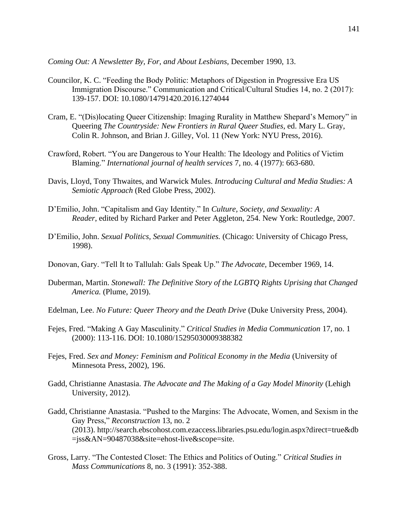*Coming Out: A Newsletter By, For, and About Lesbians,* December 1990, 13.

- Councilor, K. C. "Feeding the Body Politic: Metaphors of Digestion in Progressive Era US Immigration Discourse." Communication and Critical/Cultural Studies 14, no. 2 (2017): 139-157. DOI: 10.1080/14791420.2016.1274044
- Cram, E. "(Dis)locating Queer Citizenship: Imaging Rurality in Matthew Shepard's Memory" in Queering *The Countryside: New Frontiers in Rural Queer Studies*, ed. Mary L. Gray, Colin R. Johnson, and Brian J. Gilley, Vol. 11 (New York: NYU Press, 2016).
- Crawford, Robert. "You are Dangerous to Your Health: The Ideology and Politics of Victim Blaming." *International journal of health services* 7, no. 4 (1977): 663-680.
- Davis, Lloyd, Tony Thwaites, and Warwick Mules. *Introducing Cultural and Media Studies: A Semiotic Approach* (Red Globe Press, 2002).
- D'Emilio, John. "Capitalism and Gay Identity." In *Culture, Society, and Sexuality: A Reader*, edited by Richard Parker and Peter Aggleton, 254. New York: Routledge, 2007.
- D'Emilio, John. *Sexual Politics, Sexual Communities.* (Chicago: University of Chicago Press, 1998).
- Donovan, Gary. "Tell It to Tallulah: Gals Speak Up." *The Advocate,* December 1969, 14.
- Duberman, Martin. *Stonewall: The Definitive Story of the LGBTQ Rights Uprising that Changed America.* (Plume, 2019).
- Edelman, Lee. *No Future: Queer Theory and the Death Drive* (Duke University Press, 2004).
- Fejes, Fred. "Making A Gay Masculinity." *Critical Studies in Media Communication* 17, no. 1 (2000): 113-116. DOI: 10.1080/15295030009388382
- Fejes, Fred. *Sex and Money: Feminism and Political Economy in the Media* (University of Minnesota Press, 2002), 196.
- Gadd, Christianne Anastasia. *The Advocate and The Making of a Gay Model Minority* (Lehigh University, 2012).
- Gadd, Christianne Anastasia. "Pushed to the Margins: The Advocate, Women, and Sexism in the Gay Press," *Reconstruction* 13, no. 2 (2013). http://search.ebscohost.com.ezaccess.libraries.psu.edu/login.aspx?direct=true&db =jss&AN=90487038&site=ehost-live&scope=site.
- Gross, Larry. "The Contested Closet: The Ethics and Politics of Outing." *Critical Studies in Mass Communications* 8, no. 3 (1991): 352-388.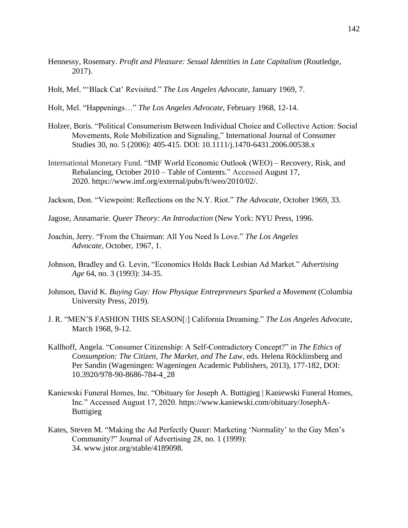- Hennessy, Rosemary. *Profit and Pleasure: Sexual Identities in Late Capitalism* (Routledge, 2017).
- Holt, Mel. "'Black Cat' Revisited." *The Los Angeles Advocate*, January 1969, 7.

Holt, Mel. "Happenings…" *The Los Angeles Advocate*, February 1968, 12-14.

- Holzer, Boris. "Political Consumerism Between Individual Choice and Collective Action: Social Movements, Role Mobilization and Signaling," International Journal of Consumer Studies 30, no. 5 (2006): 405-415. DOI: 10.1111/j.1470-6431.2006.00538.x
- International Monetary Fund. "IMF World Economic Outlook (WEO) Recovery, Risk, and Rebalancing, October 2010 – Table of Contents." Accessed August 17, 2020. https://www.imf.org/external/pubs/ft/weo/2010/02/.
- Jackson, Don. "Viewpoint: Reflections on the N.Y. Riot." *The Advocate,* October 1969, 33.

Jagose, Annamarie. *Queer Theory: An Introduction* (New York: NYU Press, 1996.

- Joachin, Jerry. "From the Chairman: All You Need Is Love." *The Los Angeles Advocate*, October, 1967, 1.
- Johnson, Bradley and G. Levin, "Economics Holds Back Lesbian Ad Market." *Advertising Age* 64, no. 3 (1993): 34-35.
- Johnson, David K. *Buying Gay: How Physique Entrepreneurs Sparked a Movement* (Columbia University Press, 2019).
- J. R. "MEN'S FASHION THIS SEASON[:] California Dreaming." *The Los Angeles Advocate*, March 1968, 9-12.
- Kallhoff, Angela. "Consumer Citizenship: A Self-Contradictory Concept?" in *The Ethics of Consumption: The Citizen, The Market, and The Law*, eds. Helena Röcklinsberg and Per Sandin (Wageningen: Wageningen Academic Publishers, 2013), 177-182, DOI: 10.3920/978-90-8686-784-4\_28
- Kaniewski Funeral Homes, Inc. "Obituary for Joseph A. Buttigieg | Kaniewski Funeral Homes, Inc." Accessed August 17, 2020. https://www.kaniewski.com/obituary/JosephA-Buttigieg
- Kates, Steven M. "Making the Ad Perfectly Queer: Marketing 'Normality' to the Gay Men's Community?" Journal of Advertising 28, no. 1 (1999): 34. www.jstor.org/stable/4189098.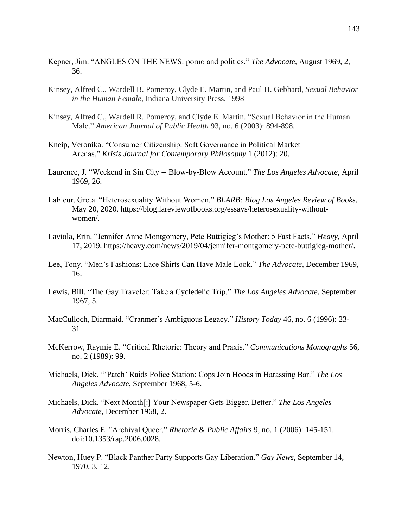- Kepner, Jim. "ANGLES ON THE NEWS: porno and politics." *The Advocate,* August 1969, 2, 36.
- Kinsey, Alfred C., Wardell B. Pomeroy, Clyde E. Martin, and Paul H. Gebhard, *Sexual Behavior in the Human Female*, Indiana University Press, 1998
- Kinsey, Alfred C., Wardell R. Pomeroy, and Clyde E. Martin. "Sexual Behavior in the Human Male." *American Journal of Public Health* 93, no. 6 (2003): 894-898.
- Kneip, Veronika. "Consumer Citizenship: Soft Governance in Political Market Arenas," *Krisis Journal for Contemporary Philosophy* 1 (2012): 20.
- Laurence, J. "Weekend in Sin City -- Blow-by-Blow Account." *The Los Angeles Advocate*, April 1969, 26.
- LaFleur, Greta. "Heterosexuality Without Women." *BLARB: Blog Los Angeles Review of Books*, May 20, 2020. https://blog.lareviewofbooks.org/essays/heterosexuality-withoutwomen/.
- Laviola, Erin. "Jennifer Anne Montgomery, Pete Buttigieg's Mother: 5 Fast Facts." *Heavy*, April 17, 2019. https://heavy.com/news/2019/04/jennifer-montgomery-pete-buttigieg-mother/.
- Lee, Tony. "Men's Fashions: Lace Shirts Can Have Male Look." *The Advocate,* December 1969, 16.
- Lewis, Bill. "The Gay Traveler: Take a Cycledelic Trip." *The Los Angeles Advocate*, September 1967, 5.
- MacCulloch, Diarmaid. "Cranmer's Ambiguous Legacy." *History Today* 46, no. 6 (1996): 23- 31.
- McKerrow, Raymie E. "Critical Rhetoric: Theory and Praxis." *Communications Monographs* 56, no. 2 (1989): 99.
- Michaels, Dick. "'Patch' Raids Police Station: Cops Join Hoods in Harassing Bar." *The Los Angeles Advocate*, September 1968, 5-6.
- Michaels, Dick. "Next Month[:] Your Newspaper Gets Bigger, Better." *The Los Angeles Advocate*, December 1968, 2.
- Morris, Charles E. "Archival Queer." *Rhetoric & Public Affairs* 9, no. 1 (2006): 145-151. doi:10.1353/rap.2006.0028.
- Newton, Huey P. "Black Panther Party Supports Gay Liberation." *Gay News*, September 14, 1970, 3, 12.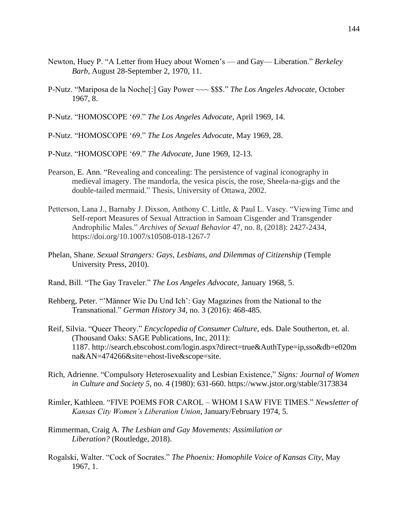- Newton, Huey P. "A Letter from Huey about Women's and Gay— Liberation." *Berkeley Barb*, August 28-September 2, 1970, 11.
- P-Nutz. "Mariposa de la Noche[:] Gay Power ~~~ \$\$\$." *The Los Angeles Advocate*, October 1967, 8.

P-Nutz. "HOMOSCOPE '69." *The Los Angeles Advocate*, April 1969, 14.

P-Nutz. "HOMOSCOPE '69." *The Los Angeles Advocate*, May 1969, 28.

P-Nutz. "HOMOSCOPE '69." *The Advocate*, June 1969, 12-13.

- Pearson, E. Ann. "Revealing and concealing: The persistence of vaginal iconography in medieval imagery. The mandorla, the vesica piscis, the rose, Sheela-na-gigs and the double-tailed mermaid." Thesis, University of Ottawa, 2002.
- Petterson, Lana J., Barnaby J. Dixson, Anthony C. Little, & Paul L. Vasey. "Viewing Time and Self-report Measures of Sexual Attraction in Samoan Cisgender and Transgender Androphilic Males." *Archives of Sexual Behavior* 47, no. 8, (2018): 2427-2434, https://doi.org/10.1007/s10508-018-1267-7
- Phelan, Shane. *Sexual Strangers: Gays, Lesbians, and Dilemmas of Citizenship* (Temple University Press, 2010).
- Rand, Bill. "The Gay Traveler." *The Los Angeles Advocate,* January 1968, 5.
- Rehberg, Peter. "'Männer Wie Du Und Ich': Gay Magazines from the National to the Transnational." *German History 34,* no. 3 (2016): 468-485.
- Reif, Silvia. "Queer Theory." *Encyclopedia of Consumer Culture*, eds. Dale Southerton, et. al. (Thousand Oaks: SAGE Publications, Inc, 2011): 1187. http://search.ebscohost.com/login.aspx?direct=true&AuthType=ip,sso&db=e020m na&AN=474266&site=ehost-live&scope=site.
- Rich, Adrienne. "Compulsory Heterosexuality and Lesbian Existence," *Signs: Journal of Women in Culture and Society 5*, no. 4 (1980): 631-660. https://www.jstor.org/stable/3173834
- Rimler, Kathleen. "FIVE POEMS FOR CAROL WHOM I SAW FIVE TIMES." *Newsletter of Kansas City Women's Liberation Union*, January/February 1974, 5.
- Rimmerman, Craig A. *The Lesbian and Gay Movements: Assimilation or Liberation?* (Routledge, 2018).
- Rogalski, Walter. "Cock of Socrates." *The Phoenix: Homophile Voice of Kansas City*, May 1967, 1.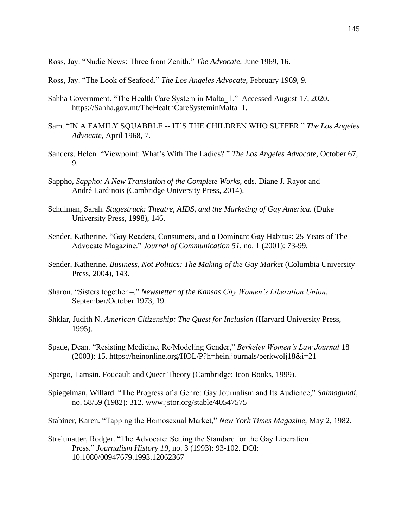Ross, Jay. "Nudie News: Three from Zenith." *The Advocate,* June 1969, 16.

Ross, Jay. "The Look of Seafood." *The Los Angeles Advocate*, February 1969, 9.

- Sahha Government. "The Health Care System in Malta\_1." Accessed August 17, 2020. https://Sahha.gov.mt/TheHealthCareSysteminMalta\_1.
- Sam. "IN A FAMILY SQUABBLE -- IT'S THE CHILDREN WHO SUFFER." *The Los Angeles Advocate*, April 1968, 7.
- Sanders, Helen. "Viewpoint: What's With The Ladies?." *The Los Angeles Advocate,* October 67, 9.
- Sappho, *Sappho: A New Translation of the Complete Works,* eds. Diane J. Rayor and André Lardinois (Cambridge University Press, 2014).
- Schulman, Sarah. *Stagestruck: Theatre, AIDS, and the Marketing of Gay America.* (Duke University Press, 1998), 146.
- Sender, Katherine. "Gay Readers, Consumers, and a Dominant Gay Habitus: 25 Years of The Advocate Magazine." *Journal of Communication 51,* no. 1 (2001): 73-99.
- Sender, Katherine. *Business, Not Politics: The Making of the Gay Market* (Columbia University Press, 2004), 143.
- Sharon. "Sisters together –." *Newsletter of the Kansas City Women's Liberation Union*, September/October 1973, 19.
- Shklar, Judith N. *American Citizenship: The Quest for Inclusion* (Harvard University Press, 1995).
- Spade, Dean. "Resisting Medicine, Re/Modeling Gender," *Berkeley Women's Law Journal* 18 (2003): 15. https://heinonline.org/HOL/P?h=hein.journals/berkwolj18&i=21
- Spargo, Tamsin. Foucault and Queer Theory (Cambridge: Icon Books, 1999).
- Spiegelman, Willard. "The Progress of a Genre: Gay Journalism and Its Audience," *Salmagundi*, no. 58/59 (1982): 312. www.jstor.org/stable/40547575
- Stabiner, Karen. "Tapping the Homosexual Market," *New York Times Magazine,* May 2, 1982.
- Streitmatter, Rodger. "The Advocate: Setting the Standard for the Gay Liberation Press." *Journalism History 19*, no. 3 (1993): 93-102. DOI: 10.1080/00947679.1993.12062367